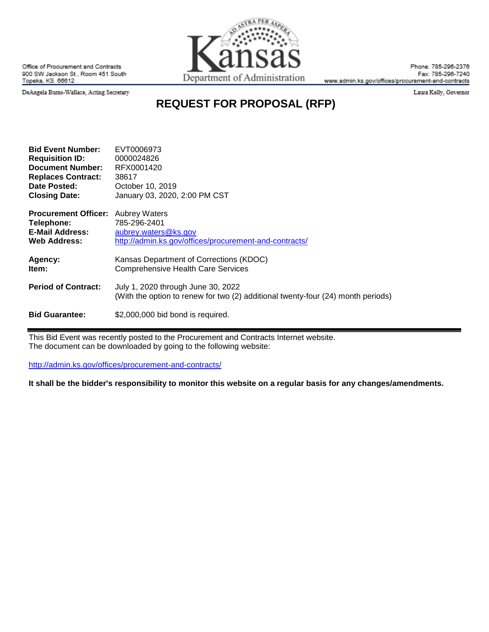

Office of Procurement and Contracts 900 SW Jackson St., Room 451 South Topeka, KS 66612

Phone: 785-296-2376 Fax: 785-296-7240 www.admin.ks.gov/offices/procurement-and-contracts

Laura Kelly, Governor

DeAngela Bums-Wallace, Acting Secretary

# **REQUEST FOR PROPOSAL (RFP)**

**QA PER** 

| <b>Bid Event Number:</b>    | EVT0006973                                                                                                             |  |  |
|-----------------------------|------------------------------------------------------------------------------------------------------------------------|--|--|
| <b>Requisition ID:</b>      | 0000024826                                                                                                             |  |  |
| <b>Document Number:</b>     | RFX0001420                                                                                                             |  |  |
| <b>Replaces Contract:</b>   | 38617                                                                                                                  |  |  |
| Date Posted:                | October 10, 2019                                                                                                       |  |  |
| <b>Closing Date:</b>        | January 03, 2020, 2:00 PM CST                                                                                          |  |  |
| <b>Procurement Officer:</b> | <b>Aubrey Waters</b>                                                                                                   |  |  |
| Telephone:                  | 785-296-2401                                                                                                           |  |  |
| <b>E-Mail Address:</b>      | aubrey.waters@ks.gov                                                                                                   |  |  |
| <b>Web Address:</b>         | http://admin.ks.gov/offices/procurement-and-contracts/                                                                 |  |  |
| Agency:                     | Kansas Department of Corrections (KDOC)                                                                                |  |  |
| ltem:                       | <b>Comprehensive Health Care Services</b>                                                                              |  |  |
| <b>Period of Contract:</b>  | July 1, 2020 through June 30, 2022<br>(With the option to renew for two (2) additional twenty-four (24) month periods) |  |  |
| <b>Bid Guarantee:</b>       | \$2,000,000 bid bond is required.                                                                                      |  |  |

This Bid Event was recently posted to the Procurement and Contracts Internet website. The document can be downloaded by going to the following website:

<http://admin.ks.gov/offices/procurement-and-contracts/>

**It shall be the bidder's responsibility to monitor this website on a regular basis for any changes/amendments.**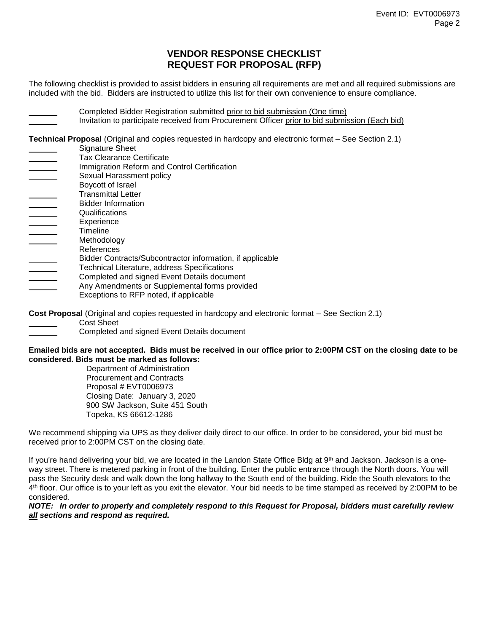## **VENDOR RESPONSE CHECKLIST REQUEST FOR PROPOSAL (RFP)**

The following checklist is provided to assist bidders in ensuring all requirements are met and all required submissions are included with the bid. Bidders are instructed to utilize this list for their own convenience to ensure compliance.

Completed Bidder Registration submitted prior to bid submission (One time) Invitation to participate received from Procurement Officer prior to bid submission (Each bid)

**Technical Proposal** (Original and copies requested in hardcopy and electronic format – See Section 2.1)

- Signature Sheet
- Tax Clearance Certificate
- Immigration Reform and Control Certification
- Sexual Harassment policy
- Boycott of Israel
- Transmittal Letter
- Bidder Information Qualifications
- Experience
- **Timeline**
- Methodology
- References
- Bidder Contracts/Subcontractor information, if applicable
- $\begin{array}{|c|c|c|}\hline \quad \quad & \quad \quad & \quad \quad & \quad \quad \\ \hline \quad \quad & \quad \quad & \quad \quad & \quad \quad \\ \hline \quad \quad & \quad \quad & \quad \quad & \quad \quad \\ \hline \quad \quad & \quad \quad & \quad \quad & \quad \quad \\ \hline \end{array}$ Technical Literature, address Specifications
- Completed and signed Event Details document  $\mathcal{L}^{\text{max}}$
- Any Amendments or Supplemental forms provided
- Exceptions to RFP noted, if applicable

**Cost Proposal** (Original and copies requested in hardcopy and electronic format – See Section 2.1)

- Cost Sheet
	- Completed and signed Event Details document

#### **Emailed bids are not accepted. Bids must be received in our office prior to 2:00PM CST on the closing date to be considered. Bids must be marked as follows:**

Department of Administration Procurement and Contracts Proposal # EVT0006973 Closing Date: January 3, 2020 900 SW Jackson, Suite 451 South Topeka, KS 66612-1286

We recommend shipping via UPS as they deliver daily direct to our office. In order to be considered, your bid must be received prior to 2:00PM CST on the closing date.

If you're hand delivering your bid, we are located in the Landon State Office Bldg at 9<sup>th</sup> and Jackson. Jackson is a oneway street. There is metered parking in front of the building. Enter the public entrance through the North doors. You will pass the Security desk and walk down the long hallway to the South end of the building. Ride the South elevators to the 4 th floor. Our office is to your left as you exit the elevator. Your bid needs to be time stamped as received by 2:00PM to be considered.

## *NOTE: In order to properly and completely respond to this Request for Proposal, bidders must carefully review all sections and respond as required.*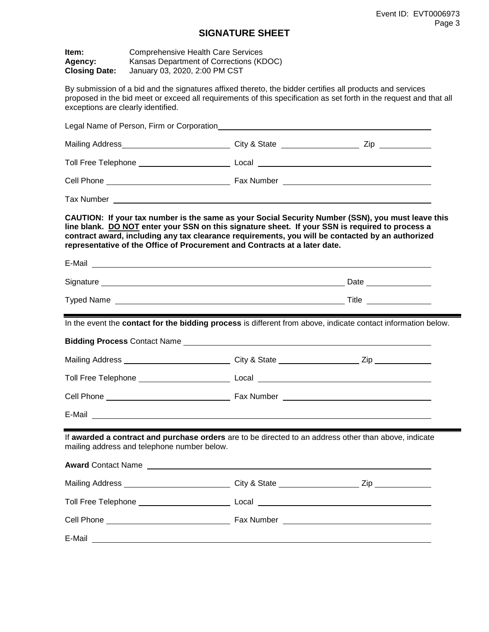## **SIGNATURE SHEET**

| Item:<br>Agency:<br><b>Closing Date:</b>                                                                                                                                                                                                                                                                                                                                               | <b>Comprehensive Health Care Services</b><br>Kansas Department of Corrections (KDOC)<br>January 03, 2020, 2:00 PM CST |                                                                                                                                                                                                                                      |  |  |  |
|----------------------------------------------------------------------------------------------------------------------------------------------------------------------------------------------------------------------------------------------------------------------------------------------------------------------------------------------------------------------------------------|-----------------------------------------------------------------------------------------------------------------------|--------------------------------------------------------------------------------------------------------------------------------------------------------------------------------------------------------------------------------------|--|--|--|
| exceptions are clearly identified.                                                                                                                                                                                                                                                                                                                                                     |                                                                                                                       | By submission of a bid and the signatures affixed thereto, the bidder certifies all products and services<br>proposed in the bid meet or exceed all requirements of this specification as set forth in the request and that all      |  |  |  |
|                                                                                                                                                                                                                                                                                                                                                                                        |                                                                                                                       |                                                                                                                                                                                                                                      |  |  |  |
|                                                                                                                                                                                                                                                                                                                                                                                        |                                                                                                                       |                                                                                                                                                                                                                                      |  |  |  |
|                                                                                                                                                                                                                                                                                                                                                                                        |                                                                                                                       |                                                                                                                                                                                                                                      |  |  |  |
|                                                                                                                                                                                                                                                                                                                                                                                        |                                                                                                                       |                                                                                                                                                                                                                                      |  |  |  |
|                                                                                                                                                                                                                                                                                                                                                                                        |                                                                                                                       |                                                                                                                                                                                                                                      |  |  |  |
| CAUTION: If your tax number is the same as your Social Security Number (SSN), you must leave this<br>line blank. DO NOT enter your SSN on this signature sheet. If your SSN is required to process a<br>contract award, including any tax clearance requirements, you will be contacted by an authorized<br>representative of the Office of Procurement and Contracts at a later date. |                                                                                                                       |                                                                                                                                                                                                                                      |  |  |  |
|                                                                                                                                                                                                                                                                                                                                                                                        |                                                                                                                       | E-Mail entertainment and the contract of the contract of the contract of the contract of the contract of the contract of the contract of the contract of the contract of the contract of the contract of the contract of the c       |  |  |  |
|                                                                                                                                                                                                                                                                                                                                                                                        |                                                                                                                       |                                                                                                                                                                                                                                      |  |  |  |
|                                                                                                                                                                                                                                                                                                                                                                                        |                                                                                                                       |                                                                                                                                                                                                                                      |  |  |  |
|                                                                                                                                                                                                                                                                                                                                                                                        |                                                                                                                       | In the event the contact for the bidding process is different from above, indicate contact information below.                                                                                                                        |  |  |  |
|                                                                                                                                                                                                                                                                                                                                                                                        |                                                                                                                       | Bidding Process Contact Name Learn Contact and Contact Art and Contact and Contact and Contact and Contact and                                                                                                                       |  |  |  |
|                                                                                                                                                                                                                                                                                                                                                                                        |                                                                                                                       |                                                                                                                                                                                                                                      |  |  |  |
|                                                                                                                                                                                                                                                                                                                                                                                        |                                                                                                                       |                                                                                                                                                                                                                                      |  |  |  |
|                                                                                                                                                                                                                                                                                                                                                                                        |                                                                                                                       |                                                                                                                                                                                                                                      |  |  |  |
|                                                                                                                                                                                                                                                                                                                                                                                        |                                                                                                                       |                                                                                                                                                                                                                                      |  |  |  |
|                                                                                                                                                                                                                                                                                                                                                                                        | mailing address and telephone number below.                                                                           | If awarded a contract and purchase orders are to be directed to an address other than above, indicate                                                                                                                                |  |  |  |
|                                                                                                                                                                                                                                                                                                                                                                                        |                                                                                                                       | Award Contact Name <b>Contact Server Contact Contact Contact Contact Contact Contact Contact Contact Contact Contact Contact Contact Contact Contact Contact Contact Contact Contact Contact Contact Contact Contact Contact Con</b> |  |  |  |
|                                                                                                                                                                                                                                                                                                                                                                                        |                                                                                                                       |                                                                                                                                                                                                                                      |  |  |  |
|                                                                                                                                                                                                                                                                                                                                                                                        |                                                                                                                       |                                                                                                                                                                                                                                      |  |  |  |
|                                                                                                                                                                                                                                                                                                                                                                                        |                                                                                                                       |                                                                                                                                                                                                                                      |  |  |  |
|                                                                                                                                                                                                                                                                                                                                                                                        |                                                                                                                       | E-Mail entry and the second contract of the second contract of the second contract of the second contract of the second contract of the second contract of the second contract of the second contract of the second contract o       |  |  |  |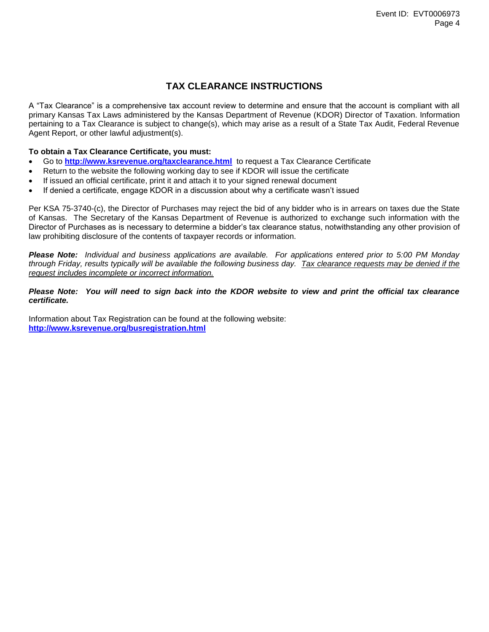## **TAX CLEARANCE INSTRUCTIONS**

A "Tax Clearance" is a comprehensive tax account review to determine and ensure that the account is compliant with all primary Kansas Tax Laws administered by the Kansas Department of Revenue (KDOR) Director of Taxation. Information pertaining to a Tax Clearance is subject to change(s), which may arise as a result of a State Tax Audit, Federal Revenue Agent Report, or other lawful adjustment(s).

## **To obtain a Tax Clearance Certificate, you must:**

- Go to **<http://www.ksrevenue.org/taxclearance.html>** to request a Tax Clearance Certificate
- Return to the website the following working day to see if KDOR will issue the certificate
- If issued an official certificate, print it and attach it to your signed renewal document
- If denied a certificate, engage KDOR in a discussion about why a certificate wasn't issued

Per KSA 75-3740-(c), the Director of Purchases may reject the bid of any bidder who is in arrears on taxes due the State of Kansas. The Secretary of the Kansas Department of Revenue is authorized to exchange such information with the Director of Purchases as is necessary to determine a bidder's tax clearance status, notwithstanding any other provision of law prohibiting disclosure of the contents of taxpayer records or information.

*Please Note: Individual and business applications are available. For applications entered prior to 5:00 PM Monday through Friday, results typically will be available the following business day. Tax clearance requests may be denied if the request includes incomplete or incorrect information.*

## *Please Note: You will need to sign back into the KDOR website to view and print the official tax clearance certificate.*

Information about Tax Registration can be found at the following website: **<http://www.ksrevenue.org/busregistration.html>**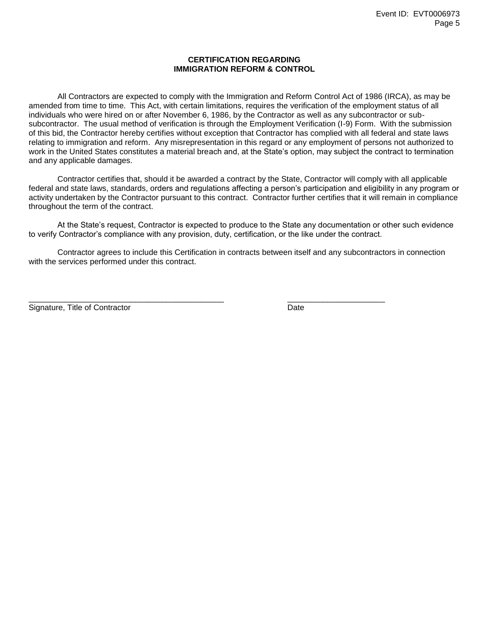## **CERTIFICATION REGARDING IMMIGRATION REFORM & CONTROL**

All Contractors are expected to comply with the Immigration and Reform Control Act of 1986 (IRCA), as may be amended from time to time. This Act, with certain limitations, requires the verification of the employment status of all individuals who were hired on or after November 6, 1986, by the Contractor as well as any subcontractor or subsubcontractor. The usual method of verification is through the Employment Verification (I-9) Form. With the submission of this bid, the Contractor hereby certifies without exception that Contractor has complied with all federal and state laws relating to immigration and reform. Any misrepresentation in this regard or any employment of persons not authorized to work in the United States constitutes a material breach and, at the State's option, may subject the contract to termination and any applicable damages.

Contractor certifies that, should it be awarded a contract by the State, Contractor will comply with all applicable federal and state laws, standards, orders and regulations affecting a person's participation and eligibility in any program or activity undertaken by the Contractor pursuant to this contract. Contractor further certifies that it will remain in compliance throughout the term of the contract.

At the State's request, Contractor is expected to produce to the State any documentation or other such evidence to verify Contractor's compliance with any provision, duty, certification, or the like under the contract.

Contractor agrees to include this Certification in contracts between itself and any subcontractors in connection with the services performed under this contract.

Signature, Title of Contractor **Date** 

 $\overline{\phantom{a}}$  , and the set of the set of the set of the set of the set of the set of the set of the set of the set of the set of the set of the set of the set of the set of the set of the set of the set of the set of the s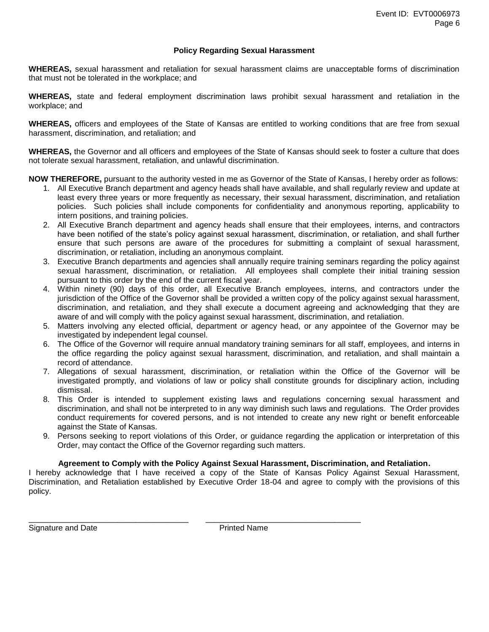## **Policy Regarding Sexual Harassment**

**WHEREAS,** sexual harassment and retaliation for sexual harassment claims are unacceptable forms of discrimination that must not be tolerated in the workplace; and

**WHEREAS,** state and federal employment discrimination laws prohibit sexual harassment and retaliation in the workplace; and

**WHEREAS,** officers and employees of the State of Kansas are entitled to working conditions that are free from sexual harassment, discrimination, and retaliation; and

**WHEREAS,** the Governor and all officers and employees of the State of Kansas should seek to foster a culture that does not tolerate sexual harassment, retaliation, and unlawful discrimination.

**NOW THEREFORE,** pursuant to the authority vested in me as Governor of the State of Kansas, I hereby order as follows:

- 1. All Executive Branch department and agency heads shall have available, and shall regularly review and update at least every three years or more frequently as necessary, their sexual harassment, discrimination, and retaliation policies. Such policies shall include components for confidentiality and anonymous reporting, applicability to intern positions, and training policies.
- 2. All Executive Branch department and agency heads shall ensure that their employees, interns, and contractors have been notified of the state's policy against sexual harassment, discrimination, or retaliation, and shall further ensure that such persons are aware of the procedures for submitting a complaint of sexual harassment, discrimination, or retaliation, including an anonymous complaint.
- 3. Executive Branch departments and agencies shall annually require training seminars regarding the policy against sexual harassment, discrimination, or retaliation. All employees shall complete their initial training session pursuant to this order by the end of the current fiscal year.
- 4. Within ninety (90) days of this order, all Executive Branch employees, interns, and contractors under the jurisdiction of the Office of the Governor shall be provided a written copy of the policy against sexual harassment, discrimination, and retaliation, and they shall execute a document agreeing and acknowledging that they are aware of and will comply with the policy against sexual harassment, discrimination, and retaliation.
- 5. Matters involving any elected official, department or agency head, or any appointee of the Governor may be investigated by independent legal counsel.
- 6. The Office of the Governor will require annual mandatory training seminars for all staff, employees, and interns in the office regarding the policy against sexual harassment, discrimination, and retaliation, and shall maintain a record of attendance.
- 7. Allegations of sexual harassment, discrimination, or retaliation within the Office of the Governor will be investigated promptly, and violations of law or policy shall constitute grounds for disciplinary action, including dismissal.
- 8. This Order is intended to supplement existing laws and regulations concerning sexual harassment and discrimination, and shall not be interpreted to in any way diminish such laws and regulations. The Order provides conduct requirements for covered persons, and is not intended to create any new right or benefit enforceable against the State of Kansas.
- 9. Persons seeking to report violations of this Order, or guidance regarding the application or interpretation of this Order, may contact the Office of the Governor regarding such matters.

## **Agreement to Comply with the Policy Against Sexual Harassment, Discrimination, and Retaliation.**

I hereby acknowledge that I have received a copy of the State of Kansas Policy Against Sexual Harassment, Discrimination, and Retaliation established by Executive Order 18-04 and agree to comply with the provisions of this policy.

Signature and Date **Printed Name** 

\_\_\_\_\_\_\_\_\_\_\_\_\_\_\_\_\_\_\_\_\_\_\_\_\_\_\_\_\_\_\_\_\_\_\_\_ \_\_\_\_\_\_\_\_\_\_\_\_\_\_\_\_\_\_\_\_\_\_\_\_\_\_\_\_\_\_\_\_\_\_\_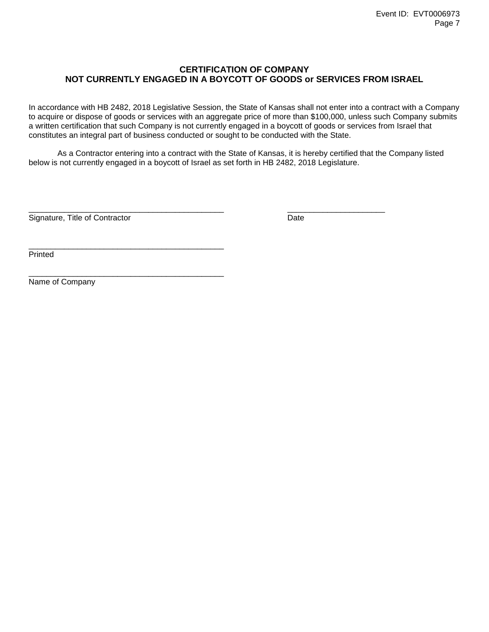## **CERTIFICATION OF COMPANY NOT CURRENTLY ENGAGED IN A BOYCOTT OF GOODS or SERVICES FROM ISRAEL**

In accordance with HB 2482, 2018 Legislative Session, the State of Kansas shall not enter into a contract with a Company to acquire or dispose of goods or services with an aggregate price of more than \$100,000, unless such Company submits a written certification that such Company is not currently engaged in a boycott of goods or services from Israel that constitutes an integral part of business conducted or sought to be conducted with the State.

As a Contractor entering into a contract with the State of Kansas, it is hereby certified that the Company listed below is not currently engaged in a boycott of Israel as set forth in HB 2482, 2018 Legislature.

\_\_\_\_\_\_\_\_\_\_\_\_\_\_\_\_\_\_\_\_\_\_\_\_\_\_\_\_\_\_\_\_\_\_\_\_\_\_\_\_\_\_\_\_ \_\_\_\_\_\_\_\_\_\_\_\_\_\_\_\_\_\_\_\_\_\_

Signature, Title of Contractor **Date** 

\_\_\_\_\_\_\_\_\_\_\_\_\_\_\_\_\_\_\_\_\_\_\_\_\_\_\_\_\_\_\_\_\_\_\_\_\_\_\_\_\_\_\_\_

\_\_\_\_\_\_\_\_\_\_\_\_\_\_\_\_\_\_\_\_\_\_\_\_\_\_\_\_\_\_\_\_\_\_\_\_\_\_\_\_\_\_\_\_

Printed

Name of Company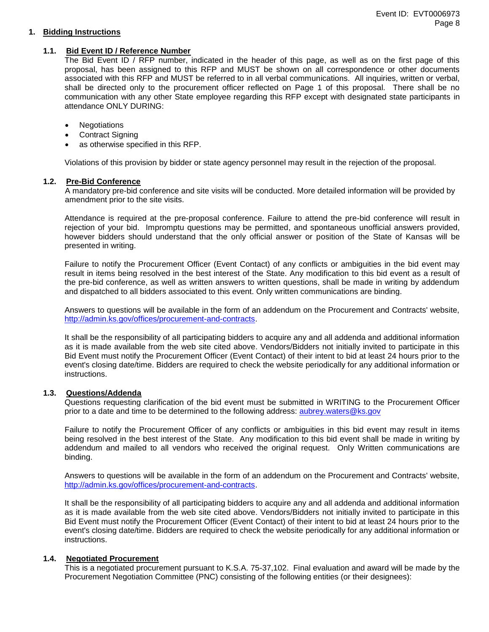## **1. Bidding Instructions**

## **1.1. Bid Event ID / Reference Number**

The Bid Event ID / RFP number, indicated in the header of this page, as well as on the first page of this proposal, has been assigned to this RFP and MUST be shown on all correspondence or other documents associated with this RFP and MUST be referred to in all verbal communications. All inquiries, written or verbal, shall be directed only to the procurement officer reflected on Page 1 of this proposal. There shall be no communication with any other State employee regarding this RFP except with designated state participants in attendance ONLY DURING:

- Negotiations
- Contract Signing
- as otherwise specified in this RFP.

Violations of this provision by bidder or state agency personnel may result in the rejection of the proposal.

## **1.2. Pre-Bid Conference**

A mandatory pre-bid conference and site visits will be conducted. More detailed information will be provided by amendment prior to the site visits.

Attendance is required at the pre-proposal conference. Failure to attend the pre-bid conference will result in rejection of your bid. Impromptu questions may be permitted, and spontaneous unofficial answers provided, however bidders should understand that the only official answer or position of the State of Kansas will be presented in writing.

Failure to notify the Procurement Officer (Event Contact) of any conflicts or ambiguities in the bid event may result in items being resolved in the best interest of the State. Any modification to this bid event as a result of the pre-bid conference, as well as written answers to written questions, shall be made in writing by addendum and dispatched to all bidders associated to this event. Only written communications are binding.

Answers to questions will be available in the form of an addendum on the Procurement and Contracts' website, [http://admin.ks.gov/offices/procurement-and-contracts.](http://admin.ks.gov/offices/procurement-and-contracts)

It shall be the responsibility of all participating bidders to acquire any and all addenda and additional information as it is made available from the web site cited above. Vendors/Bidders not initially invited to participate in this Bid Event must notify the Procurement Officer (Event Contact) of their intent to bid at least 24 hours prior to the event's closing date/time. Bidders are required to check the website periodically for any additional information or instructions.

## **1.3. Questions/Addenda**

Questions requesting clarification of the bid event must be submitted in WRITING to the Procurement Officer prior to a date and time to be determined to the following address: [aubrey.waters@ks.gov](mailto:aubrey.waters@ks.gov)

Failure to notify the Procurement Officer of any conflicts or ambiguities in this bid event may result in items being resolved in the best interest of the State. Any modification to this bid event shall be made in writing by addendum and mailed to all vendors who received the original request. Only Written communications are binding.

Answers to questions will be available in the form of an addendum on the Procurement and Contracts' website, [http://admin.ks.gov/offices/procurement-and-contracts.](http://admin.ks.gov/offices/procurement-and-contracts)

It shall be the responsibility of all participating bidders to acquire any and all addenda and additional information as it is made available from the web site cited above. Vendors/Bidders not initially invited to participate in this Bid Event must notify the Procurement Officer (Event Contact) of their intent to bid at least 24 hours prior to the event's closing date/time. Bidders are required to check the website periodically for any additional information or instructions.

## **1.4. Negotiated Procurement**

This is a negotiated procurement pursuant to K.S.A. 75-37,102. Final evaluation and award will be made by the Procurement Negotiation Committee (PNC) consisting of the following entities (or their designees):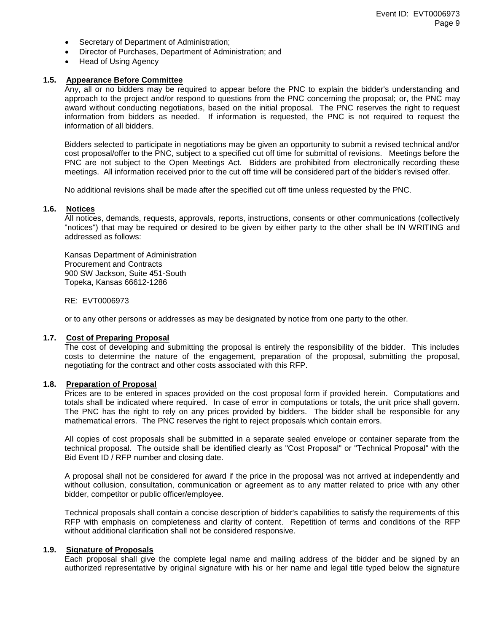- Secretary of Department of Administration;
- Director of Purchases, Department of Administration; and
- Head of Using Agency

## **1.5. Appearance Before Committee**

Any, all or no bidders may be required to appear before the PNC to explain the bidder's understanding and approach to the project and/or respond to questions from the PNC concerning the proposal; or, the PNC may award without conducting negotiations, based on the initial proposal. The PNC reserves the right to request information from bidders as needed. If information is requested, the PNC is not required to request the information of all bidders.

Bidders selected to participate in negotiations may be given an opportunity to submit a revised technical and/or cost proposal/offer to the PNC, subject to a specified cut off time for submittal of revisions. Meetings before the PNC are not subject to the Open Meetings Act. Bidders are prohibited from electronically recording these meetings. All information received prior to the cut off time will be considered part of the bidder's revised offer.

No additional revisions shall be made after the specified cut off time unless requested by the PNC.

#### **1.6. Notices**

All notices, demands, requests, approvals, reports, instructions, consents or other communications (collectively "notices") that may be required or desired to be given by either party to the other shall be IN WRITING and addressed as follows:

Kansas Department of Administration Procurement and Contracts 900 SW Jackson, Suite 451-South Topeka, Kansas 66612-1286

#### RE: EVT0006973

or to any other persons or addresses as may be designated by notice from one party to the other.

## **1.7. Cost of Preparing Proposal**

The cost of developing and submitting the proposal is entirely the responsibility of the bidder. This includes costs to determine the nature of the engagement, preparation of the proposal, submitting the proposal, negotiating for the contract and other costs associated with this RFP.

## **1.8. Preparation of Proposal**

Prices are to be entered in spaces provided on the cost proposal form if provided herein. Computations and totals shall be indicated where required. In case of error in computations or totals, the unit price shall govern. The PNC has the right to rely on any prices provided by bidders. The bidder shall be responsible for any mathematical errors. The PNC reserves the right to reject proposals which contain errors.

All copies of cost proposals shall be submitted in a separate sealed envelope or container separate from the technical proposal. The outside shall be identified clearly as "Cost Proposal" or "Technical Proposal" with the Bid Event ID / RFP number and closing date.

A proposal shall not be considered for award if the price in the proposal was not arrived at independently and without collusion, consultation, communication or agreement as to any matter related to price with any other bidder, competitor or public officer/employee.

Technical proposals shall contain a concise description of bidder's capabilities to satisfy the requirements of this RFP with emphasis on completeness and clarity of content. Repetition of terms and conditions of the RFP without additional clarification shall not be considered responsive.

#### **1.9. Signature of Proposals**

Each proposal shall give the complete legal name and mailing address of the bidder and be signed by an authorized representative by original signature with his or her name and legal title typed below the signature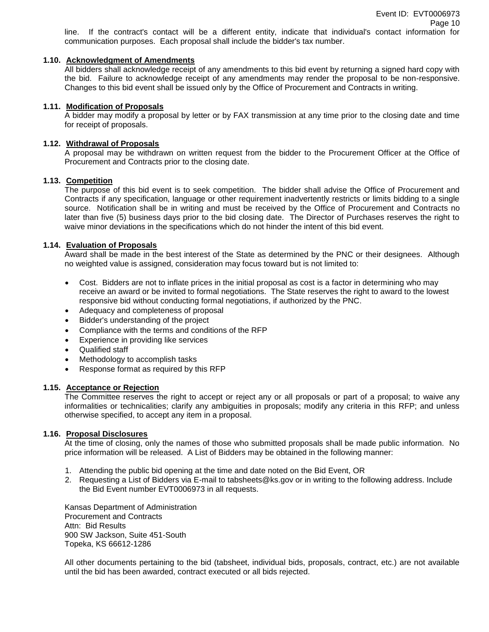line. If the contract's contact will be a different entity, indicate that individual's contact information for communication purposes. Each proposal shall include the bidder's tax number.

## **1.10. Acknowledgment of Amendments**

All bidders shall acknowledge receipt of any amendments to this bid event by returning a signed hard copy with the bid. Failure to acknowledge receipt of any amendments may render the proposal to be non-responsive. Changes to this bid event shall be issued only by the Office of Procurement and Contracts in writing.

## **1.11. Modification of Proposals**

A bidder may modify a proposal by letter or by FAX transmission at any time prior to the closing date and time for receipt of proposals.

#### **1.12. Withdrawal of Proposals**

A proposal may be withdrawn on written request from the bidder to the Procurement Officer at the Office of Procurement and Contracts prior to the closing date.

#### **1.13. Competition**

The purpose of this bid event is to seek competition. The bidder shall advise the Office of Procurement and Contracts if any specification, language or other requirement inadvertently restricts or limits bidding to a single source. Notification shall be in writing and must be received by the Office of Procurement and Contracts no later than five (5) business days prior to the bid closing date. The Director of Purchases reserves the right to waive minor deviations in the specifications which do not hinder the intent of this bid event.

#### **1.14. Evaluation of Proposals**

Award shall be made in the best interest of the State as determined by the PNC or their designees. Although no weighted value is assigned, consideration may focus toward but is not limited to:

- Cost. Bidders are not to inflate prices in the initial proposal as cost is a factor in determining who may receive an award or be invited to formal negotiations. The State reserves the right to award to the lowest responsive bid without conducting formal negotiations, if authorized by the PNC.
- Adequacy and completeness of proposal
- Bidder's understanding of the project
- Compliance with the terms and conditions of the RFP
- Experience in providing like services
- Qualified staff
- Methodology to accomplish tasks
- Response format as required by this RFP

#### **1.15. Acceptance or Rejection**

The Committee reserves the right to accept or reject any or all proposals or part of a proposal; to waive any informalities or technicalities; clarify any ambiguities in proposals; modify any criteria in this RFP; and unless otherwise specified, to accept any item in a proposal.

#### **1.16. Proposal Disclosures**

At the time of closing, only the names of those who submitted proposals shall be made public information. No price information will be released. A List of Bidders may be obtained in the following manner:

- 1. Attending the public bid opening at the time and date noted on the Bid Event, OR
- 2. Requesting a List of Bidders via E-mail to tabsheets@ks.gov or in writing to the following address. Include the Bid Event number EVT0006973 in all requests.

Kansas Department of Administration Procurement and Contracts Attn: Bid Results 900 SW Jackson, Suite 451-South Topeka, KS 66612-1286

All other documents pertaining to the bid (tabsheet, individual bids, proposals, contract, etc.) are not available until the bid has been awarded, contract executed or all bids rejected.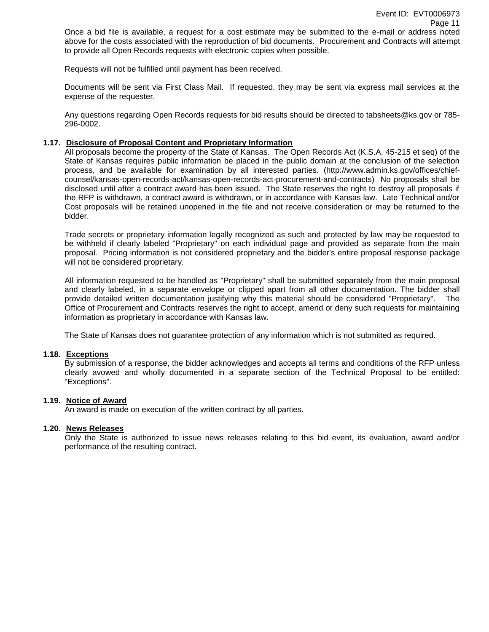Once a bid file is available, a request for a cost estimate may be submitted to the e-mail or address noted above for the costs associated with the reproduction of bid documents. Procurement and Contracts will attempt to provide all Open Records requests with electronic copies when possible.

Requests will not be fulfilled until payment has been received.

Documents will be sent via First Class Mail. If requested, they may be sent via express mail services at the expense of the requester.

Any questions regarding Open Records requests for bid results should be directed to tabsheets@ks.gov or 785- 296-0002.

#### **1.17. Disclosure of Proposal Content and Proprietary Information**

All proposals become the property of the State of Kansas. The Open Records Act (K.S.A. 45-215 et seq) of the State of Kansas requires public information be placed in the public domain at the conclusion of the selection process, and be available for examination by all interested parties. (http://www.admin.ks.gov/offices/chiefcounsel/kansas-open-records-act/kansas-open-records-act-procurement-and-contracts) No proposals shall be disclosed until after a contract award has been issued. The State reserves the right to destroy all proposals if the RFP is withdrawn, a contract award is withdrawn, or in accordance with Kansas law. Late Technical and/or Cost proposals will be retained unopened in the file and not receive consideration or may be returned to the bidder.

Trade secrets or proprietary information legally recognized as such and protected by law may be requested to be withheld if clearly labeled "Proprietary" on each individual page and provided as separate from the main proposal. Pricing information is not considered proprietary and the bidder's entire proposal response package will not be considered proprietary.

All information requested to be handled as "Proprietary" shall be submitted separately from the main proposal and clearly labeled, in a separate envelope or clipped apart from all other documentation. The bidder shall provide detailed written documentation justifying why this material should be considered "Proprietary". The Office of Procurement and Contracts reserves the right to accept, amend or deny such requests for maintaining information as proprietary in accordance with Kansas law.

The State of Kansas does not guarantee protection of any information which is not submitted as required.

#### **1.18. Exceptions**

By submission of a response, the bidder acknowledges and accepts all terms and conditions of the RFP unless clearly avowed and wholly documented in a separate section of the Technical Proposal to be entitled: "Exceptions".

#### **1.19. Notice of Award**

An award is made on execution of the written contract by all parties.

#### **1.20. News Releases**

Only the State is authorized to issue news releases relating to this bid event, its evaluation, award and/or performance of the resulting contract.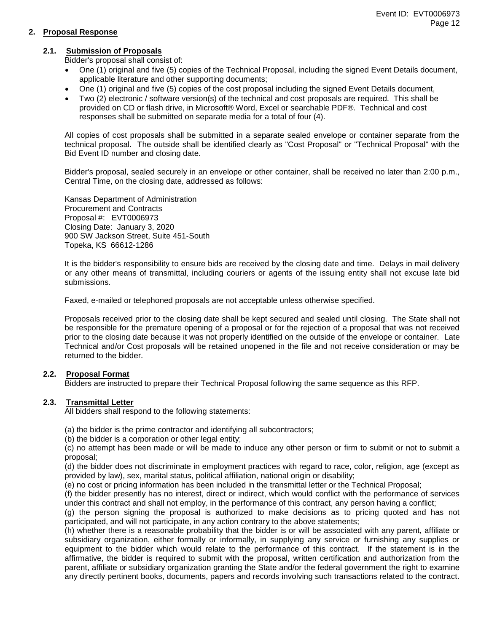## **2. Proposal Response**

## **2.1. Submission of Proposals**

Bidder's proposal shall consist of:

- One (1) original and five (5) copies of the Technical Proposal, including the signed Event Details document, applicable literature and other supporting documents;
- One (1) original and five (5) copies of the cost proposal including the signed Event Details document,
- Two (2) electronic / software version(s) of the technical and cost proposals are required. This shall be provided on CD or flash drive, in Microsoft® Word, Excel or searchable PDF®. Technical and cost responses shall be submitted on separate media for a total of four (4).

All copies of cost proposals shall be submitted in a separate sealed envelope or container separate from the technical proposal. The outside shall be identified clearly as "Cost Proposal" or "Technical Proposal" with the Bid Event ID number and closing date.

Bidder's proposal, sealed securely in an envelope or other container, shall be received no later than 2:00 p.m., Central Time, on the closing date, addressed as follows:

Kansas Department of Administration Procurement and Contracts Proposal #: EVT0006973 Closing Date: January 3, 2020 900 SW Jackson Street, Suite 451-South Topeka, KS 66612-1286

It is the bidder's responsibility to ensure bids are received by the closing date and time. Delays in mail delivery or any other means of transmittal, including couriers or agents of the issuing entity shall not excuse late bid submissions.

Faxed, e-mailed or telephoned proposals are not acceptable unless otherwise specified.

Proposals received prior to the closing date shall be kept secured and sealed until closing. The State shall not be responsible for the premature opening of a proposal or for the rejection of a proposal that was not received prior to the closing date because it was not properly identified on the outside of the envelope or container. Late Technical and/or Cost proposals will be retained unopened in the file and not receive consideration or may be returned to the bidder.

## **2.2. Proposal Format**

Bidders are instructed to prepare their Technical Proposal following the same sequence as this RFP.

## **2.3. Transmittal Letter**

All bidders shall respond to the following statements:

(a) the bidder is the prime contractor and identifying all subcontractors;

(b) the bidder is a corporation or other legal entity;

(c) no attempt has been made or will be made to induce any other person or firm to submit or not to submit a proposal;

(d) the bidder does not discriminate in employment practices with regard to race, color, religion, age (except as provided by law), sex, marital status, political affiliation, national origin or disability;

(e) no cost or pricing information has been included in the transmittal letter or the Technical Proposal;

(f) the bidder presently has no interest, direct or indirect, which would conflict with the performance of services under this contract and shall not employ, in the performance of this contract, any person having a conflict;

(g) the person signing the proposal is authorized to make decisions as to pricing quoted and has not participated, and will not participate, in any action contrary to the above statements;

(h) whether there is a reasonable probability that the bidder is or will be associated with any parent, affiliate or subsidiary organization, either formally or informally, in supplying any service or furnishing any supplies or equipment to the bidder which would relate to the performance of this contract. If the statement is in the affirmative, the bidder is required to submit with the proposal, written certification and authorization from the parent, affiliate or subsidiary organization granting the State and/or the federal government the right to examine any directly pertinent books, documents, papers and records involving such transactions related to the contract.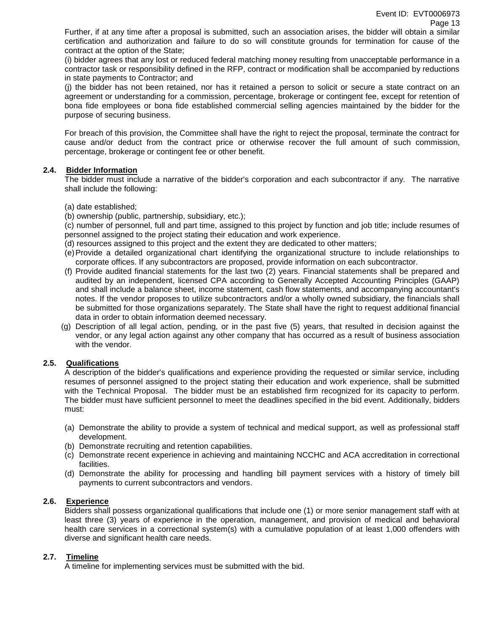Further, if at any time after a proposal is submitted, such an association arises, the bidder will obtain a similar certification and authorization and failure to do so will constitute grounds for termination for cause of the contract at the option of the State;

(i) bidder agrees that any lost or reduced federal matching money resulting from unacceptable performance in a contractor task or responsibility defined in the RFP, contract or modification shall be accompanied by reductions in state payments to Contractor; and

(j) the bidder has not been retained, nor has it retained a person to solicit or secure a state contract on an agreement or understanding for a commission, percentage, brokerage or contingent fee, except for retention of bona fide employees or bona fide established commercial selling agencies maintained by the bidder for the purpose of securing business.

For breach of this provision, the Committee shall have the right to reject the proposal, terminate the contract for cause and/or deduct from the contract price or otherwise recover the full amount of such commission, percentage, brokerage or contingent fee or other benefit.

## **2.4. Bidder Information**

The bidder must include a narrative of the bidder's corporation and each subcontractor if any. The narrative shall include the following:

- (a) date established;
- (b) ownership (public, partnership, subsidiary, etc.);

(c) number of personnel, full and part time, assigned to this project by function and job title; include resumes of personnel assigned to the project stating their education and work experience.

- (d) resources assigned to this project and the extent they are dedicated to other matters;
- (e)Provide a detailed organizational chart identifying the organizational structure to include relationships to corporate offices. If any subcontractors are proposed, provide information on each subcontractor.
- (f) Provide audited financial statements for the last two (2) years. Financial statements shall be prepared and audited by an independent, licensed CPA according to Generally Accepted Accounting Principles (GAAP) and shall include a balance sheet, income statement, cash flow statements, and accompanying accountant's notes. If the vendor proposes to utilize subcontractors and/or a wholly owned subsidiary, the financials shall be submitted for those organizations separately. The State shall have the right to request additional financial data in order to obtain information deemed necessary.
- (g) Description of all legal action, pending, or in the past five (5) years, that resulted in decision against the vendor, or any legal action against any other company that has occurred as a result of business association with the vendor.

## **2.5. Qualifications**

A description of the bidder's qualifications and experience providing the requested or similar service, including resumes of personnel assigned to the project stating their education and work experience, shall be submitted with the Technical Proposal. The bidder must be an established firm recognized for its capacity to perform. The bidder must have sufficient personnel to meet the deadlines specified in the bid event. Additionally, bidders must:

- (a) Demonstrate the ability to provide a system of technical and medical support, as well as professional staff development.
- (b) Demonstrate recruiting and retention capabilities.
- (c) Demonstrate recent experience in achieving and maintaining NCCHC and ACA accreditation in correctional facilities.
- (d) Demonstrate the ability for processing and handling bill payment services with a history of timely bill payments to current subcontractors and vendors.

## **2.6. Experience**

Bidders shall possess organizational qualifications that include one (1) or more senior management staff with at least three (3) years of experience in the operation, management, and provision of medical and behavioral health care services in a correctional system(s) with a cumulative population of at least 1,000 offenders with diverse and significant health care needs.

## **2.7. Timeline**

A timeline for implementing services must be submitted with the bid.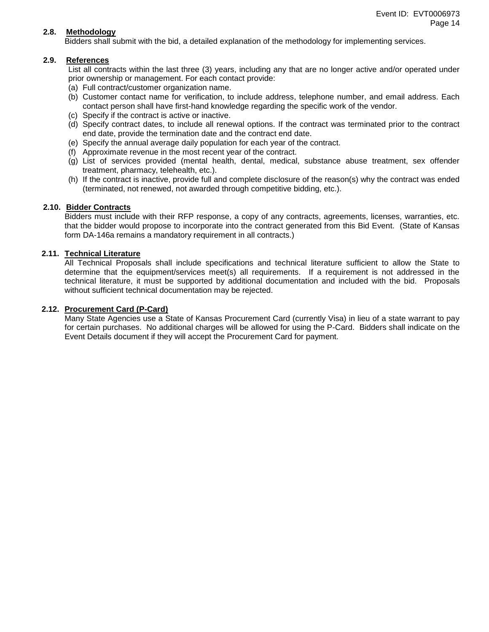## **2.8. Methodology**

Bidders shall submit with the bid, a detailed explanation of the methodology for implementing services.

## **2.9. References**

List all contracts within the last three (3) years, including any that are no longer active and/or operated under prior ownership or management. For each contact provide:

- (a) Full contract/customer organization name.
- (b) Customer contact name for verification, to include address, telephone number, and email address. Each contact person shall have first-hand knowledge regarding the specific work of the vendor.
- (c) Specify if the contract is active or inactive.
- (d) Specify contract dates, to include all renewal options. If the contract was terminated prior to the contract end date, provide the termination date and the contract end date.
- (e) Specify the annual average daily population for each year of the contract.
- (f) Approximate revenue in the most recent year of the contract.
- (g) List of services provided (mental health, dental, medical, substance abuse treatment, sex offender treatment, pharmacy, telehealth, etc.).
- (h) If the contract is inactive, provide full and complete disclosure of the reason(s) why the contract was ended (terminated, not renewed, not awarded through competitive bidding, etc.).

## **2.10. Bidder Contracts**

Bidders must include with their RFP response, a copy of any contracts, agreements, licenses, warranties, etc. that the bidder would propose to incorporate into the contract generated from this Bid Event. (State of Kansas form DA-146a remains a mandatory requirement in all contracts.)

## **2.11. Technical Literature**

All Technical Proposals shall include specifications and technical literature sufficient to allow the State to determine that the equipment/services meet(s) all requirements. If a requirement is not addressed in the technical literature, it must be supported by additional documentation and included with the bid. Proposals without sufficient technical documentation may be rejected.

## **2.12. Procurement Card (P-Card)**

Many State Agencies use a State of Kansas Procurement Card (currently Visa) in lieu of a state warrant to pay for certain purchases. No additional charges will be allowed for using the P-Card. Bidders shall indicate on the Event Details document if they will accept the Procurement Card for payment.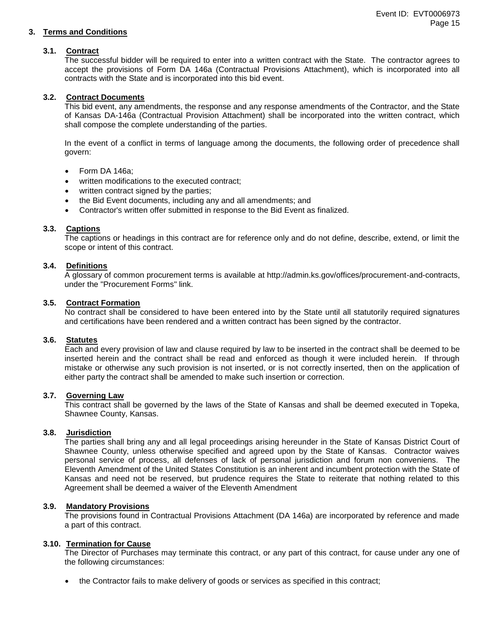## **3. Terms and Conditions**

## **3.1. Contract**

The successful bidder will be required to enter into a written contract with the State. The contractor agrees to accept the provisions of Form DA 146a (Contractual Provisions Attachment), which is incorporated into all contracts with the State and is incorporated into this bid event.

## **3.2. Contract Documents**

This bid event, any amendments, the response and any response amendments of the Contractor, and the State of Kansas DA-146a (Contractual Provision Attachment) shall be incorporated into the written contract, which shall compose the complete understanding of the parties.

In the event of a conflict in terms of language among the documents, the following order of precedence shall govern:

- Form DA 146a;
- written modifications to the executed contract;
- written contract signed by the parties;
- the Bid Event documents, including any and all amendments; and
- Contractor's written offer submitted in response to the Bid Event as finalized.

## **3.3. Captions**

The captions or headings in this contract are for reference only and do not define, describe, extend, or limit the scope or intent of this contract.

## **3.4. Definitions**

A glossary of common procurement terms is available at http://admin.ks.gov/offices/procurement-and-contracts, under the "Procurement Forms" link.

## **3.5. Contract Formation**

No contract shall be considered to have been entered into by the State until all statutorily required signatures and certifications have been rendered and a written contract has been signed by the contractor.

## **3.6. Statutes**

Each and every provision of law and clause required by law to be inserted in the contract shall be deemed to be inserted herein and the contract shall be read and enforced as though it were included herein. If through mistake or otherwise any such provision is not inserted, or is not correctly inserted, then on the application of either party the contract shall be amended to make such insertion or correction.

## **3.7. Governing Law**

This contract shall be governed by the laws of the State of Kansas and shall be deemed executed in Topeka, Shawnee County, Kansas.

## **3.8. Jurisdiction**

The parties shall bring any and all legal proceedings arising hereunder in the State of Kansas District Court of Shawnee County, unless otherwise specified and agreed upon by the State of Kansas. Contractor waives personal service of process, all defenses of lack of personal jurisdiction and forum non conveniens. The Eleventh Amendment of the United States Constitution is an inherent and incumbent protection with the State of Kansas and need not be reserved, but prudence requires the State to reiterate that nothing related to this Agreement shall be deemed a waiver of the Eleventh Amendment

## **3.9. Mandatory Provisions**

The provisions found in Contractual Provisions Attachment (DA 146a) are incorporated by reference and made a part of this contract.

## **3.10. Termination for Cause**

The Director of Purchases may terminate this contract, or any part of this contract, for cause under any one of the following circumstances:

• the Contractor fails to make delivery of goods or services as specified in this contract;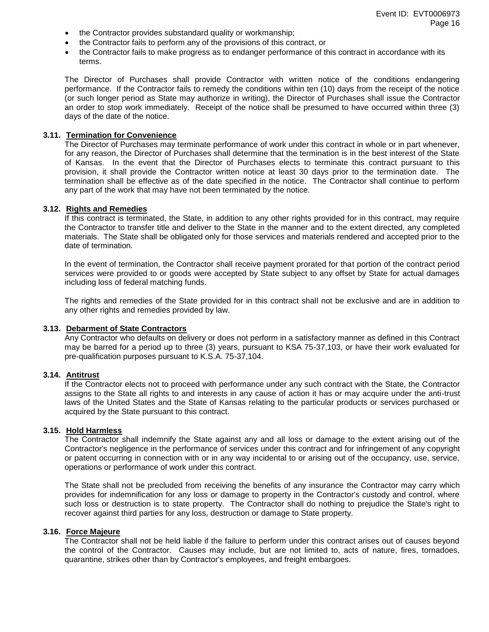- the Contractor provides substandard quality or workmanship;
- the Contractor fails to perform any of the provisions of this contract, or
- the Contractor fails to make progress as to endanger performance of this contract in accordance with its terms.

The Director of Purchases shall provide Contractor with written notice of the conditions endangering performance. If the Contractor fails to remedy the conditions within ten (10) days from the receipt of the notice (or such longer period as State may authorize in writing), the Director of Purchases shall issue the Contractor an order to stop work immediately. Receipt of the notice shall be presumed to have occurred within three (3) days of the date of the notice.

#### **3.11. Termination for Convenience**

The Director of Purchases may terminate performance of work under this contract in whole or in part whenever, for any reason, the Director of Purchases shall determine that the termination is in the best interest of the State of Kansas. In the event that the Director of Purchases elects to terminate this contract pursuant to this provision, it shall provide the Contractor written notice at least 30 days prior to the termination date. The termination shall be effective as of the date specified in the notice. The Contractor shall continue to perform any part of the work that may have not been terminated by the notice.

#### **3.12. Rights and Remedies**

If this contract is terminated, the State, in addition to any other rights provided for in this contract, may require the Contractor to transfer title and deliver to the State in the manner and to the extent directed, any completed materials. The State shall be obligated only for those services and materials rendered and accepted prior to the date of termination.

In the event of termination, the Contractor shall receive payment prorated for that portion of the contract period services were provided to or goods were accepted by State subject to any offset by State for actual damages including loss of federal matching funds.

The rights and remedies of the State provided for in this contract shall not be exclusive and are in addition to any other rights and remedies provided by law.

#### **3.13. Debarment of State Contractors**

Any Contractor who defaults on delivery or does not perform in a satisfactory manner as defined in this Contract may be barred for a period up to three (3) years, pursuant to KSA 75-37,103, or have their work evaluated for pre-qualification purposes pursuant to K.S.A. 75-37,104.

#### **3.14. Antitrust**

If the Contractor elects not to proceed with performance under any such contract with the State, the Contractor assigns to the State all rights to and interests in any cause of action it has or may acquire under the anti-trust laws of the United States and the State of Kansas relating to the particular products or services purchased or acquired by the State pursuant to this contract.

## **3.15. Hold Harmless**

The Contractor shall indemnify the State against any and all loss or damage to the extent arising out of the Contractor's negligence in the performance of services under this contract and for infringement of any copyright or patent occurring in connection with or in any way incidental to or arising out of the occupancy, use, service, operations or performance of work under this contract.

The State shall not be precluded from receiving the benefits of any insurance the Contractor may carry which provides for indemnification for any loss or damage to property in the Contractor's custody and control, where such loss or destruction is to state property. The Contractor shall do nothing to prejudice the State's right to recover against third parties for any loss, destruction or damage to State property.

#### **3.16. Force Majeure**

The Contractor shall not be held liable if the failure to perform under this contract arises out of causes beyond the control of the Contractor. Causes may include, but are not limited to, acts of nature, fires, tornadoes, quarantine, strikes other than by Contractor's employees, and freight embargoes.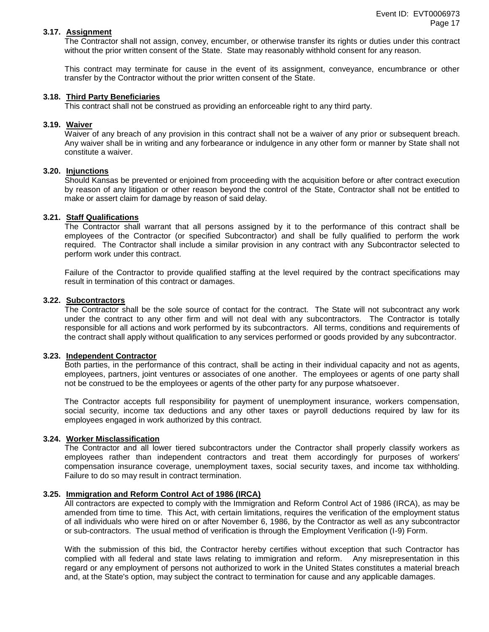#### **3.17. Assignment**

The Contractor shall not assign, convey, encumber, or otherwise transfer its rights or duties under this contract without the prior written consent of the State. State may reasonably withhold consent for any reason.

This contract may terminate for cause in the event of its assignment, conveyance, encumbrance or other transfer by the Contractor without the prior written consent of the State.

## **3.18. Third Party Beneficiaries**

This contract shall not be construed as providing an enforceable right to any third party.

#### **3.19. Waiver**

Waiver of any breach of any provision in this contract shall not be a waiver of any prior or subsequent breach. Any waiver shall be in writing and any forbearance or indulgence in any other form or manner by State shall not constitute a waiver.

## **3.20. Injunctions**

Should Kansas be prevented or enjoined from proceeding with the acquisition before or after contract execution by reason of any litigation or other reason beyond the control of the State, Contractor shall not be entitled to make or assert claim for damage by reason of said delay.

#### **3.21. Staff Qualifications**

The Contractor shall warrant that all persons assigned by it to the performance of this contract shall be employees of the Contractor (or specified Subcontractor) and shall be fully qualified to perform the work required. The Contractor shall include a similar provision in any contract with any Subcontractor selected to perform work under this contract.

Failure of the Contractor to provide qualified staffing at the level required by the contract specifications may result in termination of this contract or damages.

#### **3.22. Subcontractors**

The Contractor shall be the sole source of contact for the contract. The State will not subcontract any work under the contract to any other firm and will not deal with any subcontractors. The Contractor is totally responsible for all actions and work performed by its subcontractors. All terms, conditions and requirements of the contract shall apply without qualification to any services performed or goods provided by any subcontractor.

#### **3.23. Independent Contractor**

Both parties, in the performance of this contract, shall be acting in their individual capacity and not as agents, employees, partners, joint ventures or associates of one another. The employees or agents of one party shall not be construed to be the employees or agents of the other party for any purpose whatsoever.

The Contractor accepts full responsibility for payment of unemployment insurance, workers compensation, social security, income tax deductions and any other taxes or payroll deductions required by law for its employees engaged in work authorized by this contract.

## **3.24. Worker Misclassification**

The Contractor and all lower tiered subcontractors under the Contractor shall properly classify workers as employees rather than independent contractors and treat them accordingly for purposes of workers' compensation insurance coverage, unemployment taxes, social security taxes, and income tax withholding. Failure to do so may result in contract termination.

#### **3.25. Immigration and Reform Control Act of 1986 (IRCA)**

All contractors are expected to comply with the Immigration and Reform Control Act of 1986 (IRCA), as may be amended from time to time. This Act, with certain limitations, requires the verification of the employment status of all individuals who were hired on or after November 6, 1986, by the Contractor as well as any subcontractor or sub-contractors. The usual method of verification is through the Employment Verification (I-9) Form.

With the submission of this bid, the Contractor hereby certifies without exception that such Contractor has complied with all federal and state laws relating to immigration and reform. Any misrepresentation in this regard or any employment of persons not authorized to work in the United States constitutes a material breach and, at the State's option, may subject the contract to termination for cause and any applicable damages.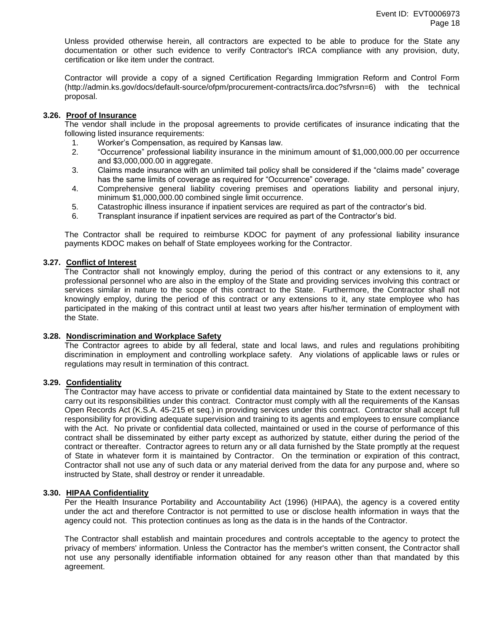Unless provided otherwise herein, all contractors are expected to be able to produce for the State any documentation or other such evidence to verify Contractor's IRCA compliance with any provision, duty, certification or like item under the contract.

Contractor will provide a copy of a signed Certification Regarding Immigration Reform and Control Form (http://admin.ks.gov/docs/default-source/ofpm/procurement-contracts/irca.doc?sfvrsn=6) with the technical proposal.

## **3.26. Proof of Insurance**

The vendor shall include in the proposal agreements to provide certificates of insurance indicating that the following listed insurance requirements:

- 1. Worker's Compensation, as required by Kansas law.
- 2. "Occurrence" professional liability insurance in the minimum amount of \$1,000,000.00 per occurrence and \$3,000,000.00 in aggregate.
- 3. Claims made insurance with an unlimited tail policy shall be considered if the "claims made" coverage has the same limits of coverage as required for "Occurrence" coverage.
- 4. Comprehensive general liability covering premises and operations liability and personal injury, minimum \$1,000,000.00 combined single limit occurrence.
- 5. Catastrophic illness insurance if inpatient services are required as part of the contractor's bid.
- 6. Transplant insurance if inpatient services are required as part of the Contractor's bid.

The Contractor shall be required to reimburse KDOC for payment of any professional liability insurance payments KDOC makes on behalf of State employees working for the Contractor.

## **3.27. Conflict of Interest**

The Contractor shall not knowingly employ, during the period of this contract or any extensions to it, any professional personnel who are also in the employ of the State and providing services involving this contract or services similar in nature to the scope of this contract to the State. Furthermore, the Contractor shall not knowingly employ, during the period of this contract or any extensions to it, any state employee who has participated in the making of this contract until at least two years after his/her termination of employment with the State.

## **3.28. Nondiscrimination and Workplace Safety**

The Contractor agrees to abide by all federal, state and local laws, and rules and regulations prohibiting discrimination in employment and controlling workplace safety. Any violations of applicable laws or rules or regulations may result in termination of this contract.

## **3.29. Confidentiality**

The Contractor may have access to private or confidential data maintained by State to the extent necessary to carry out its responsibilities under this contract. Contractor must comply with all the requirements of the Kansas Open Records Act (K.S.A. 45-215 et seq.) in providing services under this contract. Contractor shall accept full responsibility for providing adequate supervision and training to its agents and employees to ensure compliance with the Act. No private or confidential data collected, maintained or used in the course of performance of this contract shall be disseminated by either party except as authorized by statute, either during the period of the contract or thereafter. Contractor agrees to return any or all data furnished by the State promptly at the request of State in whatever form it is maintained by Contractor. On the termination or expiration of this contract, Contractor shall not use any of such data or any material derived from the data for any purpose and, where so instructed by State, shall destroy or render it unreadable.

## **3.30. HIPAA Confidentiality**

Per the Health Insurance Portability and Accountability Act (1996) (HIPAA), the agency is a covered entity under the act and therefore Contractor is not permitted to use or disclose health information in ways that the agency could not. This protection continues as long as the data is in the hands of the Contractor.

The Contractor shall establish and maintain procedures and controls acceptable to the agency to protect the privacy of members' information. Unless the Contractor has the member's written consent, the Contractor shall not use any personally identifiable information obtained for any reason other than that mandated by this agreement.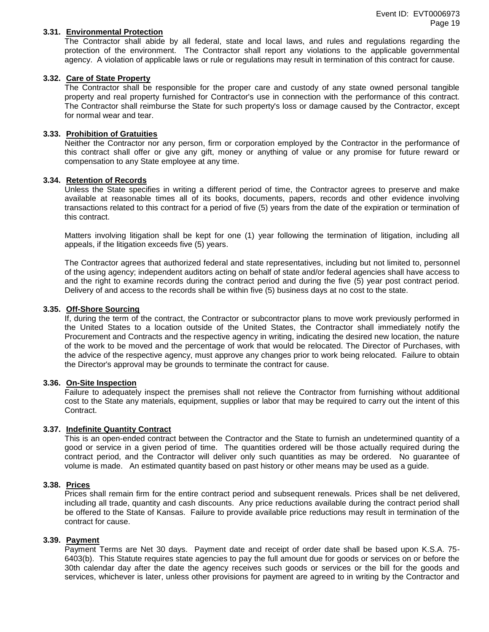#### **3.31. Environmental Protection**

The Contractor shall abide by all federal, state and local laws, and rules and regulations regarding the protection of the environment. The Contractor shall report any violations to the applicable governmental agency. A violation of applicable laws or rule or regulations may result in termination of this contract for cause.

## **3.32. Care of State Property**

The Contractor shall be responsible for the proper care and custody of any state owned personal tangible property and real property furnished for Contractor's use in connection with the performance of this contract. The Contractor shall reimburse the State for such property's loss or damage caused by the Contractor, except for normal wear and tear.

#### **3.33. Prohibition of Gratuities**

Neither the Contractor nor any person, firm or corporation employed by the Contractor in the performance of this contract shall offer or give any gift, money or anything of value or any promise for future reward or compensation to any State employee at any time.

#### **3.34. Retention of Records**

Unless the State specifies in writing a different period of time, the Contractor agrees to preserve and make available at reasonable times all of its books, documents, papers, records and other evidence involving transactions related to this contract for a period of five (5) years from the date of the expiration or termination of this contract.

Matters involving litigation shall be kept for one (1) year following the termination of litigation, including all appeals, if the litigation exceeds five (5) years.

The Contractor agrees that authorized federal and state representatives, including but not limited to, personnel of the using agency; independent auditors acting on behalf of state and/or federal agencies shall have access to and the right to examine records during the contract period and during the five (5) year post contract period. Delivery of and access to the records shall be within five (5) business days at no cost to the state.

#### **3.35. Off-Shore Sourcing**

If, during the term of the contract, the Contractor or subcontractor plans to move work previously performed in the United States to a location outside of the United States, the Contractor shall immediately notify the Procurement and Contracts and the respective agency in writing, indicating the desired new location, the nature of the work to be moved and the percentage of work that would be relocated. The Director of Purchases, with the advice of the respective agency, must approve any changes prior to work being relocated. Failure to obtain the Director's approval may be grounds to terminate the contract for cause.

#### **3.36. On-Site Inspection**

Failure to adequately inspect the premises shall not relieve the Contractor from furnishing without additional cost to the State any materials, equipment, supplies or labor that may be required to carry out the intent of this Contract.

#### **3.37. Indefinite Quantity Contract**

This is an open-ended contract between the Contractor and the State to furnish an undetermined quantity of a good or service in a given period of time. The quantities ordered will be those actually required during the contract period, and the Contractor will deliver only such quantities as may be ordered. No guarantee of volume is made. An estimated quantity based on past history or other means may be used as a guide.

#### **3.38. Prices**

Prices shall remain firm for the entire contract period and subsequent renewals. Prices shall be net delivered, including all trade, quantity and cash discounts. Any price reductions available during the contract period shall be offered to the State of Kansas. Failure to provide available price reductions may result in termination of the contract for cause.

#### **3.39. Payment**

Payment Terms are Net 30 days. Payment date and receipt of order date shall be based upon K.S.A. 75- 6403(b). This Statute requires state agencies to pay the full amount due for goods or services on or before the 30th calendar day after the date the agency receives such goods or services or the bill for the goods and services, whichever is later, unless other provisions for payment are agreed to in writing by the Contractor and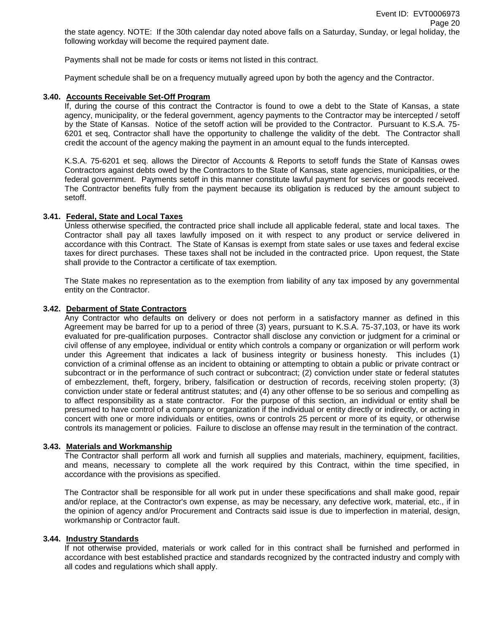Payments shall not be made for costs or items not listed in this contract.

Payment schedule shall be on a frequency mutually agreed upon by both the agency and the Contractor.

## **3.40. Accounts Receivable Set-Off Program**

If, during the course of this contract the Contractor is found to owe a debt to the State of Kansas, a state agency, municipality, or the federal government, agency payments to the Contractor may be intercepted / setoff by the State of Kansas. Notice of the setoff action will be provided to the Contractor. Pursuant to K.S.A. 75- 6201 et seq, Contractor shall have the opportunity to challenge the validity of the debt. The Contractor shall credit the account of the agency making the payment in an amount equal to the funds intercepted.

K.S.A. 75-6201 et seq. allows the Director of Accounts & Reports to setoff funds the State of Kansas owes Contractors against debts owed by the Contractors to the State of Kansas, state agencies, municipalities, or the federal government. Payments setoff in this manner constitute lawful payment for services or goods received. The Contractor benefits fully from the payment because its obligation is reduced by the amount subject to setoff.

## **3.41. Federal, State and Local Taxes**

Unless otherwise specified, the contracted price shall include all applicable federal, state and local taxes. The Contractor shall pay all taxes lawfully imposed on it with respect to any product or service delivered in accordance with this Contract. The State of Kansas is exempt from state sales or use taxes and federal excise taxes for direct purchases. These taxes shall not be included in the contracted price. Upon request, the State shall provide to the Contractor a certificate of tax exemption.

The State makes no representation as to the exemption from liability of any tax imposed by any governmental entity on the Contractor.

#### **3.42. Debarment of State Contractors**

Any Contractor who defaults on delivery or does not perform in a satisfactory manner as defined in this Agreement may be barred for up to a period of three (3) years, pursuant to K.S.A. 75-37,103, or have its work evaluated for pre-qualification purposes. Contractor shall disclose any conviction or judgment for a criminal or civil offense of any employee, individual or entity which controls a company or organization or will perform work under this Agreement that indicates a lack of business integrity or business honesty. This includes (1) conviction of a criminal offense as an incident to obtaining or attempting to obtain a public or private contract or subcontract or in the performance of such contract or subcontract; (2) conviction under state or federal statutes of embezzlement, theft, forgery, bribery, falsification or destruction of records, receiving stolen property; (3) conviction under state or federal antitrust statutes; and (4) any other offense to be so serious and compelling as to affect responsibility as a state contractor. For the purpose of this section, an individual or entity shall be presumed to have control of a company or organization if the individual or entity directly or indirectly, or acting in concert with one or more individuals or entities, owns or controls 25 percent or more of its equity, or otherwise controls its management or policies. Failure to disclose an offense may result in the termination of the contract.

## **3.43. Materials and Workmanship**

The Contractor shall perform all work and furnish all supplies and materials, machinery, equipment, facilities, and means, necessary to complete all the work required by this Contract, within the time specified, in accordance with the provisions as specified.

The Contractor shall be responsible for all work put in under these specifications and shall make good, repair and/or replace, at the Contractor's own expense, as may be necessary, any defective work, material, etc., if in the opinion of agency and/or Procurement and Contracts said issue is due to imperfection in material, design, workmanship or Contractor fault.

## **3.44. Industry Standards**

If not otherwise provided, materials or work called for in this contract shall be furnished and performed in accordance with best established practice and standards recognized by the contracted industry and comply with all codes and regulations which shall apply.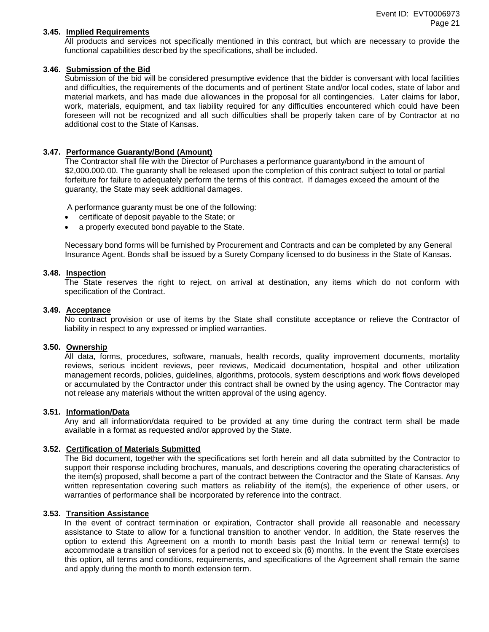#### **3.45. Implied Requirements**

All products and services not specifically mentioned in this contract, but which are necessary to provide the functional capabilities described by the specifications, shall be included.

#### **3.46. Submission of the Bid**

Submission of the bid will be considered presumptive evidence that the bidder is conversant with local facilities and difficulties, the requirements of the documents and of pertinent State and/or local codes, state of labor and material markets, and has made due allowances in the proposal for all contingencies. Later claims for labor, work, materials, equipment, and tax liability required for any difficulties encountered which could have been foreseen will not be recognized and all such difficulties shall be properly taken care of by Contractor at no additional cost to the State of Kansas.

#### **3.47. Performance Guaranty/Bond (Amount)**

The Contractor shall file with the Director of Purchases a performance guaranty/bond in the amount of \$2,000.000.00. The guaranty shall be released upon the completion of this contract subject to total or partial forfeiture for failure to adequately perform the terms of this contract. If damages exceed the amount of the guaranty, the State may seek additional damages.

A performance guaranty must be one of the following:

- certificate of deposit payable to the State; or
- a properly executed bond payable to the State.

Necessary bond forms will be furnished by Procurement and Contracts and can be completed by any General Insurance Agent. Bonds shall be issued by a Surety Company licensed to do business in the State of Kansas.

#### **3.48. Inspection**

The State reserves the right to reject, on arrival at destination, any items which do not conform with specification of the Contract.

#### **3.49. Acceptance**

No contract provision or use of items by the State shall constitute acceptance or relieve the Contractor of liability in respect to any expressed or implied warranties.

#### **3.50. Ownership**

All data, forms, procedures, software, manuals, health records, quality improvement documents, mortality reviews, serious incident reviews, peer reviews, Medicaid documentation, hospital and other utilization management records, policies, guidelines, algorithms, protocols, system descriptions and work flows developed or accumulated by the Contractor under this contract shall be owned by the using agency. The Contractor may not release any materials without the written approval of the using agency.

#### **3.51. Information/Data**

Any and all information/data required to be provided at any time during the contract term shall be made available in a format as requested and/or approved by the State.

## **3.52. Certification of Materials Submitted**

The Bid document, together with the specifications set forth herein and all data submitted by the Contractor to support their response including brochures, manuals, and descriptions covering the operating characteristics of the item(s) proposed, shall become a part of the contract between the Contractor and the State of Kansas. Any written representation covering such matters as reliability of the item(s), the experience of other users, or warranties of performance shall be incorporated by reference into the contract.

## **3.53. Transition Assistance**

In the event of contract termination or expiration, Contractor shall provide all reasonable and necessary assistance to State to allow for a functional transition to another vendor. In addition, the State reserves the option to extend this Agreement on a month to month basis past the Initial term or renewal term(s) to accommodate a transition of services for a period not to exceed six (6) months. In the event the State exercises this option, all terms and conditions, requirements, and specifications of the Agreement shall remain the same and apply during the month to month extension term.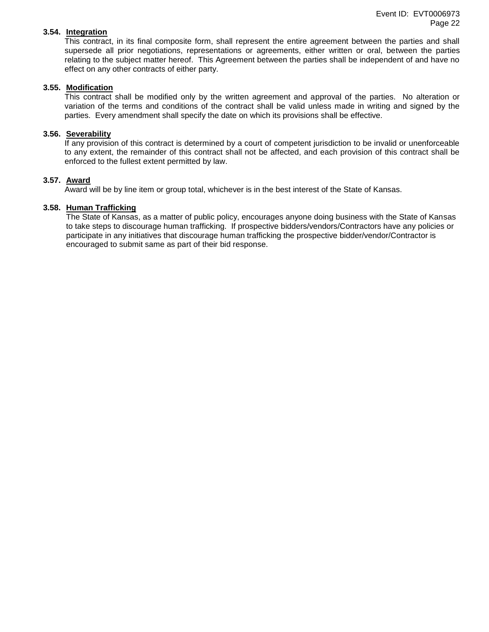## **3.54. Integration**

This contract, in its final composite form, shall represent the entire agreement between the parties and shall supersede all prior negotiations, representations or agreements, either written or oral, between the parties relating to the subject matter hereof. This Agreement between the parties shall be independent of and have no effect on any other contracts of either party.

## **3.55. Modification**

This contract shall be modified only by the written agreement and approval of the parties. No alteration or variation of the terms and conditions of the contract shall be valid unless made in writing and signed by the parties. Every amendment shall specify the date on which its provisions shall be effective.

## **3.56. Severability**

If any provision of this contract is determined by a court of competent jurisdiction to be invalid or unenforceable to any extent, the remainder of this contract shall not be affected, and each provision of this contract shall be enforced to the fullest extent permitted by law.

#### **3.57. Award**

Award will be by line item or group total, whichever is in the best interest of the State of Kansas.

#### **3.58. Human Trafficking**

The State of Kansas, as a matter of public policy, encourages anyone doing business with the State of Kansas to take steps to discourage human trafficking. If prospective bidders/vendors/Contractors have any policies or participate in any initiatives that discourage human trafficking the prospective bidder/vendor/Contractor is encouraged to submit same as part of their bid response.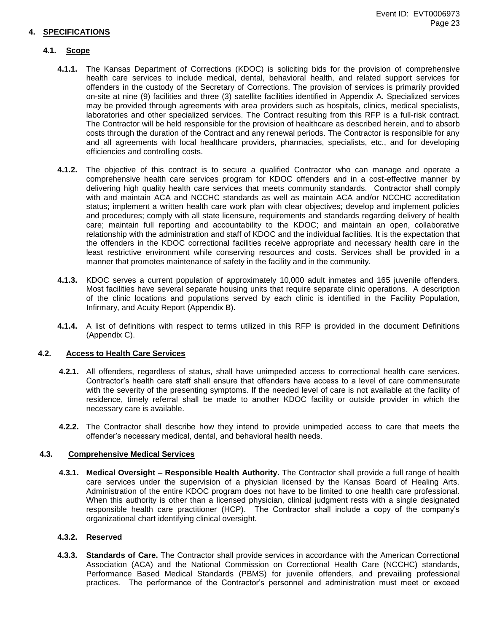## **4. SPECIFICATIONS**

## **4.1. Scope**

- **4.1.1.** The Kansas Department of Corrections (KDOC) is soliciting bids for the provision of comprehensive health care services to include medical, dental, behavioral health, and related support services for offenders in the custody of the Secretary of Corrections. The provision of services is primarily provided on-site at nine (9) facilities and three (3) satellite facilities identified in Appendix A. Specialized services may be provided through agreements with area providers such as hospitals, clinics, medical specialists, laboratories and other specialized services. The Contract resulting from this RFP is a full-risk contract. The Contractor will be held responsible for the provision of healthcare as described herein, and to absorb costs through the duration of the Contract and any renewal periods. The Contractor is responsible for any and all agreements with local healthcare providers, pharmacies, specialists, etc., and for developing efficiencies and controlling costs.
- **4.1.2.** The objective of this contract is to secure a qualified Contractor who can manage and operate a comprehensive health care services program for KDOC offenders and in a cost-effective manner by delivering high quality health care services that meets community standards. Contractor shall comply with and maintain ACA and NCCHC standards as well as maintain ACA and/or NCCHC accreditation status; implement a written health care work plan with clear objectives; develop and implement policies and procedures; comply with all state licensure, requirements and standards regarding delivery of health care; maintain full reporting and accountability to the KDOC; and maintain an open, collaborative relationship with the administration and staff of KDOC and the individual facilities. It is the expectation that the offenders in the KDOC correctional facilities receive appropriate and necessary health care in the least restrictive environment while conserving resources and costs. Services shall be provided in a manner that promotes maintenance of safety in the facility and in the community.
- **4.1.3.** KDOC serves a current population of approximately 10,000 adult inmates and 165 juvenile offenders. Most facilities have several separate housing units that require separate clinic operations. A description of the clinic locations and populations served by each clinic is identified in the Facility Population, Infirmary, and Acuity Report (Appendix B).
- **4.1.4.** A list of definitions with respect to terms utilized in this RFP is provided in the document Definitions (Appendix C).

## **4.2. Access to Health Care Services**

- **4.2.1.** All offenders, regardless of status, shall have unimpeded access to correctional health care services. Contractor's health care staff shall ensure that offenders have access to a level of care commensurate with the severity of the presenting symptoms. If the needed level of care is not available at the facility of residence, timely referral shall be made to another KDOC facility or outside provider in which the necessary care is available.
- **4.2.2.** The Contractor shall describe how they intend to provide unimpeded access to care that meets the offender's necessary medical, dental, and behavioral health needs.

#### **4.3. Comprehensive Medical Services**

**4.3.1. Medical Oversight – Responsible Health Authority.** The Contractor shall provide a full range of health care services under the supervision of a physician licensed by the Kansas Board of Healing Arts. Administration of the entire KDOC program does not have to be limited to one health care professional. When this authority is other than a licensed physician, clinical judgment rests with a single designated responsible health care practitioner (HCP). The Contractor shall include a copy of the company's organizational chart identifying clinical oversight.

## **4.3.2. Reserved**

**4.3.3. Standards of Care.** The Contractor shall provide services in accordance with the American Correctional Association (ACA) and the National Commission on Correctional Health Care (NCCHC) standards, Performance Based Medical Standards (PBMS) for juvenile offenders, and prevailing professional practices. The performance of the Contractor's personnel and administration must meet or exceed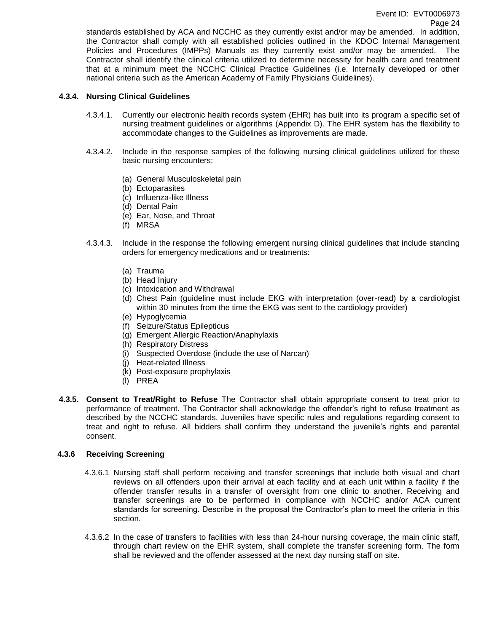standards established by ACA and NCCHC as they currently exist and/or may be amended. In addition, the Contractor shall comply with all established policies outlined in the KDOC Internal Management Policies and Procedures (IMPPs) Manuals as they currently exist and/or may be amended. The Contractor shall identify the clinical criteria utilized to determine necessity for health care and treatment that at a minimum meet the NCCHC Clinical Practice Guidelines (i.e. Internally developed or other national criteria such as the American Academy of Family Physicians Guidelines).

## **4.3.4. Nursing Clinical Guidelines**

- 4.3.4.1. Currently our electronic health records system (EHR) has built into its program a specific set of nursing treatment guidelines or algorithms (Appendix D). The EHR system has the flexibility to accommodate changes to the Guidelines as improvements are made.
- 4.3.4.2. Include in the response samples of the following nursing clinical guidelines utilized for these basic nursing encounters:
	- (a) General Musculoskeletal pain
	- (b) Ectoparasites
	- (c) Influenza-like Illness
	- (d) Dental Pain
	- (e) Ear, Nose, and Throat
	- (f) MRSA
- 4.3.4.3. Include in the response the following emergent nursing clinical guidelines that include standing orders for emergency medications and or treatments:
	- (a) Trauma
	- (b) Head Injury
	- (c) Intoxication and Withdrawal
	- (d) Chest Pain (guideline must include EKG with interpretation (over-read) by a cardiologist within 30 minutes from the time the EKG was sent to the cardiology provider)
	- (e) Hypoglycemia
	- (f) Seizure/Status Epilepticus
	- (g) Emergent Allergic Reaction/Anaphylaxis
	- (h) Respiratory Distress
	- (i) Suspected Overdose (include the use of Narcan)
	- (j) Heat-related Illness
	- (k) Post-exposure prophylaxis
	- (l) PREA
- **4.3.5. Consent to Treat/Right to Refuse** The Contractor shall obtain appropriate consent to treat prior to performance of treatment. The Contractor shall acknowledge the offender's right to refuse treatment as described by the NCCHC standards. Juveniles have specific rules and regulations regarding consent to treat and right to refuse. All bidders shall confirm they understand the juvenile's rights and parental consent.

## **4.3.6 Receiving Screening**

- 4.3.6.1 Nursing staff shall perform receiving and transfer screenings that include both visual and chart reviews on all offenders upon their arrival at each facility and at each unit within a facility if the offender transfer results in a transfer of oversight from one clinic to another. Receiving and transfer screenings are to be performed in compliance with NCCHC and/or ACA current standards for screening. Describe in the proposal the Contractor's plan to meet the criteria in this section.
- 4.3.6.2 In the case of transfers to facilities with less than 24-hour nursing coverage, the main clinic staff, through chart review on the EHR system, shall complete the transfer screening form. The form shall be reviewed and the offender assessed at the next day nursing staff on site.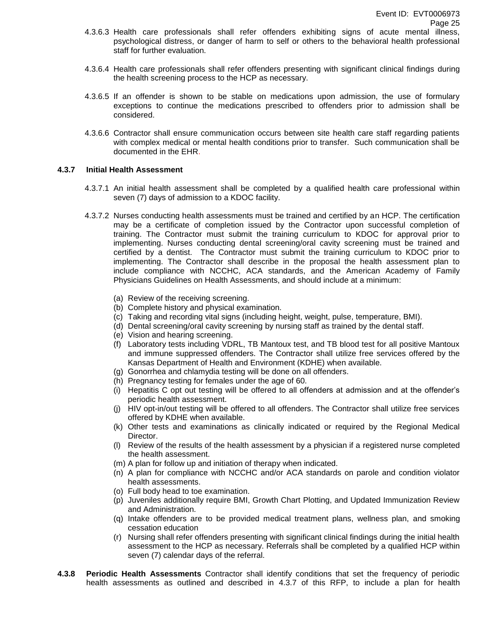- 4.3.6.3 Health care professionals shall refer offenders exhibiting signs of acute mental illness, psychological distress, or danger of harm to self or others to the behavioral health professional staff for further evaluation.
- 4.3.6.4 Health care professionals shall refer offenders presenting with significant clinical findings during the health screening process to the HCP as necessary.
- 4.3.6.5 If an offender is shown to be stable on medications upon admission, the use of formulary exceptions to continue the medications prescribed to offenders prior to admission shall be considered.
- 4.3.6.6 Contractor shall ensure communication occurs between site health care staff regarding patients with complex medical or mental health conditions prior to transfer. Such communication shall be documented in the EHR.

#### **4.3.7 Initial Health Assessment**

- 4.3.7.1 An initial health assessment shall be completed by a qualified health care professional within seven (7) days of admission to a KDOC facility.
- 4.3.7.2 Nurses conducting health assessments must be trained and certified by an HCP. The certification may be a certificate of completion issued by the Contractor upon successful completion of training. The Contractor must submit the training curriculum to KDOC for approval prior to implementing. Nurses conducting dental screening/oral cavity screening must be trained and certified by a dentist. The Contractor must submit the training curriculum to KDOC prior to implementing. The Contractor shall describe in the proposal the health assessment plan to include compliance with NCCHC, ACA standards, and the American Academy of Family Physicians Guidelines on Health Assessments, and should include at a minimum:
	- (a) Review of the receiving screening.
	- (b) Complete history and physical examination.
	- (c) Taking and recording vital signs (including height, weight, pulse, temperature, BMI).
	- (d) Dental screening/oral cavity screening by nursing staff as trained by the dental staff.
	- (e) Vision and hearing screening.
	- (f) Laboratory tests including VDRL, TB Mantoux test, and TB blood test for all positive Mantoux and immune suppressed offenders. The Contractor shall utilize free services offered by the Kansas Department of Health and Environment (KDHE) when available.
	- (g) Gonorrhea and chlamydia testing will be done on all offenders.
	- (h) Pregnancy testing for females under the age of 60.
	- (i) Hepatitis C opt out testing will be offered to all offenders at admission and at the offender's periodic health assessment.
	- (j) HIV opt-in/out testing will be offered to all offenders. The Contractor shall utilize free services offered by KDHE when available.
	- (k) Other tests and examinations as clinically indicated or required by the Regional Medical Director.
	- (l) Review of the results of the health assessment by a physician if a registered nurse completed the health assessment.
	- (m) A plan for follow up and initiation of therapy when indicated.
	- (n) A plan for compliance with NCCHC and/or ACA standards on parole and condition violator health assessments.
	- (o) Full body head to toe examination.
	- (p) Juveniles additionally require BMI, Growth Chart Plotting, and Updated Immunization Review and Administration.
	- (q) Intake offenders are to be provided medical treatment plans, wellness plan, and smoking cessation education
	- (r) Nursing shall refer offenders presenting with significant clinical findings during the initial health assessment to the HCP as necessary. Referrals shall be completed by a qualified HCP within seven (7) calendar days of the referral.
- **4.3.8 Periodic Health Assessments** Contractor shall identify conditions that set the frequency of periodic health assessments as outlined and described in 4.3.7 of this RFP, to include a plan for health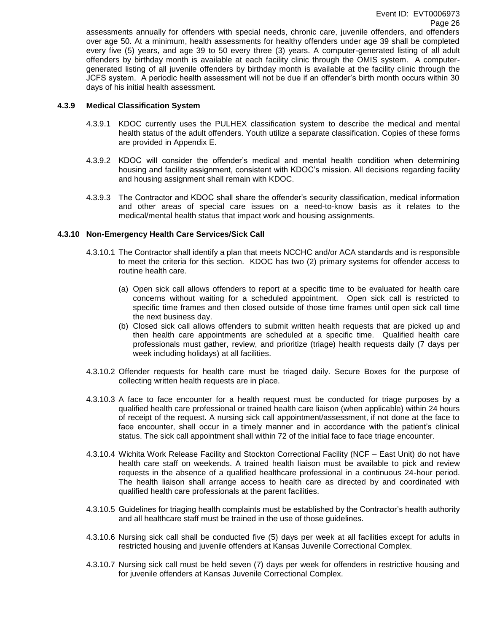assessments annually for offenders with special needs, chronic care, juvenile offenders, and offenders over age 50. At a minimum, health assessments for healthy offenders under age 39 shall be completed every five (5) years, and age 39 to 50 every three (3) years. A computer-generated listing of all adult offenders by birthday month is available at each facility clinic through the OMIS system. A computergenerated listing of all juvenile offenders by birthday month is available at the facility clinic through the JCFS system. A periodic health assessment will not be due if an offender's birth month occurs within 30 days of his initial health assessment.

#### **4.3.9 Medical Classification System**

- 4.3.9.1 KDOC currently uses the PULHEX classification system to describe the medical and mental health status of the adult offenders. Youth utilize a separate classification. Copies of these forms are provided in Appendix E.
- 4.3.9.2 KDOC will consider the offender's medical and mental health condition when determining housing and facility assignment, consistent with KDOC's mission. All decisions regarding facility and housing assignment shall remain with KDOC.
- 4.3.9.3 The Contractor and KDOC shall share the offender's security classification, medical information and other areas of special care issues on a need-to-know basis as it relates to the medical/mental health status that impact work and housing assignments.

## **4.3.10 Non-Emergency Health Care Services/Sick Call**

- 4.3.10.1 The Contractor shall identify a plan that meets NCCHC and/or ACA standards and is responsible to meet the criteria for this section. KDOC has two (2) primary systems for offender access to routine health care.
	- (a) Open sick call allows offenders to report at a specific time to be evaluated for health care concerns without waiting for a scheduled appointment. Open sick call is restricted to specific time frames and then closed outside of those time frames until open sick call time the next business day.
	- (b) Closed sick call allows offenders to submit written health requests that are picked up and then health care appointments are scheduled at a specific time. Qualified health care professionals must gather, review, and prioritize (triage) health requests daily (7 days per week including holidays) at all facilities.
- 4.3.10.2 Offender requests for health care must be triaged daily. Secure Boxes for the purpose of collecting written health requests are in place.
- 4.3.10.3 A face to face encounter for a health request must be conducted for triage purposes by a qualified health care professional or trained health care liaison (when applicable) within 24 hours of receipt of the request. A nursing sick call appointment/assessment, if not done at the face to face encounter, shall occur in a timely manner and in accordance with the patient's clinical status. The sick call appointment shall within 72 of the initial face to face triage encounter.
- 4.3.10.4 Wichita Work Release Facility and Stockton Correctional Facility (NCF East Unit) do not have health care staff on weekends. A trained health liaison must be available to pick and review requests in the absence of a qualified healthcare professional in a continuous 24-hour period. The health liaison shall arrange access to health care as directed by and coordinated with qualified health care professionals at the parent facilities.
- 4.3.10.5 Guidelines for triaging health complaints must be established by the Contractor's health authority and all healthcare staff must be trained in the use of those guidelines.
- 4.3.10.6 Nursing sick call shall be conducted five (5) days per week at all facilities except for adults in restricted housing and juvenile offenders at Kansas Juvenile Correctional Complex.
- 4.3.10.7 Nursing sick call must be held seven (7) days per week for offenders in restrictive housing and for juvenile offenders at Kansas Juvenile Correctional Complex.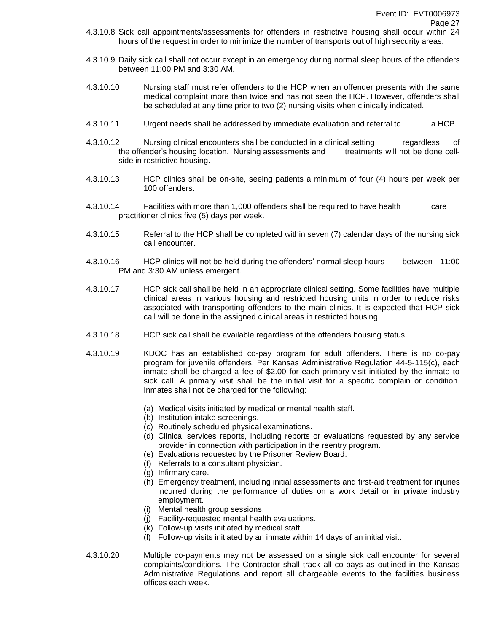- 4.3.10.8 Sick call appointments/assessments for offenders in restrictive housing shall occur within 24 hours of the request in order to minimize the number of transports out of high security areas.
- 4.3.10.9 Daily sick call shall not occur except in an emergency during normal sleep hours of the offenders between 11:00 PM and 3:30 AM.
- 4.3.10.10 Nursing staff must refer offenders to the HCP when an offender presents with the same medical complaint more than twice and has not seen the HCP. However, offenders shall be scheduled at any time prior to two (2) nursing visits when clinically indicated.
- 4.3.10.11 Urgent needs shall be addressed by immediate evaluation and referral to a HCP.
- 4.3.10.12 Nursing clinical encounters shall be conducted in a clinical setting regardless of the offender's housing location. Nursing assessments and treatments will not be done cellside in restrictive housing.
- 4.3.10.13 HCP clinics shall be on-site, seeing patients a minimum of four (4) hours per week per 100 offenders.
- 4.3.10.14 Facilities with more than 1,000 offenders shall be required to have health care practitioner clinics five (5) days per week.
- 4.3.10.15 Referral to the HCP shall be completed within seven (7) calendar days of the nursing sick call encounter.
- 4.3.10.16 HCP clinics will not be held during the offenders' normal sleep hours between 11:00 PM and 3:30 AM unless emergent.
- 4.3.10.17 HCP sick call shall be held in an appropriate clinical setting. Some facilities have multiple clinical areas in various housing and restricted housing units in order to reduce risks associated with transporting offenders to the main clinics. It is expected that HCP sick call will be done in the assigned clinical areas in restricted housing.
- 4.3.10.18 HCP sick call shall be available regardless of the offenders housing status.
- 4.3.10.19 KDOC has an established co-pay program for adult offenders. There is no co-pay program for juvenile offenders. Per Kansas Administrative Regulation 44-5-115(c), each inmate shall be charged a fee of \$2.00 for each primary visit initiated by the inmate to sick call. A primary visit shall be the initial visit for a specific complain or condition. Inmates shall not be charged for the following:
	- (a) Medical visits initiated by medical or mental health staff.
	- (b) Institution intake screenings.
	- (c) Routinely scheduled physical examinations.
	- (d) Clinical services reports, including reports or evaluations requested by any service provider in connection with participation in the reentry program.
	- (e) Evaluations requested by the Prisoner Review Board.
	- (f) Referrals to a consultant physician.
	- (g) Infirmary care.
	- (h) Emergency treatment, including initial assessments and first-aid treatment for injuries incurred during the performance of duties on a work detail or in private industry employment.
	- (i) Mental health group sessions.
	- (j) Facility-requested mental health evaluations.
	- (k) Follow-up visits initiated by medical staff.
	- (l) Follow-up visits initiated by an inmate within 14 days of an initial visit.
- 4.3.10.20 Multiple co-payments may not be assessed on a single sick call encounter for several complaints/conditions. The Contractor shall track all co-pays as outlined in the Kansas Administrative Regulations and report all chargeable events to the facilities business offices each week.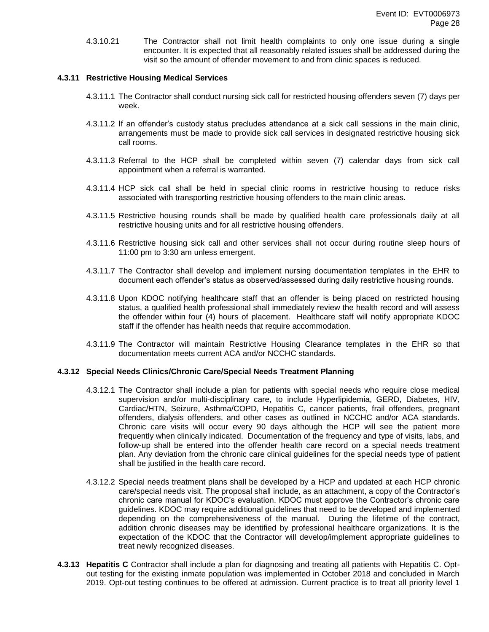4.3.10.21 The Contractor shall not limit health complaints to only one issue during a single encounter. It is expected that all reasonably related issues shall be addressed during the visit so the amount of offender movement to and from clinic spaces is reduced.

## **4.3.11 Restrictive Housing Medical Services**

- 4.3.11.1 The Contractor shall conduct nursing sick call for restricted housing offenders seven (7) days per week.
- 4.3.11.2 If an offender's custody status precludes attendance at a sick call sessions in the main clinic, arrangements must be made to provide sick call services in designated restrictive housing sick call rooms.
- 4.3.11.3 Referral to the HCP shall be completed within seven (7) calendar days from sick call appointment when a referral is warranted.
- 4.3.11.4 HCP sick call shall be held in special clinic rooms in restrictive housing to reduce risks associated with transporting restrictive housing offenders to the main clinic areas.
- 4.3.11.5 Restrictive housing rounds shall be made by qualified health care professionals daily at all restrictive housing units and for all restrictive housing offenders.
- 4.3.11.6 Restrictive housing sick call and other services shall not occur during routine sleep hours of 11:00 pm to 3:30 am unless emergent.
- 4.3.11.7 The Contractor shall develop and implement nursing documentation templates in the EHR to document each offender's status as observed/assessed during daily restrictive housing rounds.
- 4.3.11.8 Upon KDOC notifying healthcare staff that an offender is being placed on restricted housing status, a qualified health professional shall immediately review the health record and will assess the offender within four (4) hours of placement. Healthcare staff will notify appropriate KDOC staff if the offender has health needs that require accommodation.
- 4.3.11.9 The Contractor will maintain Restrictive Housing Clearance templates in the EHR so that documentation meets current ACA and/or NCCHC standards.

## **4.3.12 Special Needs Clinics/Chronic Care/Special Needs Treatment Planning**

- 4.3.12.1 The Contractor shall include a plan for patients with special needs who require close medical supervision and/or multi-disciplinary care, to include Hyperlipidemia, GERD, Diabetes, HIV, Cardiac/HTN, Seizure, Asthma/COPD, Hepatitis C, cancer patients, frail offenders, pregnant offenders, dialysis offenders, and other cases as outlined in NCCHC and/or ACA standards. Chronic care visits will occur every 90 days although the HCP will see the patient more frequently when clinically indicated. Documentation of the frequency and type of visits, labs, and follow-up shall be entered into the offender health care record on a special needs treatment plan. Any deviation from the chronic care clinical guidelines for the special needs type of patient shall be justified in the health care record.
- 4.3.12.2 Special needs treatment plans shall be developed by a HCP and updated at each HCP chronic care/special needs visit. The proposal shall include, as an attachment, a copy of the Contractor's chronic care manual for KDOC's evaluation. KDOC must approve the Contractor's chronic care guidelines. KDOC may require additional guidelines that need to be developed and implemented depending on the comprehensiveness of the manual. During the lifetime of the contract, addition chronic diseases may be identified by professional healthcare organizations. It is the expectation of the KDOC that the Contractor will develop/implement appropriate guidelines to treat newly recognized diseases.
- **4.3.13 Hepatitis C** Contractor shall include a plan for diagnosing and treating all patients with Hepatitis C. Optout testing for the existing inmate population was implemented in October 2018 and concluded in March 2019. Opt-out testing continues to be offered at admission. Current practice is to treat all priority level 1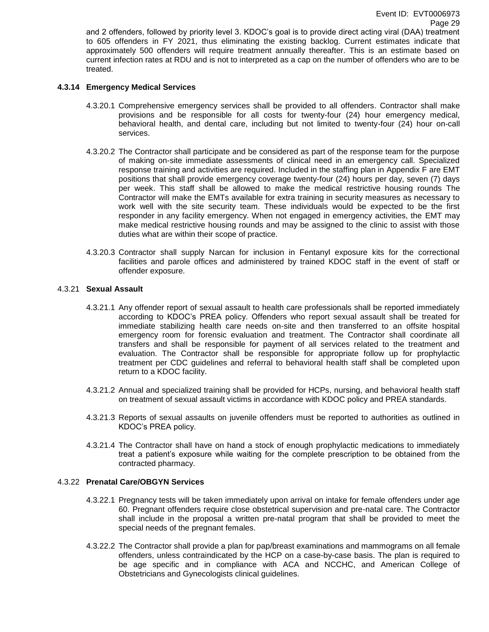and 2 offenders, followed by priority level 3. KDOC's goal is to provide direct acting viral (DAA) treatment to 605 offenders in FY 2021, thus eliminating the existing backlog. Current estimates indicate that approximately 500 offenders will require treatment annually thereafter. This is an estimate based on current infection rates at RDU and is not to interpreted as a cap on the number of offenders who are to be treated.

## **4.3.14 Emergency Medical Services**

- 4.3.20.1 Comprehensive emergency services shall be provided to all offenders. Contractor shall make provisions and be responsible for all costs for twenty-four (24) hour emergency medical, behavioral health, and dental care, including but not limited to twenty-four (24) hour on-call services.
- 4.3.20.2 The Contractor shall participate and be considered as part of the response team for the purpose of making on-site immediate assessments of clinical need in an emergency call. Specialized response training and activities are required. Included in the staffing plan in Appendix F are EMT positions that shall provide emergency coverage twenty-four (24) hours per day, seven (7) days per week. This staff shall be allowed to make the medical restrictive housing rounds The Contractor will make the EMTs available for extra training in security measures as necessary to work well with the site security team. These individuals would be expected to be the first responder in any facility emergency. When not engaged in emergency activities, the EMT may make medical restrictive housing rounds and may be assigned to the clinic to assist with those duties what are within their scope of practice.
- 4.3.20.3 Contractor shall supply Narcan for inclusion in Fentanyl exposure kits for the correctional facilities and parole offices and administered by trained KDOC staff in the event of staff or offender exposure.

#### 4.3.21 **Sexual Assault**

- 4.3.21.1 Any offender report of sexual assault to health care professionals shall be reported immediately according to KDOC's PREA policy. Offenders who report sexual assault shall be treated for immediate stabilizing health care needs on-site and then transferred to an offsite hospital emergency room for forensic evaluation and treatment. The Contractor shall coordinate all transfers and shall be responsible for payment of all services related to the treatment and evaluation. The Contractor shall be responsible for appropriate follow up for prophylactic treatment per CDC guidelines and referral to behavioral health staff shall be completed upon return to a KDOC facility.
- 4.3.21.2 Annual and specialized training shall be provided for HCPs, nursing, and behavioral health staff on treatment of sexual assault victims in accordance with KDOC policy and PREA standards.
- 4.3.21.3 Reports of sexual assaults on juvenile offenders must be reported to authorities as outlined in KDOC's PREA policy.
- 4.3.21.4 The Contractor shall have on hand a stock of enough prophylactic medications to immediately treat a patient's exposure while waiting for the complete prescription to be obtained from the contracted pharmacy.

#### 4.3.22 **Prenatal Care/OBGYN Services**

- 4.3.22.1 Pregnancy tests will be taken immediately upon arrival on intake for female offenders under age 60. Pregnant offenders require close obstetrical supervision and pre-natal care. The Contractor shall include in the proposal a written pre-natal program that shall be provided to meet the special needs of the pregnant females.
- 4.3.22.2 The Contractor shall provide a plan for pap/breast examinations and mammograms on all female offenders, unless contraindicated by the HCP on a case-by-case basis. The plan is required to be age specific and in compliance with ACA and NCCHC, and American College of Obstetricians and Gynecologists clinical guidelines.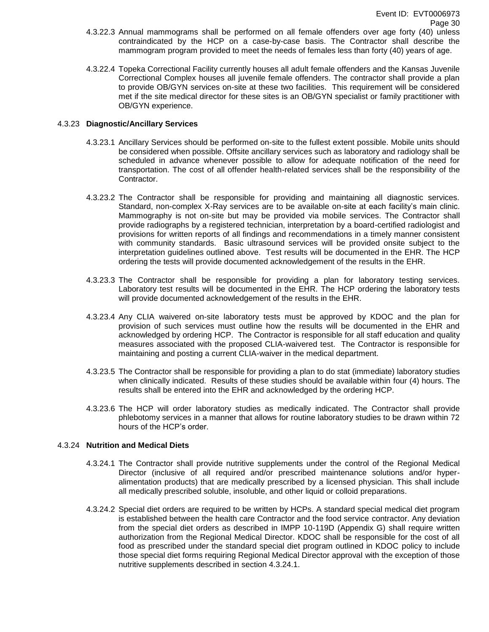- 4.3.22.3 Annual mammograms shall be performed on all female offenders over age forty (40) unless contraindicated by the HCP on a case-by-case basis. The Contractor shall describe the mammogram program provided to meet the needs of females less than forty (40) years of age.
- 4.3.22.4 Topeka Correctional Facility currently houses all adult female offenders and the Kansas Juvenile Correctional Complex houses all juvenile female offenders. The contractor shall provide a plan to provide OB/GYN services on-site at these two facilities. This requirement will be considered met if the site medical director for these sites is an OB/GYN specialist or family practitioner with OB/GYN experience.

## 4.3.23 **Diagnostic/Ancillary Services**

- 4.3.23.1 Ancillary Services should be performed on-site to the fullest extent possible. Mobile units should be considered when possible. Offsite ancillary services such as laboratory and radiology shall be scheduled in advance whenever possible to allow for adequate notification of the need for transportation. The cost of all offender health-related services shall be the responsibility of the Contractor.
- 4.3.23.2 The Contractor shall be responsible for providing and maintaining all diagnostic services. Standard, non-complex X-Ray services are to be available on-site at each facility's main clinic. Mammography is not on-site but may be provided via mobile services. The Contractor shall provide radiographs by a registered technician, interpretation by a board-certified radiologist and provisions for written reports of all findings and recommendations in a timely manner consistent with community standards. Basic ultrasound services will be provided onsite subject to the interpretation guidelines outlined above. Test results will be documented in the EHR. The HCP ordering the tests will provide documented acknowledgement of the results in the EHR.
- 4.3.23.3 The Contractor shall be responsible for providing a plan for laboratory testing services. Laboratory test results will be documented in the EHR. The HCP ordering the laboratory tests will provide documented acknowledgement of the results in the EHR.
- 4.3.23.4 Any CLIA waivered on-site laboratory tests must be approved by KDOC and the plan for provision of such services must outline how the results will be documented in the EHR and acknowledged by ordering HCP. The Contractor is responsible for all staff education and quality measures associated with the proposed CLIA-waivered test. The Contractor is responsible for maintaining and posting a current CLIA-waiver in the medical department.
- 4.3.23.5 The Contractor shall be responsible for providing a plan to do stat (immediate) laboratory studies when clinically indicated. Results of these studies should be available within four (4) hours. The results shall be entered into the EHR and acknowledged by the ordering HCP.
- 4.3.23.6 The HCP will order laboratory studies as medically indicated. The Contractor shall provide phlebotomy services in a manner that allows for routine laboratory studies to be drawn within 72 hours of the HCP's order.

## 4.3.24 **Nutrition and Medical Diets**

- 4.3.24.1 The Contractor shall provide nutritive supplements under the control of the Regional Medical Director (inclusive of all required and/or prescribed maintenance solutions and/or hyperalimentation products) that are medically prescribed by a licensed physician. This shall include all medically prescribed soluble, insoluble, and other liquid or colloid preparations.
- 4.3.24.2 Special diet orders are required to be written by HCPs. A standard special medical diet program is established between the health care Contractor and the food service contractor. Any deviation from the special diet orders as described in IMPP 10-119D (Appendix G) shall require written authorization from the Regional Medical Director. KDOC shall be responsible for the cost of all food as prescribed under the standard special diet program outlined in KDOC policy to include those special diet forms requiring Regional Medical Director approval with the exception of those nutritive supplements described in section 4.3.24.1.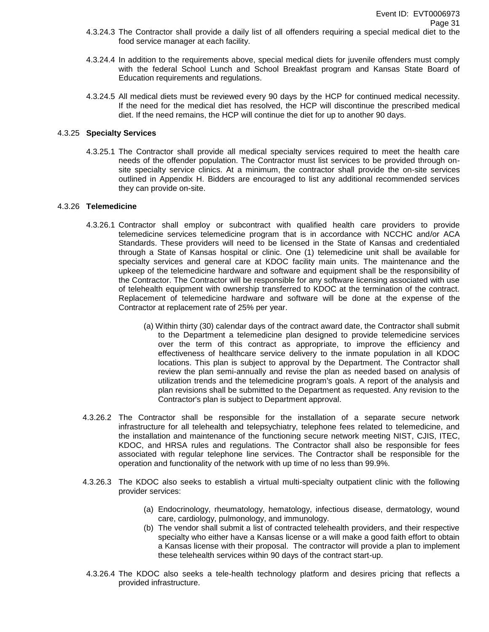- 4.3.24.3 The Contractor shall provide a daily list of all offenders requiring a special medical diet to the food service manager at each facility.
- 4.3.24.4 In addition to the requirements above, special medical diets for juvenile offenders must comply with the federal School Lunch and School Breakfast program and Kansas State Board of Education requirements and regulations.
- 4.3.24.5 All medical diets must be reviewed every 90 days by the HCP for continued medical necessity. If the need for the medical diet has resolved, the HCP will discontinue the prescribed medical diet. If the need remains, the HCP will continue the diet for up to another 90 days.

#### 4.3.25 **Specialty Services**

4.3.25.1 The Contractor shall provide all medical specialty services required to meet the health care needs of the offender population. The Contractor must list services to be provided through onsite specialty service clinics. At a minimum, the contractor shall provide the on-site services outlined in Appendix H. Bidders are encouraged to list any additional recommended services they can provide on-site.

#### 4.3.26 **Telemedicine**

- 4.3.26.1 Contractor shall employ or subcontract with qualified health care providers to provide telemedicine services telemedicine program that is in accordance with NCCHC and/or ACA Standards. These providers will need to be licensed in the State of Kansas and credentialed through a State of Kansas hospital or clinic. One (1) telemedicine unit shall be available for specialty services and general care at KDOC facility main units. The maintenance and the upkeep of the telemedicine hardware and software and equipment shall be the responsibility of the Contractor. The Contractor will be responsible for any software licensing associated with use of telehealth equipment with ownership transferred to KDOC at the termination of the contract. Replacement of telemedicine hardware and software will be done at the expense of the Contractor at replacement rate of 25% per year.
	- (a) Within thirty (30) calendar days of the contract award date, the Contractor shall submit to the Department a telemedicine plan designed to provide telemedicine services over the term of this contract as appropriate, to improve the efficiency and effectiveness of healthcare service delivery to the inmate population in all KDOC locations. This plan is subject to approval by the Department. The Contractor shall review the plan semi-annually and revise the plan as needed based on analysis of utilization trends and the telemedicine program's goals. A report of the analysis and plan revisions shall be submitted to the Department as requested. Any revision to the Contractor's plan is subject to Department approval.
- 4.3.26.2 The Contractor shall be responsible for the installation of a separate secure network infrastructure for all telehealth and telepsychiatry, telephone fees related to telemedicine, and the installation and maintenance of the functioning secure network meeting NIST, CJIS, ITEC, KDOC, and HRSA rules and regulations. The Contractor shall also be responsible for fees associated with regular telephone line services. The Contractor shall be responsible for the operation and functionality of the network with up time of no less than 99.9%.
- 4.3.26.3 The KDOC also seeks to establish a virtual multi-specialty outpatient clinic with the following provider services:
	- (a) Endocrinology, rheumatology, hematology, infectious disease, dermatology, wound care, cardiology, pulmonology, and immunology.
	- (b) The vendor shall submit a list of contracted telehealth providers, and their respective specialty who either have a Kansas license or a will make a good faith effort to obtain a Kansas license with their proposal. The contractor will provide a plan to implement these telehealth services within 90 days of the contract start-up.
- 4.3.26.4 The KDOC also seeks a tele-health technology platform and desires pricing that reflects a provided infrastructure.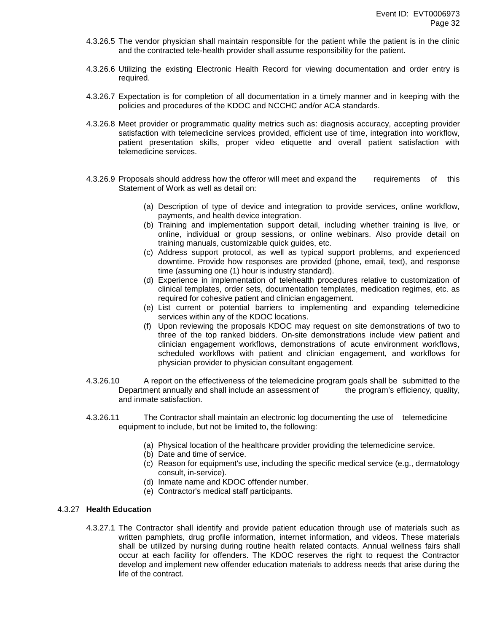- 4.3.26.5 The vendor physician shall maintain responsible for the patient while the patient is in the clinic and the contracted tele-health provider shall assume responsibility for the patient.
- 4.3.26.6 Utilizing the existing Electronic Health Record for viewing documentation and order entry is required.
- 4.3.26.7 Expectation is for completion of all documentation in a timely manner and in keeping with the policies and procedures of the KDOC and NCCHC and/or ACA standards.
- 4.3.26.8 Meet provider or programmatic quality metrics such as: diagnosis accuracy, accepting provider satisfaction with telemedicine services provided, efficient use of time, integration into workflow, patient presentation skills, proper video etiquette and overall patient satisfaction with telemedicine services.
- 4.3.26.9 Proposals should address how the offeror will meet and expand the requirements of this Statement of Work as well as detail on:
	- (a) Description of type of device and integration to provide services, online workflow, payments, and health device integration.
	- (b) Training and implementation support detail, including whether training is live, or online, individual or group sessions, or online webinars. Also provide detail on training manuals, customizable quick guides, etc.
	- (c) Address support protocol, as well as typical support problems, and experienced downtime. Provide how responses are provided (phone, email, text), and response time (assuming one (1) hour is industry standard).
	- (d) Experience in implementation of telehealth procedures relative to customization of clinical templates, order sets, documentation templates, medication regimes, etc. as required for cohesive patient and clinician engagement.
	- (e) List current or potential barriers to implementing and expanding telemedicine services within any of the KDOC locations.
	- (f) Upon reviewing the proposals KDOC may request on site demonstrations of two to three of the top ranked bidders. On-site demonstrations include view patient and clinician engagement workflows, demonstrations of acute environment workflows, scheduled workflows with patient and clinician engagement, and workflows for physician provider to physician consultant engagement.
- 4.3.26.10 A report on the effectiveness of the telemedicine program goals shall be submitted to the Department annually and shall include an assessment of the program's efficiency, quality, and inmate satisfaction.
- 4.3.26.11 The Contractor shall maintain an electronic log documenting the use of telemedicine equipment to include, but not be limited to, the following:
	- (a) Physical location of the healthcare provider providing the telemedicine service.
	- (b) Date and time of service.
	- (c) Reason for equipment's use, including the specific medical service (e.g., dermatology consult, in-service).
	- (d) Inmate name and KDOC offender number.
	- (e) Contractor's medical staff participants.

## 4.3.27 **Health Education**

4.3.27.1 The Contractor shall identify and provide patient education through use of materials such as written pamphlets, drug profile information, internet information, and videos. These materials shall be utilized by nursing during routine health related contacts. Annual wellness fairs shall occur at each facility for offenders. The KDOC reserves the right to request the Contractor develop and implement new offender education materials to address needs that arise during the life of the contract.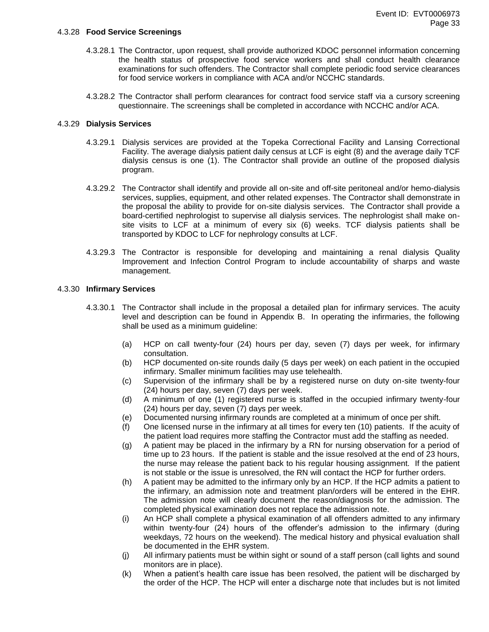#### 4.3.28 **Food Service Screenings**

- 4.3.28.1 The Contractor, upon request, shall provide authorized KDOC personnel information concerning the health status of prospective food service workers and shall conduct health clearance examinations for such offenders. The Contractor shall complete periodic food service clearances for food service workers in compliance with ACA and/or NCCHC standards.
- 4.3.28.2 The Contractor shall perform clearances for contract food service staff via a cursory screening questionnaire. The screenings shall be completed in accordance with NCCHC and/or ACA.

#### 4.3.29 **Dialysis Services**

- 4.3.29.1 Dialysis services are provided at the Topeka Correctional Facility and Lansing Correctional Facility. The average dialysis patient daily census at LCF is eight (8) and the average daily TCF dialysis census is one (1). The Contractor shall provide an outline of the proposed dialysis program.
- 4.3.29.2 The Contractor shall identify and provide all on-site and off-site peritoneal and/or hemo-dialysis services, supplies, equipment, and other related expenses. The Contractor shall demonstrate in the proposal the ability to provide for on-site dialysis services. The Contractor shall provide a board-certified nephrologist to supervise all dialysis services. The nephrologist shall make onsite visits to LCF at a minimum of every six (6) weeks. TCF dialysis patients shall be transported by KDOC to LCF for nephrology consults at LCF.
- 4.3.29.3 The Contractor is responsible for developing and maintaining a renal dialysis Quality Improvement and Infection Control Program to include accountability of sharps and waste management.

#### 4.3.30 **Infirmary Services**

- 4.3.30.1 The Contractor shall include in the proposal a detailed plan for infirmary services. The acuity level and description can be found in Appendix B. In operating the infirmaries, the following shall be used as a minimum guideline:
	- (a) HCP on call twenty-four (24) hours per day, seven (7) days per week, for infirmary consultation.
	- (b) HCP documented on-site rounds daily (5 days per week) on each patient in the occupied infirmary. Smaller minimum facilities may use telehealth.
	- (c) Supervision of the infirmary shall be by a registered nurse on duty on-site twenty-four (24) hours per day, seven (7) days per week.
	- (d) A minimum of one (1) registered nurse is staffed in the occupied infirmary twenty-four (24) hours per day, seven (7) days per week.
	- (e) Documented nursing infirmary rounds are completed at a minimum of once per shift.
	- (f) One licensed nurse in the infirmary at all times for every ten (10) patients. If the acuity of the patient load requires more staffing the Contractor must add the staffing as needed.
	- (g) A patient may be placed in the infirmary by a RN for nursing observation for a period of time up to 23 hours. If the patient is stable and the issue resolved at the end of 23 hours, the nurse may release the patient back to his regular housing assignment. If the patient is not stable or the issue is unresolved, the RN will contact the HCP for further orders.
	- (h) A patient may be admitted to the infirmary only by an HCP. If the HCP admits a patient to the infirmary, an admission note and treatment plan/orders will be entered in the EHR. The admission note will clearly document the reason/diagnosis for the admission. The completed physical examination does not replace the admission note.
	- (i) An HCP shall complete a physical examination of all offenders admitted to any infirmary within twenty-four (24) hours of the offender's admission to the infirmary (during weekdays, 72 hours on the weekend). The medical history and physical evaluation shall be documented in the EHR system.
	- (j) All infirmary patients must be within sight or sound of a staff person (call lights and sound monitors are in place).
	- (k) When a patient's health care issue has been resolved, the patient will be discharged by the order of the HCP. The HCP will enter a discharge note that includes but is not limited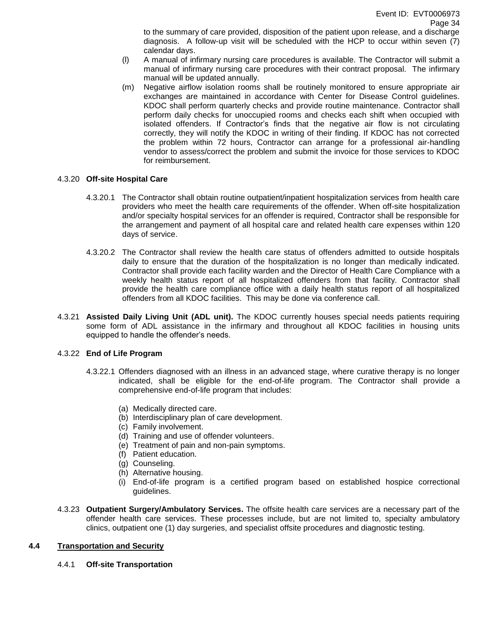to the summary of care provided, disposition of the patient upon release, and a discharge diagnosis. A follow-up visit will be scheduled with the HCP to occur within seven (7) calendar days.

- (l) A manual of infirmary nursing care procedures is available. The Contractor will submit a manual of infirmary nursing care procedures with their contract proposal. The infirmary manual will be updated annually.
- (m) Negative airflow isolation rooms shall be routinely monitored to ensure appropriate air exchanges are maintained in accordance with Center for Disease Control guidelines. KDOC shall perform quarterly checks and provide routine maintenance. Contractor shall perform daily checks for unoccupied rooms and checks each shift when occupied with isolated offenders. If Contractor's finds that the negative air flow is not circulating correctly, they will notify the KDOC in writing of their finding. If KDOC has not corrected the problem within 72 hours, Contractor can arrange for a professional air-handling vendor to assess/correct the problem and submit the invoice for those services to KDOC for reimbursement.

## 4.3.20 **Off-site Hospital Care**

- 4.3.20.1 The Contractor shall obtain routine outpatient/inpatient hospitalization services from health care providers who meet the health care requirements of the offender. When off-site hospitalization and/or specialty hospital services for an offender is required, Contractor shall be responsible for the arrangement and payment of all hospital care and related health care expenses within 120 days of service.
- 4.3.20.2 The Contractor shall review the health care status of offenders admitted to outside hospitals daily to ensure that the duration of the hospitalization is no longer than medically indicated. Contractor shall provide each facility warden and the Director of Health Care Compliance with a weekly health status report of all hospitalized offenders from that facility. Contractor shall provide the health care compliance office with a daily health status report of all hospitalized offenders from all KDOC facilities. This may be done via conference call.
- 4.3.21 **Assisted Daily Living Unit (ADL unit).** The KDOC currently houses special needs patients requiring some form of ADL assistance in the infirmary and throughout all KDOC facilities in housing units equipped to handle the offender's needs.

## 4.3.22 **End of Life Program**

- 4.3.22.1 Offenders diagnosed with an illness in an advanced stage, where curative therapy is no longer indicated, shall be eligible for the end-of-life program. The Contractor shall provide a comprehensive end-of-life program that includes:
	- (a) Medically directed care.
	- (b) Interdisciplinary plan of care development.
	- (c) Family involvement.
	- (d) Training and use of offender volunteers.
	- (e) Treatment of pain and non-pain symptoms.
	- (f) Patient education.
	- (g) Counseling.
	- (h) Alternative housing.
	- (i) End-of-life program is a certified program based on established hospice correctional guidelines.
- 4.3.23 **Outpatient Surgery/Ambulatory Services.** The offsite health care services are a necessary part of the offender health care services. These processes include, but are not limited to, specialty ambulatory clinics, outpatient one (1) day surgeries, and specialist offsite procedures and diagnostic testing.

## **4.4 Transportation and Security**

4.4.1 **Off-site Transportation**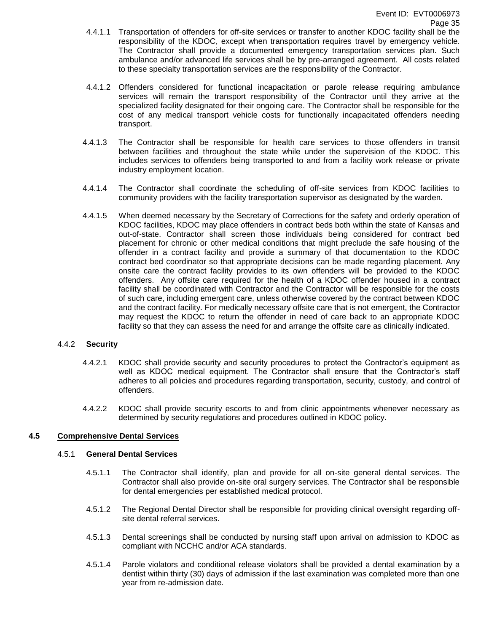- 4.4.1.1 Transportation of offenders for off-site services or transfer to another KDOC facility shall be the responsibility of the KDOC, except when transportation requires travel by emergency vehicle. The Contractor shall provide a documented emergency transportation services plan. Such ambulance and/or advanced life services shall be by pre-arranged agreement. All costs related to these specialty transportation services are the responsibility of the Contractor.
- 4.4.1.2 Offenders considered for functional incapacitation or parole release requiring ambulance services will remain the transport responsibility of the Contractor until they arrive at the specialized facility designated for their ongoing care. The Contractor shall be responsible for the cost of any medical transport vehicle costs for functionally incapacitated offenders needing transport.
- 4.4.1.3 The Contractor shall be responsible for health care services to those offenders in transit between facilities and throughout the state while under the supervision of the KDOC. This includes services to offenders being transported to and from a facility work release or private industry employment location.
- 4.4.1.4 The Contractor shall coordinate the scheduling of off-site services from KDOC facilities to community providers with the facility transportation supervisor as designated by the warden.
- 4.4.1.5 When deemed necessary by the Secretary of Corrections for the safety and orderly operation of KDOC facilities, KDOC may place offenders in contract beds both within the state of Kansas and out-of-state. Contractor shall screen those individuals being considered for contract bed placement for chronic or other medical conditions that might preclude the safe housing of the offender in a contract facility and provide a summary of that documentation to the KDOC contract bed coordinator so that appropriate decisions can be made regarding placement. Any onsite care the contract facility provides to its own offenders will be provided to the KDOC offenders. Any offsite care required for the health of a KDOC offender housed in a contract facility shall be coordinated with Contractor and the Contractor will be responsible for the costs of such care, including emergent care, unless otherwise covered by the contract between KDOC and the contract facility. For medically necessary offsite care that is not emergent, the Contractor may request the KDOC to return the offender in need of care back to an appropriate KDOC facility so that they can assess the need for and arrange the offsite care as clinically indicated.

## 4.4.2 **Security**

- 4.4.2.1 KDOC shall provide security and security procedures to protect the Contractor's equipment as well as KDOC medical equipment. The Contractor shall ensure that the Contractor's staff adheres to all policies and procedures regarding transportation, security, custody, and control of offenders.
- 4.4.2.2 KDOC shall provide security escorts to and from clinic appointments whenever necessary as determined by security regulations and procedures outlined in KDOC policy.

## **4.5 Comprehensive Dental Services**

#### 4.5.1 **General Dental Services**

- 4.5.1.1 The Contractor shall identify, plan and provide for all on-site general dental services. The Contractor shall also provide on-site oral surgery services. The Contractor shall be responsible for dental emergencies per established medical protocol.
- 4.5.1.2 The Regional Dental Director shall be responsible for providing clinical oversight regarding offsite dental referral services.
- 4.5.1.3 Dental screenings shall be conducted by nursing staff upon arrival on admission to KDOC as compliant with NCCHC and/or ACA standards.
- 4.5.1.4 Parole violators and conditional release violators shall be provided a dental examination by a dentist within thirty (30) days of admission if the last examination was completed more than one year from re-admission date.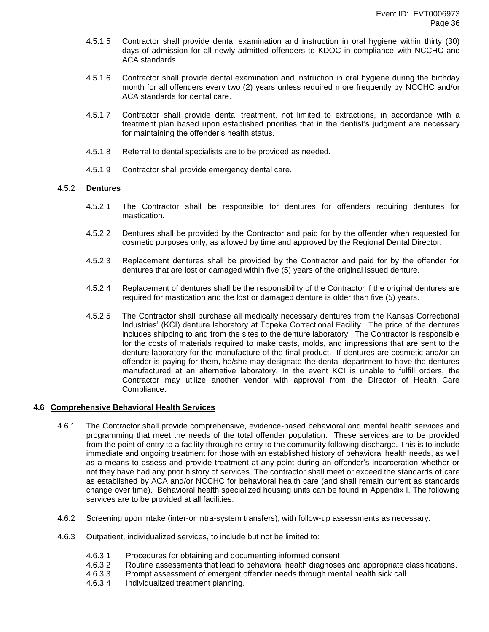- 4.5.1.5 Contractor shall provide dental examination and instruction in oral hygiene within thirty (30) days of admission for all newly admitted offenders to KDOC in compliance with NCCHC and ACA standards.
- 4.5.1.6 Contractor shall provide dental examination and instruction in oral hygiene during the birthday month for all offenders every two (2) years unless required more frequently by NCCHC and/or ACA standards for dental care.
- 4.5.1.7 Contractor shall provide dental treatment, not limited to extractions, in accordance with a treatment plan based upon established priorities that in the dentist's judgment are necessary for maintaining the offender's health status.
- 4.5.1.8 Referral to dental specialists are to be provided as needed.
- 4.5.1.9 Contractor shall provide emergency dental care.

## 4.5.2 **Dentures**

- 4.5.2.1 The Contractor shall be responsible for dentures for offenders requiring dentures for mastication.
- 4.5.2.2 Dentures shall be provided by the Contractor and paid for by the offender when requested for cosmetic purposes only, as allowed by time and approved by the Regional Dental Director.
- 4.5.2.3 Replacement dentures shall be provided by the Contractor and paid for by the offender for dentures that are lost or damaged within five (5) years of the original issued denture.
- 4.5.2.4 Replacement of dentures shall be the responsibility of the Contractor if the original dentures are required for mastication and the lost or damaged denture is older than five (5) years.
- 4.5.2.5 The Contractor shall purchase all medically necessary dentures from the Kansas Correctional Industries' (KCI) denture laboratory at Topeka Correctional Facility. The price of the dentures includes shipping to and from the sites to the denture laboratory. The Contractor is responsible for the costs of materials required to make casts, molds, and impressions that are sent to the denture laboratory for the manufacture of the final product. If dentures are cosmetic and/or an offender is paying for them, he/she may designate the dental department to have the dentures manufactured at an alternative laboratory. In the event KCI is unable to fulfill orders, the Contractor may utilize another vendor with approval from the Director of Health Care Compliance.

## **4.6 Comprehensive Behavioral Health Services**

- 4.6.1 The Contractor shall provide comprehensive, evidence-based behavioral and mental health services and programming that meet the needs of the total offender population. These services are to be provided from the point of entry to a facility through re-entry to the community following discharge. This is to include immediate and ongoing treatment for those with an established history of behavioral health needs, as well as a means to assess and provide treatment at any point during an offender's incarceration whether or not they have had any prior history of services. The contractor shall meet or exceed the standards of care as established by ACA and/or NCCHC for behavioral health care (and shall remain current as standards change over time). Behavioral health specialized housing units can be found in Appendix I. The following services are to be provided at all facilities:
- 4.6.2 Screening upon intake (inter-or intra-system transfers), with follow-up assessments as necessary.
- 4.6.3 Outpatient, individualized services, to include but not be limited to:
	- 4.6.3.1 Procedures for obtaining and documenting informed consent
	- 4.6.3.2 Routine assessments that lead to behavioral health diagnoses and appropriate classifications.
	- 4.6.3.3 Prompt assessment of emergent offender needs through mental health sick call.
	- 4.6.3.4 Individualized treatment planning.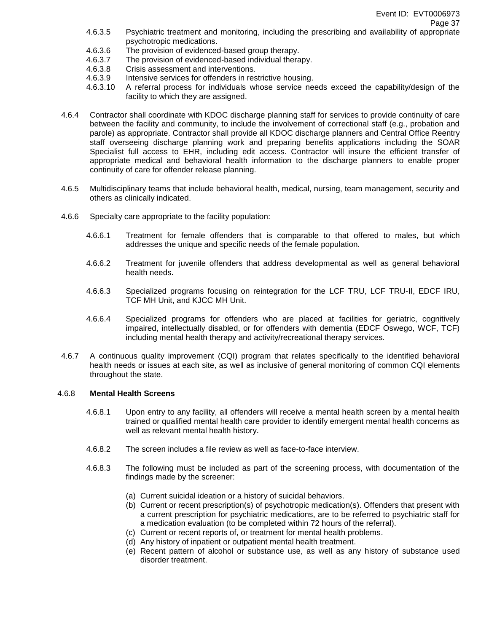- 4.6.3.5 Psychiatric treatment and monitoring, including the prescribing and availability of appropriate psychotropic medications.
- 4.6.3.6 The provision of evidenced-based group therapy.
- 4.6.3.7 The provision of evidenced-based individual therapy.
- 4.6.3.8 Crisis assessment and interventions.
- 4.6.3.9 Intensive services for offenders in restrictive housing.
- 4.6.3.10 A referral process for individuals whose service needs exceed the capability/design of the facility to which they are assigned.
- 4.6.4 Contractor shall coordinate with KDOC discharge planning staff for services to provide continuity of care between the facility and community, to include the involvement of correctional staff (e.g., probation and parole) as appropriate. Contractor shall provide all KDOC discharge planners and Central Office Reentry staff overseeing discharge planning work and preparing benefits applications including the SOAR Specialist full access to EHR, including edit access. Contractor will insure the efficient transfer of appropriate medical and behavioral health information to the discharge planners to enable proper continuity of care for offender release planning.
- 4.6.5 Multidisciplinary teams that include behavioral health, medical, nursing, team management, security and others as clinically indicated.
- 4.6.6 Specialty care appropriate to the facility population:
	- 4.6.6.1 Treatment for female offenders that is comparable to that offered to males, but which addresses the unique and specific needs of the female population.
	- 4.6.6.2 Treatment for juvenile offenders that address developmental as well as general behavioral health needs.
	- 4.6.6.3 Specialized programs focusing on reintegration for the LCF TRU, LCF TRU-II, EDCF IRU, TCF MH Unit, and KJCC MH Unit.
	- 4.6.6.4 Specialized programs for offenders who are placed at facilities for geriatric, cognitively impaired, intellectually disabled, or for offenders with dementia (EDCF Oswego, WCF, TCF) including mental health therapy and activity/recreational therapy services.
- 4.6.7 A continuous quality improvement (CQI) program that relates specifically to the identified behavioral health needs or issues at each site, as well as inclusive of general monitoring of common CQI elements throughout the state.

#### 4.6.8 **Mental Health Screens**

- 4.6.8.1 Upon entry to any facility, all offenders will receive a mental health screen by a mental health trained or qualified mental health care provider to identify emergent mental health concerns as well as relevant mental health history.
- 4.6.8.2 The screen includes a file review as well as face-to-face interview.
- 4.6.8.3 The following must be included as part of the screening process, with documentation of the findings made by the screener:
	- (a) Current suicidal ideation or a history of suicidal behaviors.
	- (b) Current or recent prescription(s) of psychotropic medication(s). Offenders that present with a current prescription for psychiatric medications, are to be referred to psychiatric staff for a medication evaluation (to be completed within 72 hours of the referral).
	- (c) Current or recent reports of, or treatment for mental health problems.
	- (d) Any history of inpatient or outpatient mental health treatment.
	- (e) Recent pattern of alcohol or substance use, as well as any history of substance used disorder treatment.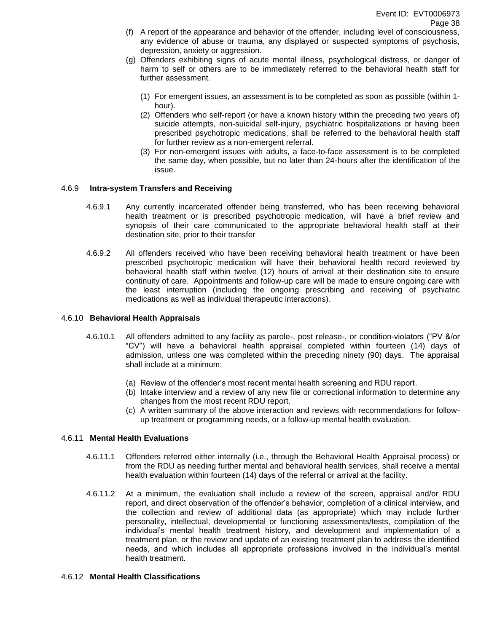- (f) A report of the appearance and behavior of the offender, including level of consciousness, any evidence of abuse or trauma, any displayed or suspected symptoms of psychosis, depression, anxiety or aggression.
- (g) Offenders exhibiting signs of acute mental illness, psychological distress, or danger of harm to self or others are to be immediately referred to the behavioral health staff for further assessment.
	- (1) For emergent issues, an assessment is to be completed as soon as possible (within 1 hour).
	- (2) Offenders who self-report (or have a known history within the preceding two years of) suicide attempts, non-suicidal self-injury, psychiatric hospitalizations or having been prescribed psychotropic medications, shall be referred to the behavioral health staff for further review as a non-emergent referral.
	- (3) For non-emergent issues with adults, a face-to-face assessment is to be completed the same day, when possible, but no later than 24-hours after the identification of the issue.

### 4.6.9 **Intra-system Transfers and Receiving**

- 4.6.9.1 Any currently incarcerated offender being transferred, who has been receiving behavioral health treatment or is prescribed psychotropic medication, will have a brief review and synopsis of their care communicated to the appropriate behavioral health staff at their destination site, prior to their transfer
- 4.6.9.2 All offenders received who have been receiving behavioral health treatment or have been prescribed psychotropic medication will have their behavioral health record reviewed by behavioral health staff within twelve (12) hours of arrival at their destination site to ensure continuity of care. Appointments and follow-up care will be made to ensure ongoing care with the least interruption (including the ongoing prescribing and receiving of psychiatric medications as well as individual therapeutic interactions).

### 4.6.10 **Behavioral Health Appraisals**

- 4.6.10.1 All offenders admitted to any facility as parole-, post release-, or condition-violators ("PV &/or "CV") will have a behavioral health appraisal completed within fourteen (14) days of admission, unless one was completed within the preceding ninety (90) days. The appraisal shall include at a minimum:
	- (a) Review of the offender's most recent mental health screening and RDU report.
	- (b) Intake interview and a review of any new file or correctional information to determine any changes from the most recent RDU report.
	- (c) A written summary of the above interaction and reviews with recommendations for followup treatment or programming needs, or a follow-up mental health evaluation.

# 4.6.11 **Mental Health Evaluations**

- 4.6.11.1 Offenders referred either internally (i.e., through the Behavioral Health Appraisal process) or from the RDU as needing further mental and behavioral health services, shall receive a mental health evaluation within fourteen (14) days of the referral or arrival at the facility.
- 4.6.11.2 At a minimum, the evaluation shall include a review of the screen, appraisal and/or RDU report, and direct observation of the offender's behavior, completion of a clinical interview, and the collection and review of additional data (as appropriate) which may include further personality, intellectual, developmental or functioning assessments/tests, compilation of the individual's mental health treatment history, and development and implementation of a treatment plan, or the review and update of an existing treatment plan to address the identified needs, and which includes all appropriate professions involved in the individual's mental health treatment.

# 4.6.12 **Mental Health Classifications**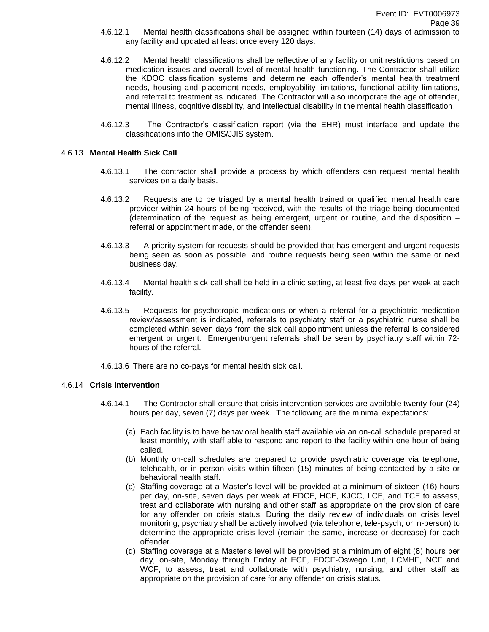- 4.6.12.1 Mental health classifications shall be assigned within fourteen (14) days of admission to any facility and updated at least once every 120 days.
- 4.6.12.2 Mental health classifications shall be reflective of any facility or unit restrictions based on medication issues and overall level of mental health functioning. The Contractor shall utilize the KDOC classification systems and determine each offender's mental health treatment needs, housing and placement needs, employability limitations, functional ability limitations, and referral to treatment as indicated. The Contractor will also incorporate the age of offender, mental illness, cognitive disability, and intellectual disability in the mental health classification.
- 4.6.12.3 The Contractor's classification report (via the EHR) must interface and update the classifications into the OMIS/JJIS system.

### 4.6.13 **Mental Health Sick Call**

- 4.6.13.1 The contractor shall provide a process by which offenders can request mental health services on a daily basis.
- 4.6.13.2 Requests are to be triaged by a mental health trained or qualified mental health care provider within 24-hours of being received, with the results of the triage being documented (determination of the request as being emergent, urgent or routine, and the disposition – referral or appointment made, or the offender seen).
- 4.6.13.3 A priority system for requests should be provided that has emergent and urgent requests being seen as soon as possible, and routine requests being seen within the same or next business day.
- 4.6.13.4 Mental health sick call shall be held in a clinic setting, at least five days per week at each facility.
- 4.6.13.5 Requests for psychotropic medications or when a referral for a psychiatric medication review/assessment is indicated, referrals to psychiatry staff or a psychiatric nurse shall be completed within seven days from the sick call appointment unless the referral is considered emergent or urgent. Emergent/urgent referrals shall be seen by psychiatry staff within 72 hours of the referral.
- 4.6.13.6 There are no co-pays for mental health sick call.

#### 4.6.14 **Crisis Intervention**

- 4.6.14.1 The Contractor shall ensure that crisis intervention services are available twenty-four (24) hours per day, seven (7) days per week. The following are the minimal expectations:
	- (a) Each facility is to have behavioral health staff available via an on-call schedule prepared at least monthly, with staff able to respond and report to the facility within one hour of being called.
	- (b) Monthly on-call schedules are prepared to provide psychiatric coverage via telephone, telehealth, or in-person visits within fifteen (15) minutes of being contacted by a site or behavioral health staff.
	- (c) Staffing coverage at a Master's level will be provided at a minimum of sixteen (16) hours per day, on-site, seven days per week at EDCF, HCF, KJCC, LCF, and TCF to assess, treat and collaborate with nursing and other staff as appropriate on the provision of care for any offender on crisis status. During the daily review of individuals on crisis level monitoring, psychiatry shall be actively involved (via telephone, tele-psych, or in-person) to determine the appropriate crisis level (remain the same, increase or decrease) for each offender.
	- (d) Staffing coverage at a Master's level will be provided at a minimum of eight (8) hours per day, on-site, Monday through Friday at ECF, EDCF-Oswego Unit, LCMHF, NCF and WCF, to assess, treat and collaborate with psychiatry, nursing, and other staff as appropriate on the provision of care for any offender on crisis status.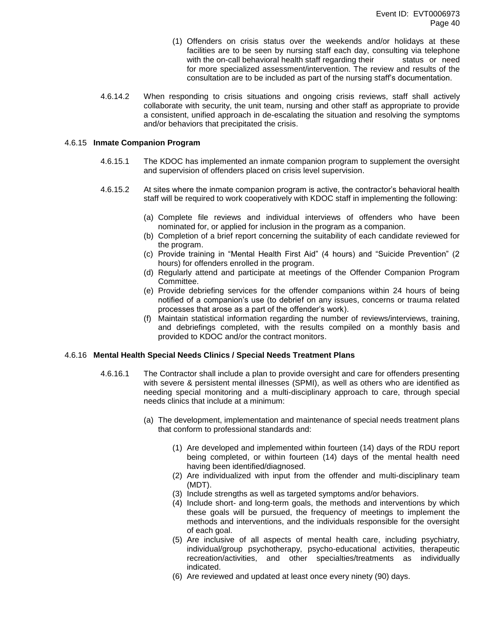- (1) Offenders on crisis status over the weekends and/or holidays at these facilities are to be seen by nursing staff each day, consulting via telephone with the on-call behavioral health staff regarding their status or need for more specialized assessment/intervention. The review and results of the consultation are to be included as part of the nursing staff's documentation.
- 4.6.14.2 When responding to crisis situations and ongoing crisis reviews, staff shall actively collaborate with security, the unit team, nursing and other staff as appropriate to provide a consistent, unified approach in de-escalating the situation and resolving the symptoms and/or behaviors that precipitated the crisis.

### 4.6.15 **Inmate Companion Program**

- 4.6.15.1 The KDOC has implemented an inmate companion program to supplement the oversight and supervision of offenders placed on crisis level supervision.
- 4.6.15.2 At sites where the inmate companion program is active, the contractor's behavioral health staff will be required to work cooperatively with KDOC staff in implementing the following:
	- (a) Complete file reviews and individual interviews of offenders who have been nominated for, or applied for inclusion in the program as a companion.
	- (b) Completion of a brief report concerning the suitability of each candidate reviewed for the program.
	- (c) Provide training in "Mental Health First Aid" (4 hours) and "Suicide Prevention" (2 hours) for offenders enrolled in the program.
	- (d) Regularly attend and participate at meetings of the Offender Companion Program Committee.
	- (e) Provide debriefing services for the offender companions within 24 hours of being notified of a companion's use (to debrief on any issues, concerns or trauma related processes that arose as a part of the offender's work).
	- (f) Maintain statistical information regarding the number of reviews/interviews, training, and debriefings completed, with the results compiled on a monthly basis and provided to KDOC and/or the contract monitors.

#### 4.6.16 **Mental Health Special Needs Clinics / Special Needs Treatment Plans**

- 4.6.16.1 The Contractor shall include a plan to provide oversight and care for offenders presenting with severe & persistent mental illnesses (SPMI), as well as others who are identified as needing special monitoring and a multi-disciplinary approach to care, through special needs clinics that include at a minimum:
	- (a) The development, implementation and maintenance of special needs treatment plans that conform to professional standards and:
		- (1) Are developed and implemented within fourteen (14) days of the RDU report being completed, or within fourteen (14) days of the mental health need having been identified/diagnosed.
		- (2) Are individualized with input from the offender and multi-disciplinary team (MDT).
		- (3) Include strengths as well as targeted symptoms and/or behaviors.
		- (4) Include short- and long-term goals, the methods and interventions by which these goals will be pursued, the frequency of meetings to implement the methods and interventions, and the individuals responsible for the oversight of each goal.
		- (5) Are inclusive of all aspects of mental health care, including psychiatry, individual/group psychotherapy, psycho-educational activities, therapeutic recreation/activities, and other specialties/treatments as individually indicated.
		- (6) Are reviewed and updated at least once every ninety (90) days.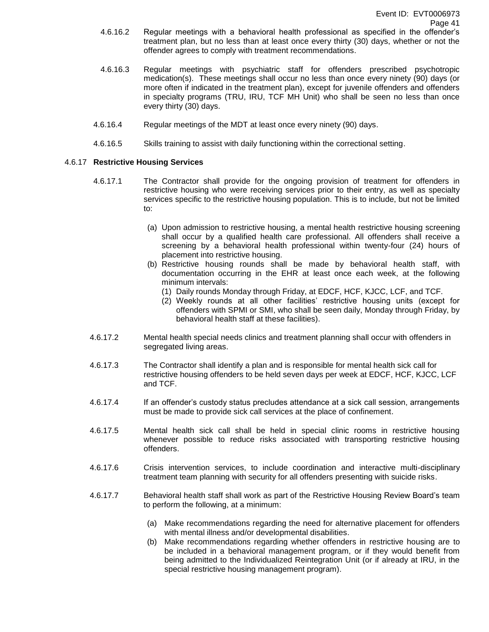- 4.6.16.2 Regular meetings with a behavioral health professional as specified in the offender's treatment plan, but no less than at least once every thirty (30) days, whether or not the offender agrees to comply with treatment recommendations.
- 4.6.16.3 Regular meetings with psychiatric staff for offenders prescribed psychotropic medication(s). These meetings shall occur no less than once every ninety (90) days (or more often if indicated in the treatment plan), except for juvenile offenders and offenders in specialty programs (TRU, IRU, TCF MH Unit) who shall be seen no less than once every thirty (30) days.
- 4.6.16.4 Regular meetings of the MDT at least once every ninety (90) days.
- 4.6.16.5 Skills training to assist with daily functioning within the correctional setting.

# 4.6.17 **Restrictive Housing Services**

- 4.6.17.1 The Contractor shall provide for the ongoing provision of treatment for offenders in restrictive housing who were receiving services prior to their entry, as well as specialty services specific to the restrictive housing population. This is to include, but not be limited to:
	- (a) Upon admission to restrictive housing, a mental health restrictive housing screening shall occur by a qualified health care professional. All offenders shall receive a screening by a behavioral health professional within twenty-four (24) hours of placement into restrictive housing.
	- (b) Restrictive housing rounds shall be made by behavioral health staff, with documentation occurring in the EHR at least once each week, at the following minimum intervals:
		- (1) Daily rounds Monday through Friday, at EDCF, HCF, KJCC, LCF, and TCF.
		- (2) Weekly rounds at all other facilities' restrictive housing units (except for offenders with SPMI or SMI, who shall be seen daily, Monday through Friday, by behavioral health staff at these facilities).
- 4.6.17.2 Mental health special needs clinics and treatment planning shall occur with offenders in segregated living areas.
- 4.6.17.3 The Contractor shall identify a plan and is responsible for mental health sick call for restrictive housing offenders to be held seven days per week at EDCF, HCF, KJCC, LCF and TCF.
- 4.6.17.4 If an offender's custody status precludes attendance at a sick call session, arrangements must be made to provide sick call services at the place of confinement.
- 4.6.17.5 Mental health sick call shall be held in special clinic rooms in restrictive housing whenever possible to reduce risks associated with transporting restrictive housing offenders.
- 4.6.17.6 Crisis intervention services, to include coordination and interactive multi-disciplinary treatment team planning with security for all offenders presenting with suicide risks.
- 4.6.17.7 Behavioral health staff shall work as part of the Restrictive Housing Review Board's team to perform the following, at a minimum:
	- (a) Make recommendations regarding the need for alternative placement for offenders with mental illness and/or developmental disabilities.
	- (b) Make recommendations regarding whether offenders in restrictive housing are to be included in a behavioral management program, or if they would benefit from being admitted to the Individualized Reintegration Unit (or if already at IRU, in the special restrictive housing management program).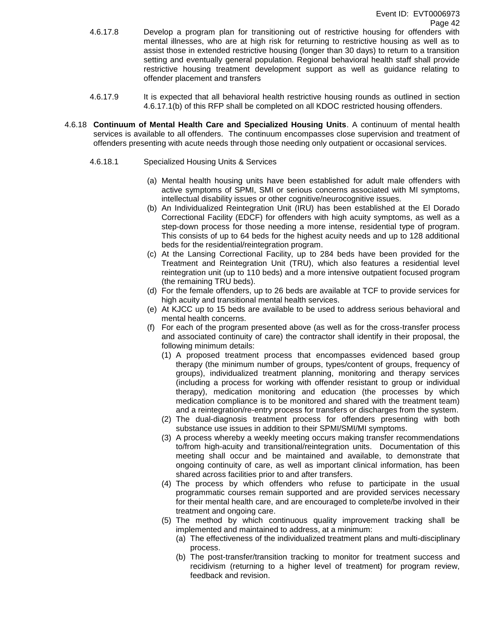- 4.6.17.8 Develop a program plan for transitioning out of restrictive housing for offenders with mental illnesses, who are at high risk for returning to restrictive housing as well as to assist those in extended restrictive housing (longer than 30 days) to return to a transition setting and eventually general population. Regional behavioral health staff shall provide restrictive housing treatment development support as well as guidance relating to offender placement and transfers
- 4.6.17.9 It is expected that all behavioral health restrictive housing rounds as outlined in section 4.6.17.1(b) of this RFP shall be completed on all KDOC restricted housing offenders.
- 4.6.18 **Continuum of Mental Health Care and Specialized Housing Units**. A continuum of mental health services is available to all offenders. The continuum encompasses close supervision and treatment of offenders presenting with acute needs through those needing only outpatient or occasional services.
	- 4.6.18.1 Specialized Housing Units & Services
		- (a) Mental health housing units have been established for adult male offenders with active symptoms of SPMI, SMI or serious concerns associated with MI symptoms, intellectual disability issues or other cognitive/neurocognitive issues.
		- (b) An Individualized Reintegration Unit (IRU) has been established at the El Dorado Correctional Facility (EDCF) for offenders with high acuity symptoms, as well as a step-down process for those needing a more intense, residential type of program. This consists of up to 64 beds for the highest acuity needs and up to 128 additional beds for the residential/reintegration program.
		- (c) At the Lansing Correctional Facility, up to 284 beds have been provided for the Treatment and Reintegration Unit (TRU), which also features a residential level reintegration unit (up to 110 beds) and a more intensive outpatient focused program (the remaining TRU beds).
		- (d) For the female offenders, up to 26 beds are available at TCF to provide services for high acuity and transitional mental health services.
		- (e) At KJCC up to 15 beds are available to be used to address serious behavioral and mental health concerns.
		- (f) For each of the program presented above (as well as for the cross-transfer process and associated continuity of care) the contractor shall identify in their proposal, the following minimum details:
			- (1) A proposed treatment process that encompasses evidenced based group therapy (the minimum number of groups, types/content of groups, frequency of groups), individualized treatment planning, monitoring and therapy services (including a process for working with offender resistant to group or individual therapy), medication monitoring and education (the processes by which medication compliance is to be monitored and shared with the treatment team) and a reintegration/re-entry process for transfers or discharges from the system.
			- (2) The dual-diagnosis treatment process for offenders presenting with both substance use issues in addition to their SPMI/SMI/MI symptoms.
			- (3) A process whereby a weekly meeting occurs making transfer recommendations to/from high-acuity and transitional/reintegration units. Documentation of this meeting shall occur and be maintained and available, to demonstrate that ongoing continuity of care, as well as important clinical information, has been shared across facilities prior to and after transfers.
			- (4) The process by which offenders who refuse to participate in the usual programmatic courses remain supported and are provided services necessary for their mental health care, and are encouraged to complete/be involved in their treatment and ongoing care.
			- (5) The method by which continuous quality improvement tracking shall be implemented and maintained to address, at a minimum:
				- (a) The effectiveness of the individualized treatment plans and multi-disciplinary process.
				- (b) The post-transfer/transition tracking to monitor for treatment success and recidivism (returning to a higher level of treatment) for program review, feedback and revision.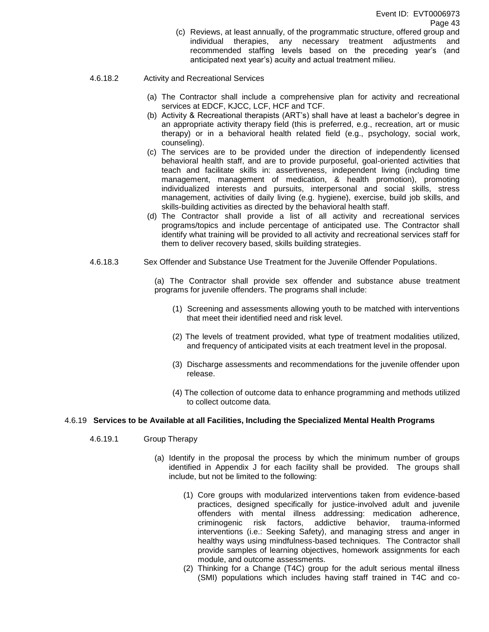(c) Reviews, at least annually, of the programmatic structure, offered group and individual therapies, any necessary treatment adjustments and recommended staffing levels based on the preceding year's (and anticipated next year's) acuity and actual treatment milieu.

#### 4.6.18.2 Activity and Recreational Services

- (a) The Contractor shall include a comprehensive plan for activity and recreational services at EDCF, KJCC, LCF, HCF and TCF.
- (b) Activity & Recreational therapists (ART's) shall have at least a bachelor's degree in an appropriate activity therapy field (this is preferred, e.g., recreation, art or music therapy) or in a behavioral health related field (e.g., psychology, social work, counseling).
- (c) The services are to be provided under the direction of independently licensed behavioral health staff, and are to provide purposeful, goal-oriented activities that teach and facilitate skills in: assertiveness, independent living (including time management, management of medication, & health promotion), promoting individualized interests and pursuits, interpersonal and social skills, stress management, activities of daily living (e.g. hygiene), exercise, build job skills, and skills-building activities as directed by the behavioral health staff.
- (d) The Contractor shall provide a list of all activity and recreational services programs/topics and include percentage of anticipated use. The Contractor shall identify what training will be provided to all activity and recreational services staff for them to deliver recovery based, skills building strategies.
- 4.6.18.3 Sex Offender and Substance Use Treatment for the Juvenile Offender Populations.

(a) The Contractor shall provide sex offender and substance abuse treatment programs for juvenile offenders. The programs shall include:

- (1) Screening and assessments allowing youth to be matched with interventions that meet their identified need and risk level.
- (2) The levels of treatment provided, what type of treatment modalities utilized, and frequency of anticipated visits at each treatment level in the proposal.
- (3) Discharge assessments and recommendations for the juvenile offender upon release.
- (4) The collection of outcome data to enhance programming and methods utilized to collect outcome data.

# 4.6.19 **Services to be Available at all Facilities, Including the Specialized Mental Health Programs**

- 4.6.19.1 Group Therapy
	- (a) Identify in the proposal the process by which the minimum number of groups identified in Appendix J for each facility shall be provided. The groups shall include, but not be limited to the following:
		- (1) Core groups with modularized interventions taken from evidence-based practices, designed specifically for justice-involved adult and juvenile offenders with mental illness addressing: medication adherence, criminogenic risk factors, addictive behavior, trauma-informed interventions (i.e.: Seeking Safety), and managing stress and anger in healthy ways using mindfulness-based techniques. The Contractor shall provide samples of learning objectives, homework assignments for each module, and outcome assessments.
		- (2) Thinking for a Change (T4C) group for the adult serious mental illness (SMI) populations which includes having staff trained in T4C and co-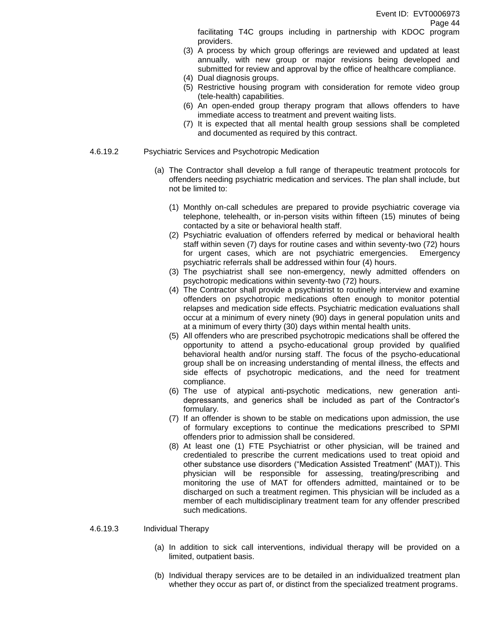facilitating T4C groups including in partnership with KDOC program providers.

- (3) A process by which group offerings are reviewed and updated at least annually, with new group or major revisions being developed and submitted for review and approval by the office of healthcare compliance.
- (4) Dual diagnosis groups.
- (5) Restrictive housing program with consideration for remote video group (tele-health) capabilities.
- (6) An open-ended group therapy program that allows offenders to have immediate access to treatment and prevent waiting lists.
- (7) It is expected that all mental health group sessions shall be completed and documented as required by this contract.
- 4.6.19.2 Psychiatric Services and Psychotropic Medication
	- (a) The Contractor shall develop a full range of therapeutic treatment protocols for offenders needing psychiatric medication and services. The plan shall include, but not be limited to:
		- (1) Monthly on-call schedules are prepared to provide psychiatric coverage via telephone, telehealth, or in-person visits within fifteen (15) minutes of being contacted by a site or behavioral health staff.
		- (2) Psychiatric evaluation of offenders referred by medical or behavioral health staff within seven (7) days for routine cases and within seventy-two (72) hours for urgent cases, which are not psychiatric emergencies. Emergency psychiatric referrals shall be addressed within four (4) hours.
		- (3) The psychiatrist shall see non-emergency, newly admitted offenders on psychotropic medications within seventy-two (72) hours.
		- (4) The Contractor shall provide a psychiatrist to routinely interview and examine offenders on psychotropic medications often enough to monitor potential relapses and medication side effects. Psychiatric medication evaluations shall occur at a minimum of every ninety (90) days in general population units and at a minimum of every thirty (30) days within mental health units.
		- (5) All offenders who are prescribed psychotropic medications shall be offered the opportunity to attend a psycho-educational group provided by qualified behavioral health and/or nursing staff. The focus of the psycho-educational group shall be on increasing understanding of mental illness, the effects and side effects of psychotropic medications, and the need for treatment compliance.
		- (6) The use of atypical anti-psychotic medications, new generation antidepressants, and generics shall be included as part of the Contractor's formulary.
		- (7) If an offender is shown to be stable on medications upon admission, the use of formulary exceptions to continue the medications prescribed to SPMI offenders prior to admission shall be considered.
		- (8) At least one (1) FTE Psychiatrist or other physician, will be trained and credentialed to prescribe the current medications used to treat opioid and other substance use disorders ("Medication Assisted Treatment" (MAT)). This physician will be responsible for assessing, treating/prescribing and monitoring the use of MAT for offenders admitted, maintained or to be discharged on such a treatment regimen. This physician will be included as a member of each multidisciplinary treatment team for any offender prescribed such medications.

#### 4.6.19.3 Individual Therapy

- (a) In addition to sick call interventions, individual therapy will be provided on a limited, outpatient basis.
- (b) Individual therapy services are to be detailed in an individualized treatment plan whether they occur as part of, or distinct from the specialized treatment programs.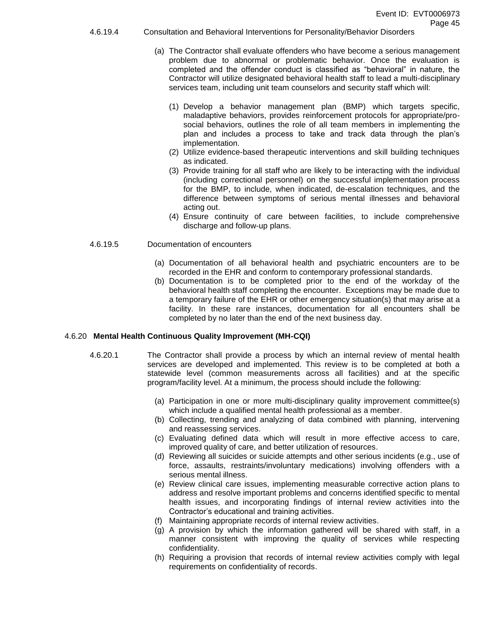- 4.6.19.4 Consultation and Behavioral Interventions for Personality/Behavior Disorders
	- (a) The Contractor shall evaluate offenders who have become a serious management problem due to abnormal or problematic behavior. Once the evaluation is completed and the offender conduct is classified as "behavioral" in nature, the Contractor will utilize designated behavioral health staff to lead a multi-disciplinary services team, including unit team counselors and security staff which will:
		- (1) Develop a behavior management plan (BMP) which targets specific, maladaptive behaviors, provides reinforcement protocols for appropriate/prosocial behaviors, outlines the role of all team members in implementing the plan and includes a process to take and track data through the plan's implementation.
		- (2) Utilize evidence-based therapeutic interventions and skill building techniques as indicated.
		- (3) Provide training for all staff who are likely to be interacting with the individual (including correctional personnel) on the successful implementation process for the BMP, to include, when indicated, de-escalation techniques, and the difference between symptoms of serious mental illnesses and behavioral acting out.
		- (4) Ensure continuity of care between facilities, to include comprehensive discharge and follow-up plans.

#### 4.6.19.5 Documentation of encounters

- (a) Documentation of all behavioral health and psychiatric encounters are to be recorded in the EHR and conform to contemporary professional standards.
- (b) Documentation is to be completed prior to the end of the workday of the behavioral health staff completing the encounter. Exceptions may be made due to a temporary failure of the EHR or other emergency situation(s) that may arise at a facility. In these rare instances, documentation for all encounters shall be completed by no later than the end of the next business day.

#### 4.6.20 **Mental Health Continuous Quality Improvement (MH-CQI)**

- 4.6.20.1 The Contractor shall provide a process by which an internal review of mental health services are developed and implemented. This review is to be completed at both a statewide level (common measurements across all facilities) and at the specific program/facility level. At a minimum, the process should include the following:
	- (a) Participation in one or more multi-disciplinary quality improvement committee(s) which include a qualified mental health professional as a member.
	- (b) Collecting, trending and analyzing of data combined with planning, intervening and reassessing services.
	- (c) Evaluating defined data which will result in more effective access to care, improved quality of care, and better utilization of resources.
	- (d) Reviewing all suicides or suicide attempts and other serious incidents (e.g., use of force, assaults, restraints/involuntary medications) involving offenders with a serious mental illness.
	- (e) Review clinical care issues, implementing measurable corrective action plans to address and resolve important problems and concerns identified specific to mental health issues, and incorporating findings of internal review activities into the Contractor's educational and training activities.
	- (f) Maintaining appropriate records of internal review activities.
	- (g) A provision by which the information gathered will be shared with staff, in a manner consistent with improving the quality of services while respecting confidentiality.
	- (h) Requiring a provision that records of internal review activities comply with legal requirements on confidentiality of records.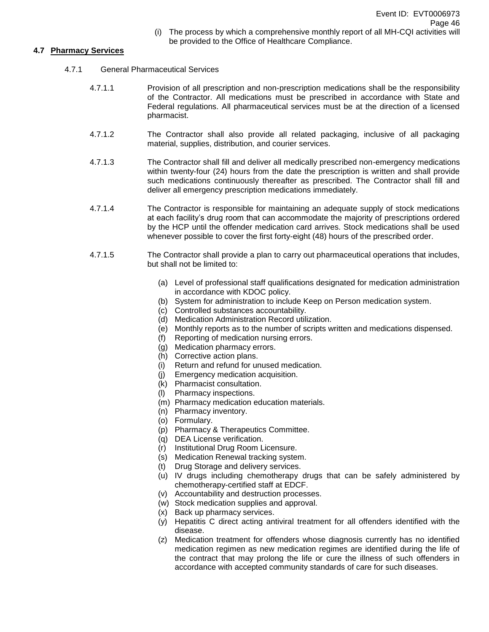(i) The process by which a comprehensive monthly report of all MH-CQI activities will be provided to the Office of Healthcare Compliance.

# **4.7 Pharmacy Services**

- 4.7.1 General Pharmaceutical Services
	- 4.7.1.1 Provision of all prescription and non-prescription medications shall be the responsibility of the Contractor. All medications must be prescribed in accordance with State and Federal regulations. All pharmaceutical services must be at the direction of a licensed pharmacist.
	- 4.7.1.2 The Contractor shall also provide all related packaging, inclusive of all packaging material, supplies, distribution, and courier services.
	- 4.7.1.3 The Contractor shall fill and deliver all medically prescribed non-emergency medications within twenty-four (24) hours from the date the prescription is written and shall provide such medications continuously thereafter as prescribed. The Contractor shall fill and deliver all emergency prescription medications immediately.
	- 4.7.1.4 The Contractor is responsible for maintaining an adequate supply of stock medications at each facility's drug room that can accommodate the majority of prescriptions ordered by the HCP until the offender medication card arrives. Stock medications shall be used whenever possible to cover the first forty-eight (48) hours of the prescribed order.
	- 4.7.1.5 The Contractor shall provide a plan to carry out pharmaceutical operations that includes, but shall not be limited to:
		- (a) Level of professional staff qualifications designated for medication administration in accordance with KDOC policy.
		- (b) System for administration to include Keep on Person medication system.
		- (c) Controlled substances accountability.
		- (d) Medication Administration Record utilization.
		- (e) Monthly reports as to the number of scripts written and medications dispensed.
		- (f) Reporting of medication nursing errors.
		- (g) Medication pharmacy errors.
		- (h) Corrective action plans.
		- (i) Return and refund for unused medication.
		- (j) Emergency medication acquisition.
		- (k) Pharmacist consultation.
		- (l) Pharmacy inspections.
		- (m) Pharmacy medication education materials.
		- (n) Pharmacy inventory.
		- (o) Formulary.
		- (p) Pharmacy & Therapeutics Committee.
		- (q) DEA License verification.
		- (r) Institutional Drug Room Licensure.
		- (s) Medication Renewal tracking system.
		- (t) Drug Storage and delivery services.
		- $(u)$  IV drugs including chemotherapy drugs that can be safely administered by chemotherapy-certified staff at EDCF.
		- (v) Accountability and destruction processes.
		- (w) Stock medication supplies and approval.
		- (x) Back up pharmacy services.
		- (y) Hepatitis C direct acting antiviral treatment for all offenders identified with the disease.
		- (z) Medication treatment for offenders whose diagnosis currently has no identified medication regimen as new medication regimes are identified during the life of the contract that may prolong the life or cure the illness of such offenders in accordance with accepted community standards of care for such diseases.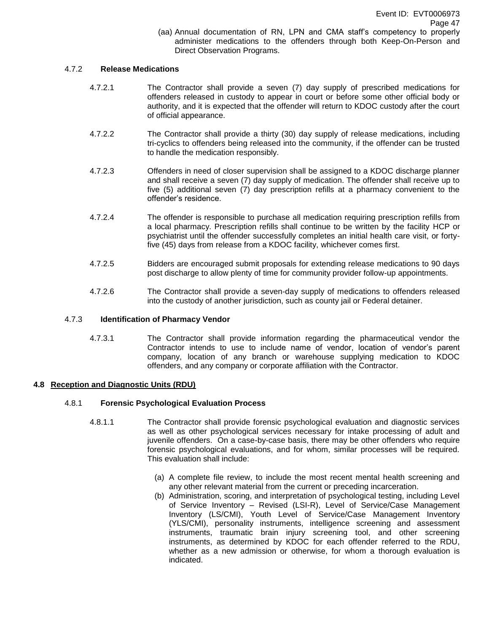(aa) Annual documentation of RN, LPN and CMA staff's competency to properly administer medications to the offenders through both Keep-On-Person and Direct Observation Programs.

# 4.7.2 **Release Medications**

- 4.7.2.1 The Contractor shall provide a seven (7) day supply of prescribed medications for offenders released in custody to appear in court or before some other official body or authority, and it is expected that the offender will return to KDOC custody after the court of official appearance.
- 4.7.2.2 The Contractor shall provide a thirty (30) day supply of release medications, including tri-cyclics to offenders being released into the community, if the offender can be trusted to handle the medication responsibly.
- 4.7.2.3 Offenders in need of closer supervision shall be assigned to a KDOC discharge planner and shall receive a seven (7) day supply of medication. The offender shall receive up to five (5) additional seven (7) day prescription refills at a pharmacy convenient to the offender's residence.
- 4.7.2.4 The offender is responsible to purchase all medication requiring prescription refills from a local pharmacy. Prescription refills shall continue to be written by the facility HCP or psychiatrist until the offender successfully completes an initial health care visit, or fortyfive (45) days from release from a KDOC facility, whichever comes first.
- 4.7.2.5 Bidders are encouraged submit proposals for extending release medications to 90 days post discharge to allow plenty of time for community provider follow-up appointments.
- 4.7.2.6 The Contractor shall provide a seven-day supply of medications to offenders released into the custody of another jurisdiction, such as county jail or Federal detainer.

# 4.7.3 **Identification of Pharmacy Vendor**

4.7.3.1 The Contractor shall provide information regarding the pharmaceutical vendor the Contractor intends to use to include name of vendor, location of vendor's parent company, location of any branch or warehouse supplying medication to KDOC offenders, and any company or corporate affiliation with the Contractor.

# **4.8 Reception and Diagnostic Units (RDU)**

# 4.8.1 **Forensic Psychological Evaluation Process**

- 4.8.1.1 The Contractor shall provide forensic psychological evaluation and diagnostic services as well as other psychological services necessary for intake processing of adult and juvenile offenders. On a case-by-case basis, there may be other offenders who require forensic psychological evaluations, and for whom, similar processes will be required. This evaluation shall include:
	- (a) A complete file review, to include the most recent mental health screening and any other relevant material from the current or preceding incarceration.
	- (b) Administration, scoring, and interpretation of psychological testing, including Level of Service Inventory – Revised (LSI-R), Level of Service/Case Management Inventory (LS/CMI), Youth Level of Service/Case Management Inventory (YLS/CMI), personality instruments, intelligence screening and assessment instruments, traumatic brain injury screening tool, and other screening instruments, as determined by KDOC for each offender referred to the RDU, whether as a new admission or otherwise, for whom a thorough evaluation is indicated.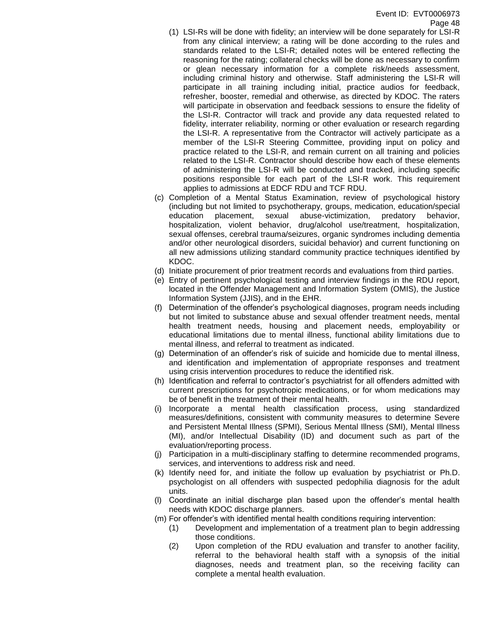- (1) LSI-Rs will be done with fidelity; an interview will be done separately for LSI-R from any clinical interview; a rating will be done according to the rules and standards related to the LSI-R; detailed notes will be entered reflecting the reasoning for the rating; collateral checks will be done as necessary to confirm or glean necessary information for a complete risk/needs assessment, including criminal history and otherwise. Staff administering the LSI-R will participate in all training including initial, practice audios for feedback, refresher, booster, remedial and otherwise, as directed by KDOC. The raters will participate in observation and feedback sessions to ensure the fidelity of the LSI-R. Contractor will track and provide any data requested related to fidelity, interrater reliability, norming or other evaluation or research regarding the LSI-R. A representative from the Contractor will actively participate as a member of the LSI-R Steering Committee, providing input on policy and practice related to the LSI-R, and remain current on all training and policies related to the LSI-R. Contractor should describe how each of these elements of administering the LSI-R will be conducted and tracked, including specific positions responsible for each part of the LSI-R work. This requirement applies to admissions at EDCF RDU and TCF RDU.
- (c) Completion of a Mental Status Examination, review of psychological history (including but not limited to psychotherapy, groups, medication, education/special education placement, sexual abuse-victimization, predatory behavior, hospitalization, violent behavior, drug/alcohol use/treatment, hospitalization, sexual offenses, cerebral trauma/seizures, organic syndromes including dementia and/or other neurological disorders, suicidal behavior) and current functioning on all new admissions utilizing standard community practice techniques identified by KDOC.
- (d) Initiate procurement of prior treatment records and evaluations from third parties.
- (e) Entry of pertinent psychological testing and interview findings in the RDU report, located in the Offender Management and Information System (OMIS), the Justice Information System (JJIS), and in the EHR.
- (f) Determination of the offender's psychological diagnoses, program needs including but not limited to substance abuse and sexual offender treatment needs, mental health treatment needs, housing and placement needs, employability or educational limitations due to mental illness, functional ability limitations due to mental illness, and referral to treatment as indicated.
- (g) Determination of an offender's risk of suicide and homicide due to mental illness, and identification and implementation of appropriate responses and treatment using crisis intervention procedures to reduce the identified risk.
- (h) Identification and referral to contractor's psychiatrist for all offenders admitted with current prescriptions for psychotropic medications, or for whom medications may be of benefit in the treatment of their mental health.
- (i) Incorporate a mental health classification process, using standardized measures/definitions, consistent with community measures to determine Severe and Persistent Mental Illness (SPMI), Serious Mental Illness (SMI), Mental Illness (MI), and/or Intellectual Disability (ID) and document such as part of the evaluation/reporting process.
- (j) Participation in a multi-disciplinary staffing to determine recommended programs, services, and interventions to address risk and need.
- (k) Identify need for, and initiate the follow up evaluation by psychiatrist or Ph.D. psychologist on all offenders with suspected pedophilia diagnosis for the adult units.
- (l) Coordinate an initial discharge plan based upon the offender's mental health needs with KDOC discharge planners.
- (m) For offender's with identified mental health conditions requiring intervention:
	- (1) Development and implementation of a treatment plan to begin addressing those conditions.
	- (2) Upon completion of the RDU evaluation and transfer to another facility, referral to the behavioral health staff with a synopsis of the initial diagnoses, needs and treatment plan, so the receiving facility can complete a mental health evaluation.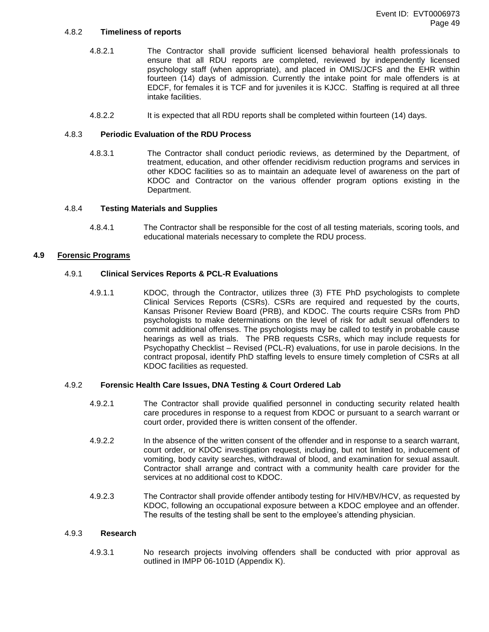#### 4.8.2 **Timeliness of reports**

- 4.8.2.1 The Contractor shall provide sufficient licensed behavioral health professionals to ensure that all RDU reports are completed, reviewed by independently licensed psychology staff (when appropriate), and placed in OMIS/JCFS and the EHR within fourteen (14) days of admission. Currently the intake point for male offenders is at EDCF, for females it is TCF and for juveniles it is KJCC. Staffing is required at all three intake facilities.
- 4.8.2.2 It is expected that all RDU reports shall be completed within fourteen (14) days.

### 4.8.3 **Periodic Evaluation of the RDU Process**

4.8.3.1 The Contractor shall conduct periodic reviews, as determined by the Department, of treatment, education, and other offender recidivism reduction programs and services in other KDOC facilities so as to maintain an adequate level of awareness on the part of KDOC and Contractor on the various offender program options existing in the Department.

#### 4.8.4 **Testing Materials and Supplies**

4.8.4.1 The Contractor shall be responsible for the cost of all testing materials, scoring tools, and educational materials necessary to complete the RDU process.

### **4.9 Forensic Programs**

#### 4.9.1 **Clinical Services Reports & PCL-R Evaluations**

4.9.1.1 KDOC, through the Contractor, utilizes three (3) FTE PhD psychologists to complete Clinical Services Reports (CSRs). CSRs are required and requested by the courts, Kansas Prisoner Review Board (PRB), and KDOC. The courts require CSRs from PhD psychologists to make determinations on the level of risk for adult sexual offenders to commit additional offenses. The psychologists may be called to testify in probable cause hearings as well as trials. The PRB requests CSRs, which may include requests for Psychopathy Checklist – Revised (PCL-R) evaluations, for use in parole decisions. In the contract proposal, identify PhD staffing levels to ensure timely completion of CSRs at all KDOC facilities as requested.

#### 4.9.2 **Forensic Health Care Issues, DNA Testing & Court Ordered Lab**

- 4.9.2.1 The Contractor shall provide qualified personnel in conducting security related health care procedures in response to a request from KDOC or pursuant to a search warrant or court order, provided there is written consent of the offender.
- 4.9.2.2 In the absence of the written consent of the offender and in response to a search warrant, court order, or KDOC investigation request, including, but not limited to, inducement of vomiting, body cavity searches, withdrawal of blood, and examination for sexual assault. Contractor shall arrange and contract with a community health care provider for the services at no additional cost to KDOC.
- 4.9.2.3 The Contractor shall provide offender antibody testing for HIV/HBV/HCV, as requested by KDOC, following an occupational exposure between a KDOC employee and an offender. The results of the testing shall be sent to the employee's attending physician.

#### 4.9.3 **Research**

4.9.3.1 No research projects involving offenders shall be conducted with prior approval as outlined in IMPP 06-101D (Appendix K).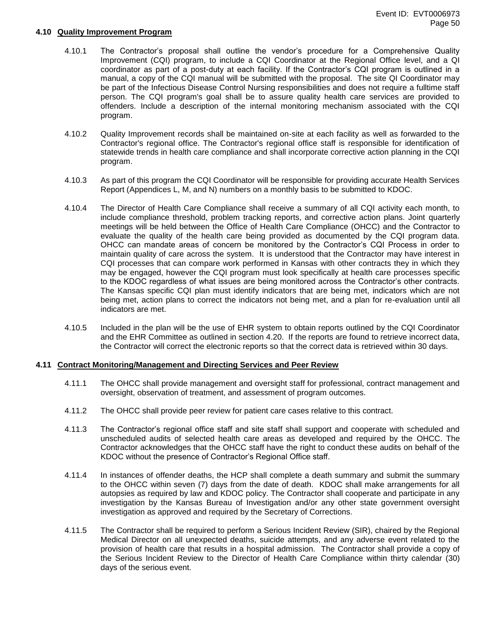#### **4.10 Quality Improvement Program**

- 4.10.1 The Contractor's proposal shall outline the vendor's procedure for a Comprehensive Quality Improvement (CQI) program, to include a CQI Coordinator at the Regional Office level, and a QI coordinator as part of a post-duty at each facility. If the Contractor's CQI program is outlined in a manual, a copy of the CQI manual will be submitted with the proposal. The site QI Coordinator may be part of the Infectious Disease Control Nursing responsibilities and does not require a fulltime staff person. The CQI program's goal shall be to assure quality health care services are provided to offenders. Include a description of the internal monitoring mechanism associated with the CQI program.
- 4.10.2 Quality Improvement records shall be maintained on-site at each facility as well as forwarded to the Contractor's regional office. The Contractor's regional office staff is responsible for identification of statewide trends in health care compliance and shall incorporate corrective action planning in the CQI program.
- 4.10.3 As part of this program the CQI Coordinator will be responsible for providing accurate Health Services Report (Appendices L, M, and N) numbers on a monthly basis to be submitted to KDOC.
- 4.10.4 The Director of Health Care Compliance shall receive a summary of all CQI activity each month, to include compliance threshold, problem tracking reports, and corrective action plans. Joint quarterly meetings will be held between the Office of Health Care Compliance (OHCC) and the Contractor to evaluate the quality of the health care being provided as documented by the CQI program data. OHCC can mandate areas of concern be monitored by the Contractor's CQI Process in order to maintain quality of care across the system. It is understood that the Contractor may have interest in CQI processes that can compare work performed in Kansas with other contracts they in which they may be engaged, however the CQI program must look specifically at health care processes specific to the KDOC regardless of what issues are being monitored across the Contractor's other contracts. The Kansas specific CQI plan must identify indicators that are being met, indicators which are not being met, action plans to correct the indicators not being met, and a plan for re-evaluation until all indicators are met.
- 4.10.5 Included in the plan will be the use of EHR system to obtain reports outlined by the CQI Coordinator and the EHR Committee as outlined in section 4.20. If the reports are found to retrieve incorrect data, the Contractor will correct the electronic reports so that the correct data is retrieved within 30 days.

#### **4.11 Contract Monitoring/Management and Directing Services and Peer Review**

- 4.11.1 The OHCC shall provide management and oversight staff for professional, contract management and oversight, observation of treatment, and assessment of program outcomes.
- 4.11.2 The OHCC shall provide peer review for patient care cases relative to this contract.
- 4.11.3 The Contractor's regional office staff and site staff shall support and cooperate with scheduled and unscheduled audits of selected health care areas as developed and required by the OHCC. The Contractor acknowledges that the OHCC staff have the right to conduct these audits on behalf of the KDOC without the presence of Contractor's Regional Office staff.
- 4.11.4 In instances of offender deaths, the HCP shall complete a death summary and submit the summary to the OHCC within seven (7) days from the date of death. KDOC shall make arrangements for all autopsies as required by law and KDOC policy. The Contractor shall cooperate and participate in any investigation by the Kansas Bureau of Investigation and/or any other state government oversight investigation as approved and required by the Secretary of Corrections.
- 4.11.5 The Contractor shall be required to perform a Serious Incident Review (SIR), chaired by the Regional Medical Director on all unexpected deaths, suicide attempts, and any adverse event related to the provision of health care that results in a hospital admission. The Contractor shall provide a copy of the Serious Incident Review to the Director of Health Care Compliance within thirty calendar (30) days of the serious event.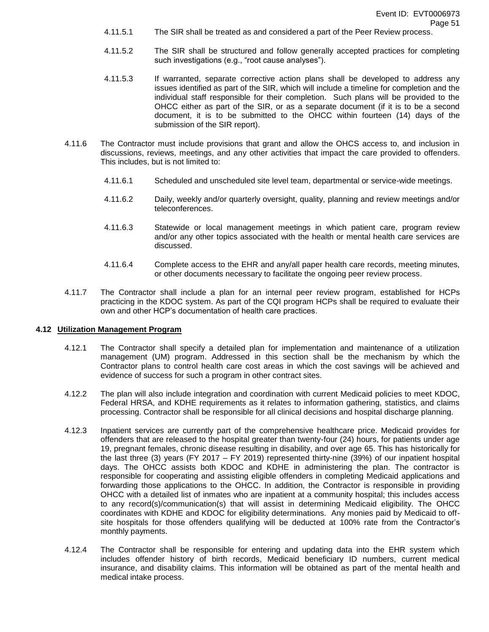- 4.11.5.1 The SIR shall be treated as and considered a part of the Peer Review process.
- 4.11.5.2 The SIR shall be structured and follow generally accepted practices for completing such investigations (e.g., "root cause analyses").
- 4.11.5.3 If warranted, separate corrective action plans shall be developed to address any issues identified as part of the SIR, which will include a timeline for completion and the individual staff responsible for their completion. Such plans will be provided to the OHCC either as part of the SIR, or as a separate document (if it is to be a second document, it is to be submitted to the OHCC within fourteen (14) days of the submission of the SIR report).
- 4.11.6 The Contractor must include provisions that grant and allow the OHCS access to, and inclusion in discussions, reviews, meetings, and any other activities that impact the care provided to offenders. This includes, but is not limited to:
	- 4.11.6.1 Scheduled and unscheduled site level team, departmental or service-wide meetings.
	- 4.11.6.2 Daily, weekly and/or quarterly oversight, quality, planning and review meetings and/or teleconferences.
	- 4.11.6.3 Statewide or local management meetings in which patient care, program review and/or any other topics associated with the health or mental health care services are discussed.
	- 4.11.6.4 Complete access to the EHR and any/all paper health care records, meeting minutes, or other documents necessary to facilitate the ongoing peer review process.
- 4.11.7 The Contractor shall include a plan for an internal peer review program, established for HCPs practicing in the KDOC system. As part of the CQI program HCPs shall be required to evaluate their own and other HCP's documentation of health care practices.

# **4.12 Utilization Management Program**

- 4.12.1 The Contractor shall specify a detailed plan for implementation and maintenance of a utilization management (UM) program. Addressed in this section shall be the mechanism by which the Contractor plans to control health care cost areas in which the cost savings will be achieved and evidence of success for such a program in other contract sites.
- 4.12.2 The plan will also include integration and coordination with current Medicaid policies to meet KDOC, Federal HRSA, and KDHE requirements as it relates to information gathering, statistics, and claims processing. Contractor shall be responsible for all clinical decisions and hospital discharge planning.
- 4.12.3 Inpatient services are currently part of the comprehensive healthcare price. Medicaid provides for offenders that are released to the hospital greater than twenty-four (24) hours, for patients under age 19, pregnant females, chronic disease resulting in disability, and over age 65. This has historically for the last three (3) years (FY 2017 – FY 2019) represented thirty-nine (39%) of our inpatient hospital days. The OHCC assists both KDOC and KDHE in administering the plan. The contractor is responsible for cooperating and assisting eligible offenders in completing Medicaid applications and forwarding those applications to the OHCC. In addition, the Contractor is responsible in providing OHCC with a detailed list of inmates who are inpatient at a community hospital; this includes access to any record(s)/communication(s) that will assist in determining Medicaid eligibility. The OHCC coordinates with KDHE and KDOC for eligibility determinations. Any monies paid by Medicaid to offsite hospitals for those offenders qualifying will be deducted at 100% rate from the Contractor's monthly payments.
- 4.12.4 The Contractor shall be responsible for entering and updating data into the EHR system which includes offender history of birth records, Medicaid beneficiary ID numbers, current medical insurance, and disability claims. This information will be obtained as part of the mental health and medical intake process.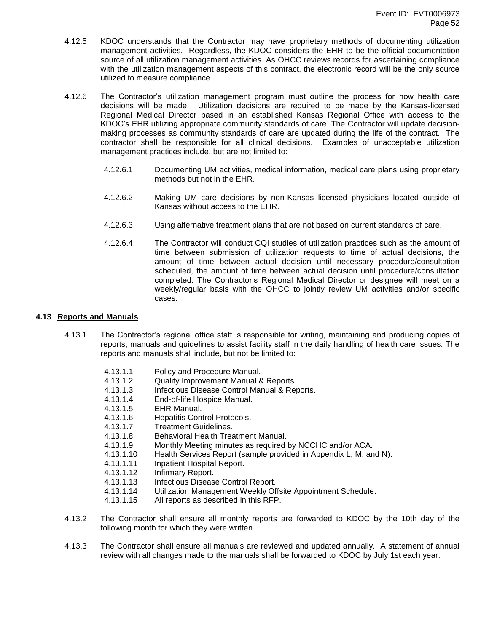- 4.12.5 KDOC understands that the Contractor may have proprietary methods of documenting utilization management activities. Regardless, the KDOC considers the EHR to be the official documentation source of all utilization management activities. As OHCC reviews records for ascertaining compliance with the utilization management aspects of this contract, the electronic record will be the only source utilized to measure compliance.
- 4.12.6 The Contractor's utilization management program must outline the process for how health care decisions will be made. Utilization decisions are required to be made by the Kansas-licensed Regional Medical Director based in an established Kansas Regional Office with access to the KDOC's EHR utilizing appropriate community standards of care. The Contractor will update decisionmaking processes as community standards of care are updated during the life of the contract. The contractor shall be responsible for all clinical decisions. Examples of unacceptable utilization management practices include, but are not limited to:
	- 4.12.6.1 Documenting UM activities, medical information, medical care plans using proprietary methods but not in the EHR.
	- 4.12.6.2 Making UM care decisions by non-Kansas licensed physicians located outside of Kansas without access to the EHR.
	- 4.12.6.3 Using alternative treatment plans that are not based on current standards of care.
	- 4.12.6.4 The Contractor will conduct CQI studies of utilization practices such as the amount of time between submission of utilization requests to time of actual decisions, the amount of time between actual decision until necessary procedure/consultation scheduled, the amount of time between actual decision until procedure/consultation completed. The Contractor's Regional Medical Director or designee will meet on a weekly/regular basis with the OHCC to jointly review UM activities and/or specific cases.

# **4.13 Reports and Manuals**

4.13.1 The Contractor's regional office staff is responsible for writing, maintaining and producing copies of reports, manuals and guidelines to assist facility staff in the daily handling of health care issues. The reports and manuals shall include, but not be limited to:

| 4.13.1.1  | Policy and Procedure Manual.                                      |
|-----------|-------------------------------------------------------------------|
| 4.13.1.2  | Quality Improvement Manual & Reports.                             |
| 4.13.1.3  | Infectious Disease Control Manual & Reports.                      |
| 4.13.1.4  | End-of-life Hospice Manual.                                       |
| 4.13.1.5  | <b>EHR Manual.</b>                                                |
| 4.13.1.6  | <b>Hepatitis Control Protocols.</b>                               |
| 4.13.1.7  | <b>Treatment Guidelines.</b>                                      |
| 4.13.1.8  | Behavioral Health Treatment Manual.                               |
| 4.13.1.9  | Monthly Meeting minutes as required by NCCHC and/or ACA.          |
| 4.13.1.10 | Health Services Report (sample provided in Appendix L, M, and N). |
| 4.13.1.11 | Inpatient Hospital Report.                                        |
| 4.13.1.12 | Infirmary Report.                                                 |
| 4.13.1.13 | Infectious Disease Control Report.                                |
| 4.13.1.14 | Utilization Management Weekly Offsite Appointment Schedule.       |
| 4.13.1.15 | All reports as described in this RFP.                             |
|           |                                                                   |

- 4.13.2 The Contractor shall ensure all monthly reports are forwarded to KDOC by the 10th day of the following month for which they were written.
- 4.13.3 The Contractor shall ensure all manuals are reviewed and updated annually. A statement of annual review with all changes made to the manuals shall be forwarded to KDOC by July 1st each year.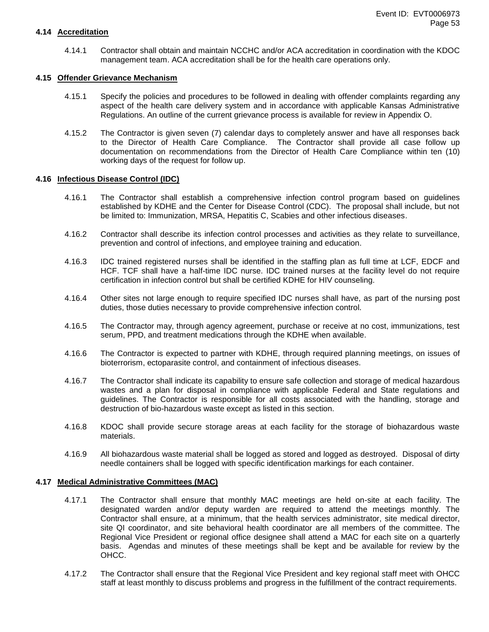#### **4.14 Accreditation**

4.14.1 Contractor shall obtain and maintain NCCHC and/or ACA accreditation in coordination with the KDOC management team. ACA accreditation shall be for the health care operations only.

#### **4.15 Offender Grievance Mechanism**

- 4.15.1 Specify the policies and procedures to be followed in dealing with offender complaints regarding any aspect of the health care delivery system and in accordance with applicable Kansas Administrative Regulations. An outline of the current grievance process is available for review in Appendix O.
- 4.15.2 The Contractor is given seven (7) calendar days to completely answer and have all responses back to the Director of Health Care Compliance. The Contractor shall provide all case follow up documentation on recommendations from the Director of Health Care Compliance within ten (10) working days of the request for follow up.

#### **4.16 Infectious Disease Control (IDC)**

- 4.16.1 The Contractor shall establish a comprehensive infection control program based on guidelines established by KDHE and the Center for Disease Control (CDC). The proposal shall include, but not be limited to: Immunization, MRSA, Hepatitis C, Scabies and other infectious diseases.
- 4.16.2 Contractor shall describe its infection control processes and activities as they relate to surveillance, prevention and control of infections, and employee training and education.
- 4.16.3 IDC trained registered nurses shall be identified in the staffing plan as full time at LCF, EDCF and HCF. TCF shall have a half-time IDC nurse. IDC trained nurses at the facility level do not require certification in infection control but shall be certified KDHE for HIV counseling.
- 4.16.4 Other sites not large enough to require specified IDC nurses shall have, as part of the nursing post duties, those duties necessary to provide comprehensive infection control.
- 4.16.5 The Contractor may, through agency agreement, purchase or receive at no cost, immunizations, test serum, PPD, and treatment medications through the KDHE when available.
- 4.16.6 The Contractor is expected to partner with KDHE, through required planning meetings, on issues of bioterrorism, ectoparasite control, and containment of infectious diseases.
- 4.16.7 The Contractor shall indicate its capability to ensure safe collection and storage of medical hazardous wastes and a plan for disposal in compliance with applicable Federal and State regulations and guidelines. The Contractor is responsible for all costs associated with the handling, storage and destruction of bio-hazardous waste except as listed in this section.
- 4.16.8 KDOC shall provide secure storage areas at each facility for the storage of biohazardous waste materials.
- 4.16.9 All biohazardous waste material shall be logged as stored and logged as destroyed. Disposal of dirty needle containers shall be logged with specific identification markings for each container.

#### **4.17 Medical Administrative Committees (MAC)**

- 4.17.1 The Contractor shall ensure that monthly MAC meetings are held on-site at each facility. The designated warden and/or deputy warden are required to attend the meetings monthly. The Contractor shall ensure, at a minimum, that the health services administrator, site medical director, site QI coordinator, and site behavioral health coordinator are all members of the committee. The Regional Vice President or regional office designee shall attend a MAC for each site on a quarterly basis. Agendas and minutes of these meetings shall be kept and be available for review by the OHCC.
- 4.17.2 The Contractor shall ensure that the Regional Vice President and key regional staff meet with OHCC staff at least monthly to discuss problems and progress in the fulfillment of the contract requirements.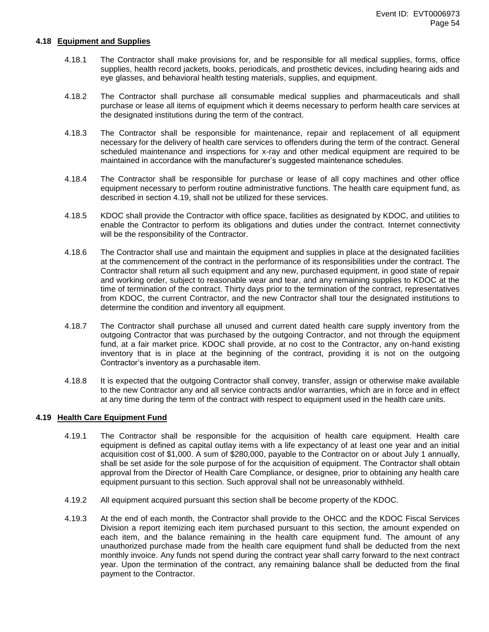#### **4.18 Equipment and Supplies**

- 4.18.1 The Contractor shall make provisions for, and be responsible for all medical supplies, forms, office supplies, health record jackets, books, periodicals, and prosthetic devices, including hearing aids and eye glasses, and behavioral health testing materials, supplies, and equipment.
- 4.18.2 The Contractor shall purchase all consumable medical supplies and pharmaceuticals and shall purchase or lease all items of equipment which it deems necessary to perform health care services at the designated institutions during the term of the contract.
- 4.18.3 The Contractor shall be responsible for maintenance, repair and replacement of all equipment necessary for the delivery of health care services to offenders during the term of the contract. General scheduled maintenance and inspections for x-ray and other medical equipment are required to be maintained in accordance with the manufacturer's suggested maintenance schedules.
- 4.18.4 The Contractor shall be responsible for purchase or lease of all copy machines and other office equipment necessary to perform routine administrative functions. The health care equipment fund, as described in section 4.19, shall not be utilized for these services.
- 4.18.5 KDOC shall provide the Contractor with office space, facilities as designated by KDOC, and utilities to enable the Contractor to perform its obligations and duties under the contract. Internet connectivity will be the responsibility of the Contractor.
- 4.18.6 The Contractor shall use and maintain the equipment and supplies in place at the designated facilities at the commencement of the contract in the performance of its responsibilities under the contract. The Contractor shall return all such equipment and any new, purchased equipment, in good state of repair and working order, subject to reasonable wear and tear, and any remaining supplies to KDOC at the time of termination of the contract. Thirty days prior to the termination of the contract, representatives from KDOC, the current Contractor, and the new Contractor shall tour the designated institutions to determine the condition and inventory all equipment.
- 4.18.7 The Contractor shall purchase all unused and current dated health care supply inventory from the outgoing Contractor that was purchased by the outgoing Contractor, and not through the equipment fund, at a fair market price. KDOC shall provide, at no cost to the Contractor, any on-hand existing inventory that is in place at the beginning of the contract, providing it is not on the outgoing Contractor's inventory as a purchasable item.
- 4.18.8 It is expected that the outgoing Contractor shall convey, transfer, assign or otherwise make available to the new Contractor any and all service contracts and/or warranties, which are in force and in effect at any time during the term of the contract with respect to equipment used in the health care units.

# **4.19 Health Care Equipment Fund**

- 4.19.1 The Contractor shall be responsible for the acquisition of health care equipment. Health care equipment is defined as capital outlay items with a life expectancy of at least one year and an initial acquisition cost of \$1,000. A sum of \$280,000, payable to the Contractor on or about July 1 annually, shall be set aside for the sole purpose of for the acquisition of equipment. The Contractor shall obtain approval from the Director of Health Care Compliance, or designee, prior to obtaining any health care equipment pursuant to this section. Such approval shall not be unreasonably withheld.
- 4.19.2 All equipment acquired pursuant this section shall be become property of the KDOC.
- 4.19.3 At the end of each month, the Contractor shall provide to the OHCC and the KDOC Fiscal Services Division a report itemizing each item purchased pursuant to this section, the amount expended on each item, and the balance remaining in the health care equipment fund. The amount of any unauthorized purchase made from the health care equipment fund shall be deducted from the next monthly invoice. Any funds not spend during the contract year shall carry forward to the next contract year. Upon the termination of the contract, any remaining balance shall be deducted from the final payment to the Contractor.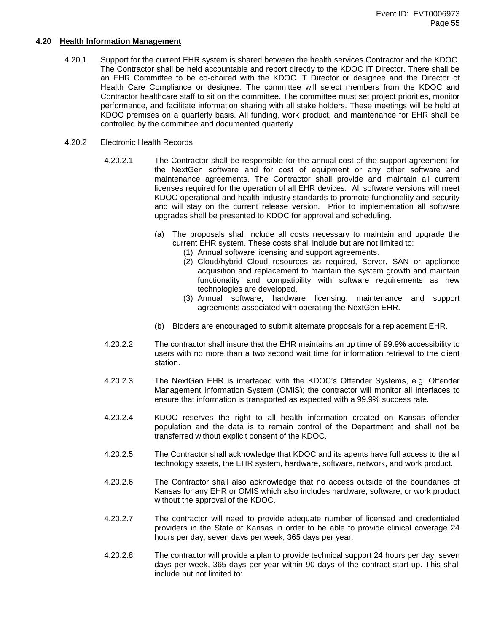#### **4.20 Health Information Management**

- 4.20.1 Support for the current EHR system is shared between the health services Contractor and the KDOC. The Contractor shall be held accountable and report directly to the KDOC IT Director. There shall be an EHR Committee to be co-chaired with the KDOC IT Director or designee and the Director of Health Care Compliance or designee. The committee will select members from the KDOC and Contractor healthcare staff to sit on the committee. The committee must set project priorities, monitor performance, and facilitate information sharing with all stake holders. These meetings will be held at KDOC premises on a quarterly basis. All funding, work product, and maintenance for EHR shall be controlled by the committee and documented quarterly.
- 4.20.2 Electronic Health Records
	- 4.20.2.1 The Contractor shall be responsible for the annual cost of the support agreement for the NextGen software and for cost of equipment or any other software and maintenance agreements. The Contractor shall provide and maintain all current licenses required for the operation of all EHR devices. All software versions will meet KDOC operational and health industry standards to promote functionality and security and will stay on the current release version. Prior to implementation all software upgrades shall be presented to KDOC for approval and scheduling.
		- (a) The proposals shall include all costs necessary to maintain and upgrade the current EHR system. These costs shall include but are not limited to:
			- (1) Annual software licensing and support agreements.
			- (2) Cloud/hybrid Cloud resources as required, Server, SAN or appliance acquisition and replacement to maintain the system growth and maintain functionality and compatibility with software requirements as new technologies are developed.
			- (3) Annual software, hardware licensing, maintenance and support agreements associated with operating the NextGen EHR.
		- (b) Bidders are encouraged to submit alternate proposals for a replacement EHR.
	- 4.20.2.2 The contractor shall insure that the EHR maintains an up time of 99.9% accessibility to users with no more than a two second wait time for information retrieval to the client station.
	- 4.20.2.3 The NextGen EHR is interfaced with the KDOC's Offender Systems, e.g. Offender Management Information System (OMIS); the contractor will monitor all interfaces to ensure that information is transported as expected with a 99.9% success rate.
	- 4.20.2.4 KDOC reserves the right to all health information created on Kansas offender population and the data is to remain control of the Department and shall not be transferred without explicit consent of the KDOC.
	- 4.20.2.5 The Contractor shall acknowledge that KDOC and its agents have full access to the all technology assets, the EHR system, hardware, software, network, and work product.
	- 4.20.2.6 The Contractor shall also acknowledge that no access outside of the boundaries of Kansas for any EHR or OMIS which also includes hardware, software, or work product without the approval of the KDOC.
	- 4.20.2.7 The contractor will need to provide adequate number of licensed and credentialed providers in the State of Kansas in order to be able to provide clinical coverage 24 hours per day, seven days per week, 365 days per year.
	- 4.20.2.8 The contractor will provide a plan to provide technical support 24 hours per day, seven days per week, 365 days per year within 90 days of the contract start-up. This shall include but not limited to: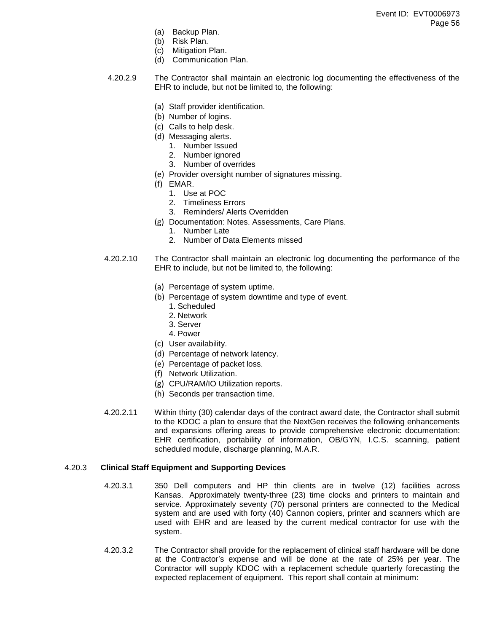- (a) Backup Plan.
- (b) Risk Plan.
- (c) Mitigation Plan.
- (d) Communication Plan.
- 4.20.2.9 The Contractor shall maintain an electronic log documenting the effectiveness of the EHR to include, but not be limited to, the following:
	- (a) Staff provider identification.
	- (b) Number of logins.
	- (c) Calls to help desk.
	- (d) Messaging alerts.
		- 1. Number Issued
		- 2. Number ignored
		- 3. Number of overrides
	- (e) Provider oversight number of signatures missing.
	- (f) EMAR.
		- 1. Use at POC
		- 2. Timeliness Errors
		- 3. Reminders/ Alerts Overridden
	- (g) Documentation: Notes. Assessments, Care Plans.
		- 1. Number Late
		- 2. Number of Data Elements missed
- 4.20.2.10 The Contractor shall maintain an electronic log documenting the performance of the EHR to include, but not be limited to, the following:
	- (a) Percentage of system uptime.
	- (b) Percentage of system downtime and type of event.
		- 1. Scheduled
		- 2. Network
		- 3. Server
		- 4. Power
	- (c) User availability.
	- (d) Percentage of network latency.
	- (e) Percentage of packet loss.
	- (f) Network Utilization.
	- (g) CPU/RAM/IO Utilization reports.
	- (h) Seconds per transaction time.
- 4.20.2.11 Within thirty (30) calendar days of the contract award date, the Contractor shall submit to the KDOC a plan to ensure that the NextGen receives the following enhancements and expansions offering areas to provide comprehensive electronic documentation: EHR certification, portability of information, OB/GYN, I.C.S. scanning, patient scheduled module, discharge planning, M.A.R.

#### 4.20.3 **Clinical Staff Equipment and Supporting Devices**

- 4.20.3.1 350 Dell computers and HP thin clients are in twelve (12) facilities across Kansas. Approximately twenty-three (23) time clocks and printers to maintain and service. Approximately seventy (70) personal printers are connected to the Medical system and are used with forty (40) Cannon copiers, printer and scanners which are used with EHR and are leased by the current medical contractor for use with the system.
- 4.20.3.2 The Contractor shall provide for the replacement of clinical staff hardware will be done at the Contractor's expense and will be done at the rate of 25% per year. The Contractor will supply KDOC with a replacement schedule quarterly forecasting the expected replacement of equipment. This report shall contain at minimum: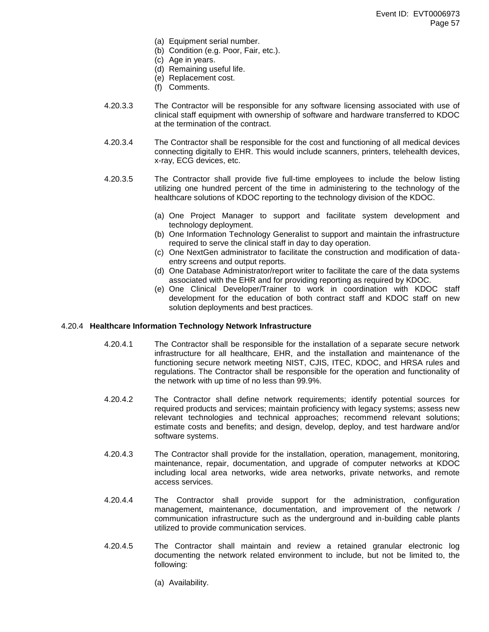- (a) Equipment serial number.
- (b) Condition (e.g. Poor, Fair, etc.).
- (c) Age in years.
- (d) Remaining useful life.
- (e) Replacement cost.
- (f) Comments.
- 4.20.3.3 The Contractor will be responsible for any software licensing associated with use of clinical staff equipment with ownership of software and hardware transferred to KDOC at the termination of the contract.
- 4.20.3.4 The Contractor shall be responsible for the cost and functioning of all medical devices connecting digitally to EHR. This would include scanners, printers, telehealth devices, x-ray, ECG devices, etc.
- 4.20.3.5 The Contractor shall provide five full-time employees to include the below listing utilizing one hundred percent of the time in administering to the technology of the healthcare solutions of KDOC reporting to the technology division of the KDOC.
	- (a) One Project Manager to support and facilitate system development and technology deployment.
	- (b) One Information Technology Generalist to support and maintain the infrastructure required to serve the clinical staff in day to day operation.
	- (c) One NextGen administrator to facilitate the construction and modification of dataentry screens and output reports.
	- (d) One Database Administrator/report writer to facilitate the care of the data systems associated with the EHR and for providing reporting as required by KDOC.
	- (e) One Clinical Developer/Trainer to work in coordination with KDOC staff development for the education of both contract staff and KDOC staff on new solution deployments and best practices.

# 4.20.4 **Healthcare Information Technology Network Infrastructure**

- 4.20.4.1 The Contractor shall be responsible for the installation of a separate secure network infrastructure for all healthcare, EHR, and the installation and maintenance of the functioning secure network meeting NIST, CJIS, ITEC, KDOC, and HRSA rules and regulations. The Contractor shall be responsible for the operation and functionality of the network with up time of no less than 99.9%.
- 4.20.4.2 The Contractor shall define network requirements; identify potential sources for required products and services; maintain proficiency with legacy systems; assess new relevant technologies and technical approaches; recommend relevant solutions; estimate costs and benefits; and design, develop, deploy, and test hardware and/or software systems.
- 4.20.4.3 The Contractor shall provide for the installation, operation, management, monitoring, maintenance, repair, documentation, and upgrade of computer networks at KDOC including local area networks, wide area networks, private networks, and remote access services.
- 4.20.4.4 The Contractor shall provide support for the administration, configuration management, maintenance, documentation, and improvement of the network / communication infrastructure such as the underground and in-building cable plants utilized to provide communication services.
- 4.20.4.5 The Contractor shall maintain and review a retained granular electronic log documenting the network related environment to include, but not be limited to, the following:
	- (a) Availability.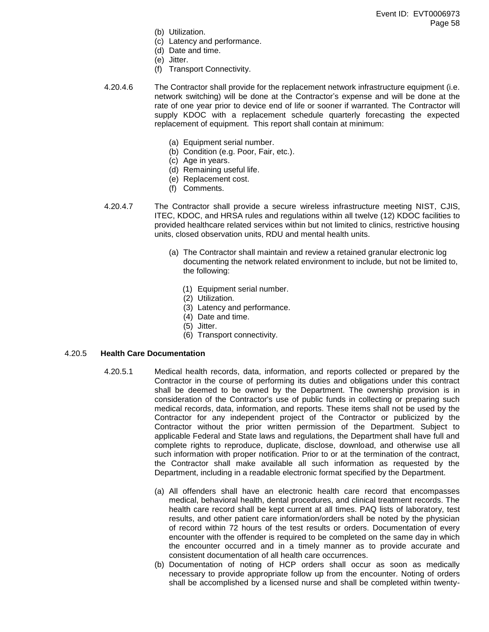- (b) Utilization.
- (c) Latency and performance.
- (d) Date and time.
- (e) Jitter.
- (f) Transport Connectivity.
- 4.20.4.6 The Contractor shall provide for the replacement network infrastructure equipment (i.e. network switching) will be done at the Contractor's expense and will be done at the rate of one year prior to device end of life or sooner if warranted. The Contractor will supply KDOC with a replacement schedule quarterly forecasting the expected replacement of equipment. This report shall contain at minimum:
	- (a) Equipment serial number.
	- (b) Condition (e.g. Poor, Fair, etc.).
	- (c) Age in years.
	- (d) Remaining useful life.
	- (e) Replacement cost.
	- (f) Comments.
- 4.20.4.7 The Contractor shall provide a secure wireless infrastructure meeting NIST, CJIS, ITEC, KDOC, and HRSA rules and regulations within all twelve (12) KDOC facilities to provided healthcare related services within but not limited to clinics, restrictive housing units, closed observation units, RDU and mental health units.
	- (a) The Contractor shall maintain and review a retained granular electronic log documenting the network related environment to include, but not be limited to, the following:
		- (1) Equipment serial number.
		- (2) Utilization.
		- (3) Latency and performance.
		- (4) Date and time.
		- (5) Jitter.
		- (6) Transport connectivity.

# 4.20.5 **Health Care Documentation**

- 4.20.5.1 Medical health records, data, information, and reports collected or prepared by the Contractor in the course of performing its duties and obligations under this contract shall be deemed to be owned by the Department. The ownership provision is in consideration of the Contractor's use of public funds in collecting or preparing such medical records, data, information, and reports. These items shall not be used by the Contractor for any independent project of the Contractor or publicized by the Contractor without the prior written permission of the Department. Subject to applicable Federal and State laws and regulations, the Department shall have full and complete rights to reproduce, duplicate, disclose, download, and otherwise use all such information with proper notification. Prior to or at the termination of the contract, the Contractor shall make available all such information as requested by the Department, including in a readable electronic format specified by the Department.
	- (a) All offenders shall have an electronic health care record that encompasses medical, behavioral health, dental procedures, and clinical treatment records. The health care record shall be kept current at all times. PAQ lists of laboratory, test results, and other patient care information/orders shall be noted by the physician of record within 72 hours of the test results or orders. Documentation of every encounter with the offender is required to be completed on the same day in which the encounter occurred and in a timely manner as to provide accurate and consistent documentation of all health care occurrences.
	- (b) Documentation of noting of HCP orders shall occur as soon as medically necessary to provide appropriate follow up from the encounter. Noting of orders shall be accomplished by a licensed nurse and shall be completed within twenty-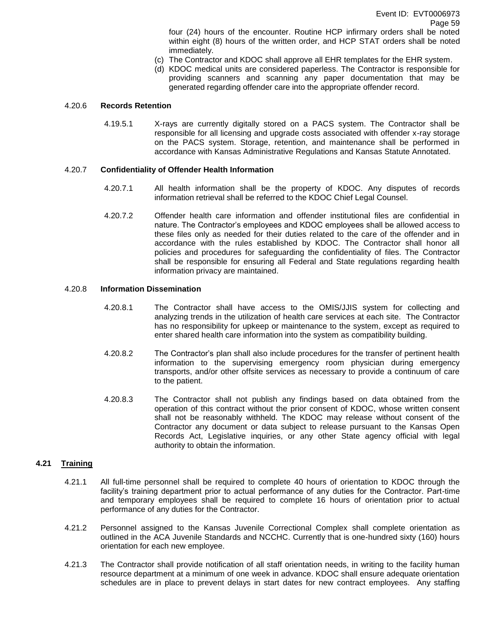four (24) hours of the encounter. Routine HCP infirmary orders shall be noted within eight (8) hours of the written order, and HCP STAT orders shall be noted immediately.

- (c) The Contractor and KDOC shall approve all EHR templates for the EHR system.
- (d) KDOC medical units are considered paperless. The Contractor is responsible for providing scanners and scanning any paper documentation that may be generated regarding offender care into the appropriate offender record.

#### 4.20.6 **Records Retention**

4.19.5.1 X-rays are currently digitally stored on a PACS system. The Contractor shall be responsible for all licensing and upgrade costs associated with offender x-ray storage on the PACS system. Storage, retention, and maintenance shall be performed in accordance with Kansas Administrative Regulations and Kansas Statute Annotated.

#### 4.20.7 **Confidentiality of Offender Health Information**

- 4.20.7.1 All health information shall be the property of KDOC. Any disputes of records information retrieval shall be referred to the KDOC Chief Legal Counsel.
- 4.20.7.2 Offender health care information and offender institutional files are confidential in nature. The Contractor's employees and KDOC employees shall be allowed access to these files only as needed for their duties related to the care of the offender and in accordance with the rules established by KDOC. The Contractor shall honor all policies and procedures for safeguarding the confidentiality of files. The Contractor shall be responsible for ensuring all Federal and State regulations regarding health information privacy are maintained.

# 4.20.8 **Information Dissemination**

- 4.20.8.1 The Contractor shall have access to the OMIS/JJIS system for collecting and analyzing trends in the utilization of health care services at each site. The Contractor has no responsibility for upkeep or maintenance to the system, except as required to enter shared health care information into the system as compatibility building.
- 4.20.8.2 The Contractor's plan shall also include procedures for the transfer of pertinent health information to the supervising emergency room physician during emergency transports, and/or other offsite services as necessary to provide a continuum of care to the patient.
- 4.20.8.3 The Contractor shall not publish any findings based on data obtained from the operation of this contract without the prior consent of KDOC, whose written consent shall not be reasonably withheld. The KDOC may release without consent of the Contractor any document or data subject to release pursuant to the Kansas Open Records Act, Legislative inquiries, or any other State agency official with legal authority to obtain the information.

# **4.21 Training**

- 4.21.1 All full-time personnel shall be required to complete 40 hours of orientation to KDOC through the facility's training department prior to actual performance of any duties for the Contractor. Part-time and temporary employees shall be required to complete 16 hours of orientation prior to actual performance of any duties for the Contractor.
- 4.21.2 Personnel assigned to the Kansas Juvenile Correctional Complex shall complete orientation as outlined in the ACA Juvenile Standards and NCCHC. Currently that is one-hundred sixty (160) hours orientation for each new employee.
- 4.21.3 The Contractor shall provide notification of all staff orientation needs, in writing to the facility human resource department at a minimum of one week in advance. KDOC shall ensure adequate orientation schedules are in place to prevent delays in start dates for new contract employees. Any staffing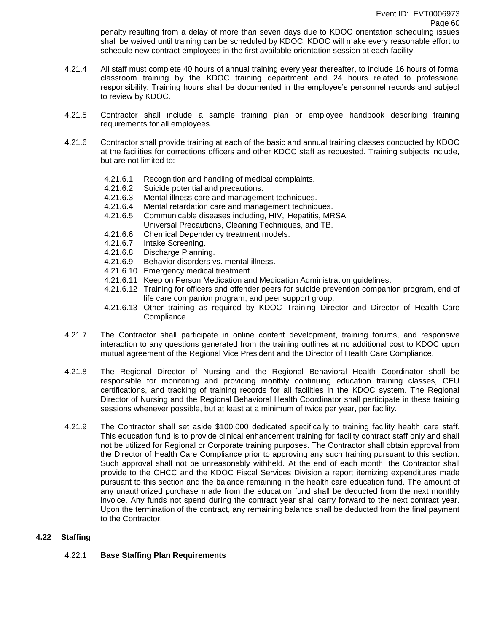penalty resulting from a delay of more than seven days due to KDOC orientation scheduling issues shall be waived until training can be scheduled by KDOC. KDOC will make every reasonable effort to schedule new contract employees in the first available orientation session at each facility.

- 4.21.4 All staff must complete 40 hours of annual training every year thereafter, to include 16 hours of formal classroom training by the KDOC training department and 24 hours related to professional responsibility. Training hours shall be documented in the employee's personnel records and subject to review by KDOC.
- 4.21.5 Contractor shall include a sample training plan or employee handbook describing training requirements for all employees.
- 4.21.6 Contractor shall provide training at each of the basic and annual training classes conducted by KDOC at the facilities for corrections officers and other KDOC staff as requested. Training subjects include, but are not limited to:
	- 4.21.6.1 Recognition and handling of medical complaints.
	- 4.21.6.2 Suicide potential and precautions.<br>4.21.6.3 Mental illness care and manageme
	- Mental illness care and management techniques.
	- 4.21.6.4 Mental retardation care and management techniques.
	- 4.21.6.5 Communicable diseases including, HIV, Hepatitis, MRSA
		- Universal Precautions, Cleaning Techniques, and TB.
	- 4.21.6.6 Chemical Dependency treatment models.
	- 4.21.6.7 Intake Screening.
	- 4.21.6.8 Discharge Planning.
	- 4.21.6.9 Behavior disorders vs. mental illness.
	- 4.21.6.10 Emergency medical treatment.
	- 4.21.6.11 Keep on Person Medication and Medication Administration guidelines.
	- 4.21.6.12 Training for officers and offender peers for suicide prevention companion program, end of life care companion program, and peer support group.
	- 4.21.6.13 Other training as required by KDOC Training Director and Director of Health Care Compliance.
- 4.21.7 The Contractor shall participate in online content development, training forums, and responsive interaction to any questions generated from the training outlines at no additional cost to KDOC upon mutual agreement of the Regional Vice President and the Director of Health Care Compliance.
- 4.21.8 The Regional Director of Nursing and the Regional Behavioral Health Coordinator shall be responsible for monitoring and providing monthly continuing education training classes, CEU certifications, and tracking of training records for all facilities in the KDOC system. The Regional Director of Nursing and the Regional Behavioral Health Coordinator shall participate in these training sessions whenever possible, but at least at a minimum of twice per year, per facility.
- 4.21.9 The Contractor shall set aside \$100,000 dedicated specifically to training facility health care staff. This education fund is to provide clinical enhancement training for facility contract staff only and shall not be utilized for Regional or Corporate training purposes. The Contractor shall obtain approval from the Director of Health Care Compliance prior to approving any such training pursuant to this section. Such approval shall not be unreasonably withheld. At the end of each month, the Contractor shall provide to the OHCC and the KDOC Fiscal Services Division a report itemizing expenditures made pursuant to this section and the balance remaining in the health care education fund. The amount of any unauthorized purchase made from the education fund shall be deducted from the next monthly invoice. Any funds not spend during the contract year shall carry forward to the next contract year. Upon the termination of the contract, any remaining balance shall be deducted from the final payment to the Contractor.

# **4.22 Staffing**

# 4.22.1 **Base Staffing Plan Requirements**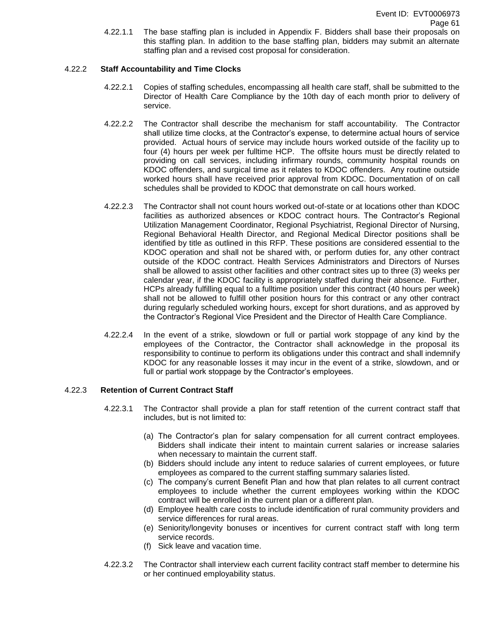4.22.1.1 The base staffing plan is included in Appendix F. Bidders shall base their proposals on this staffing plan. In addition to the base staffing plan, bidders may submit an alternate staffing plan and a revised cost proposal for consideration.

# 4.22.2 **Staff Accountability and Time Clocks**

- 4.22.2.1 Copies of staffing schedules, encompassing all health care staff, shall be submitted to the Director of Health Care Compliance by the 10th day of each month prior to delivery of service.
- 4.22.2.2 The Contractor shall describe the mechanism for staff accountability. The Contractor shall utilize time clocks, at the Contractor's expense, to determine actual hours of service provided. Actual hours of service may include hours worked outside of the facility up to four (4) hours per week per fulltime HCP. The offsite hours must be directly related to providing on call services, including infirmary rounds, community hospital rounds on KDOC offenders, and surgical time as it relates to KDOC offenders. Any routine outside worked hours shall have received prior approval from KDOC. Documentation of on call schedules shall be provided to KDOC that demonstrate on call hours worked.
- 4.22.2.3 The Contractor shall not count hours worked out-of-state or at locations other than KDOC facilities as authorized absences or KDOC contract hours. The Contractor's Regional Utilization Management Coordinator, Regional Psychiatrist, Regional Director of Nursing, Regional Behavioral Health Director, and Regional Medical Director positions shall be identified by title as outlined in this RFP. These positions are considered essential to the KDOC operation and shall not be shared with, or perform duties for, any other contract outside of the KDOC contract. Health Services Administrators and Directors of Nurses shall be allowed to assist other facilities and other contract sites up to three (3) weeks per calendar year, if the KDOC facility is appropriately staffed during their absence. Further, HCPs already fulfilling equal to a fulltime position under this contract (40 hours per week) shall not be allowed to fulfill other position hours for this contract or any other contract during regularly scheduled working hours, except for short durations, and as approved by the Contractor's Regional Vice President and the Director of Health Care Compliance.
- 4.22.2.4 In the event of a strike, slowdown or full or partial work stoppage of any kind by the employees of the Contractor, the Contractor shall acknowledge in the proposal its responsibility to continue to perform its obligations under this contract and shall indemnify KDOC for any reasonable losses it may incur in the event of a strike, slowdown, and or full or partial work stoppage by the Contractor's employees.

# 4.22.3 **Retention of Current Contract Staff**

- 4.22.3.1 The Contractor shall provide a plan for staff retention of the current contract staff that includes, but is not limited to:
	- (a) The Contractor's plan for salary compensation for all current contract employees. Bidders shall indicate their intent to maintain current salaries or increase salaries when necessary to maintain the current staff.
	- (b) Bidders should include any intent to reduce salaries of current employees, or future employees as compared to the current staffing summary salaries listed.
	- (c) The company's current Benefit Plan and how that plan relates to all current contract employees to include whether the current employees working within the KDOC contract will be enrolled in the current plan or a different plan.
	- (d) Employee health care costs to include identification of rural community providers and service differences for rural areas.
	- (e) Seniority/longevity bonuses or incentives for current contract staff with long term service records.
	- (f) Sick leave and vacation time.
- 4.22.3.2 The Contractor shall interview each current facility contract staff member to determine his or her continued employability status.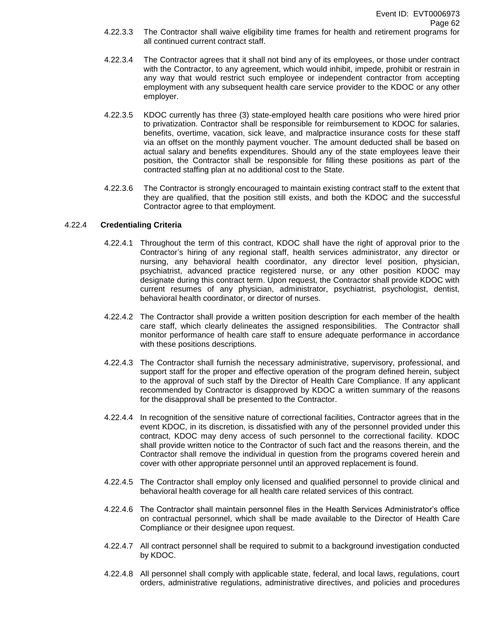- 4.22.3.3 The Contractor shall waive eligibility time frames for health and retirement programs for all continued current contract staff.
- 4.22.3.4 The Contractor agrees that it shall not bind any of its employees, or those under contract with the Contractor, to any agreement, which would inhibit, impede, prohibit or restrain in any way that would restrict such employee or independent contractor from accepting employment with any subsequent health care service provider to the KDOC or any other employer.
- 4.22.3.5 KDOC currently has three (3) state-employed health care positions who were hired prior to privatization. Contractor shall be responsible for reimbursement to KDOC for salaries, benefits, overtime, vacation, sick leave, and malpractice insurance costs for these staff via an offset on the monthly payment voucher. The amount deducted shall be based on actual salary and benefits expenditures. Should any of the state employees leave their position, the Contractor shall be responsible for filling these positions as part of the contracted staffing plan at no additional cost to the State.
- 4.22.3.6 The Contractor is strongly encouraged to maintain existing contract staff to the extent that they are qualified, that the position still exists, and both the KDOC and the successful Contractor agree to that employment.

# 4.22.4 **Credentialing Criteria**

- 4.22.4.1 Throughout the term of this contract, KDOC shall have the right of approval prior to the Contractor's hiring of any regional staff, health services administrator, any director or nursing, any behavioral health coordinator, any director level position, physician, psychiatrist, advanced practice registered nurse, or any other position KDOC may designate during this contract term. Upon request, the Contractor shall provide KDOC with current resumes of any physician, administrator, psychiatrist, psychologist, dentist, behavioral health coordinator, or director of nurses.
- 4.22.4.2 The Contractor shall provide a written position description for each member of the health care staff, which clearly delineates the assigned responsibilities. The Contractor shall monitor performance of health care staff to ensure adequate performance in accordance with these positions descriptions.
- 4.22.4.3 The Contractor shall furnish the necessary administrative, supervisory, professional, and support staff for the proper and effective operation of the program defined herein, subject to the approval of such staff by the Director of Health Care Compliance. If any applicant recommended by Contractor is disapproved by KDOC a written summary of the reasons for the disapproval shall be presented to the Contractor.
- 4.22.4.4 In recognition of the sensitive nature of correctional facilities, Contractor agrees that in the event KDOC, in its discretion, is dissatisfied with any of the personnel provided under this contract, KDOC may deny access of such personnel to the correctional facility. KDOC shall provide written notice to the Contractor of such fact and the reasons therein, and the Contractor shall remove the individual in question from the programs covered herein and cover with other appropriate personnel until an approved replacement is found.
- 4.22.4.5 The Contractor shall employ only licensed and qualified personnel to provide clinical and behavioral health coverage for all health care related services of this contract.
- 4.22.4.6 The Contractor shall maintain personnel files in the Health Services Administrator's office on contractual personnel, which shall be made available to the Director of Health Care Compliance or their designee upon request.
- 4.22.4.7 All contract personnel shall be required to submit to a background investigation conducted by KDOC.
- 4.22.4.8 All personnel shall comply with applicable state, federal, and local laws, regulations, court orders, administrative regulations, administrative directives, and policies and procedures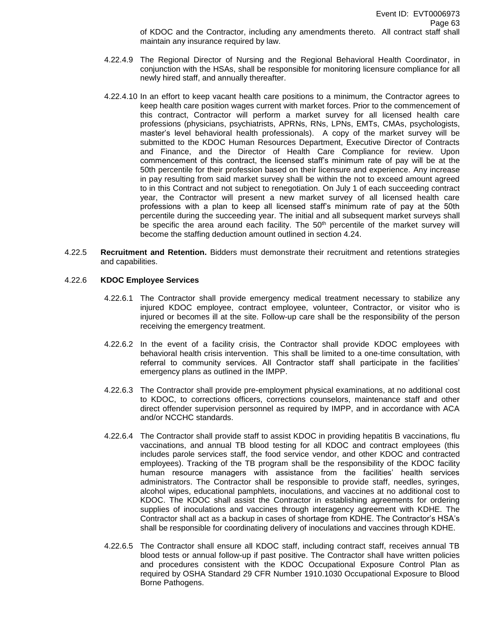of KDOC and the Contractor, including any amendments thereto. All contract staff shall maintain any insurance required by law.

- 4.22.4.9 The Regional Director of Nursing and the Regional Behavioral Health Coordinator, in conjunction with the HSAs, shall be responsible for monitoring licensure compliance for all newly hired staff, and annually thereafter.
- 4.22.4.10 In an effort to keep vacant health care positions to a minimum, the Contractor agrees to keep health care position wages current with market forces. Prior to the commencement of this contract, Contractor will perform a market survey for all licensed health care professions (physicians, psychiatrists, APRNs, RNs, LPNs, EMTs, CMAs, psychologists, master's level behavioral health professionals). A copy of the market survey will be submitted to the KDOC Human Resources Department, Executive Director of Contracts and Finance, and the Director of Health Care Compliance for review. Upon commencement of this contract, the licensed staff's minimum rate of pay will be at the 50th percentile for their profession based on their licensure and experience. Any increase in pay resulting from said market survey shall be within the not to exceed amount agreed to in this Contract and not subject to renegotiation. On July 1 of each succeeding contract year, the Contractor will present a new market survey of all licensed health care professions with a plan to keep all licensed staff's minimum rate of pay at the 50th percentile during the succeeding year. The initial and all subsequent market surveys shall be specific the area around each facility. The 50<sup>th</sup> percentile of the market survey will become the staffing deduction amount outlined in section 4.24.
- 4.22.5 **Recruitment and Retention.** Bidders must demonstrate their recruitment and retentions strategies and capabilities.

#### 4.22.6 **KDOC Employee Services**

- 4.22.6.1 The Contractor shall provide emergency medical treatment necessary to stabilize any injured KDOC employee, contract employee, volunteer, Contractor, or visitor who is injured or becomes ill at the site. Follow-up care shall be the responsibility of the person receiving the emergency treatment.
- 4.22.6.2 In the event of a facility crisis, the Contractor shall provide KDOC employees with behavioral health crisis intervention. This shall be limited to a one-time consultation, with referral to community services. All Contractor staff shall participate in the facilities' emergency plans as outlined in the IMPP.
- 4.22.6.3 The Contractor shall provide pre-employment physical examinations, at no additional cost to KDOC, to corrections officers, corrections counselors, maintenance staff and other direct offender supervision personnel as required by IMPP, and in accordance with ACA and/or NCCHC standards.
- 4.22.6.4 The Contractor shall provide staff to assist KDOC in providing hepatitis B vaccinations, flu vaccinations, and annual TB blood testing for all KDOC and contract employees (this includes parole services staff, the food service vendor, and other KDOC and contracted employees). Tracking of the TB program shall be the responsibility of the KDOC facility human resource managers with assistance from the facilities' health services administrators. The Contractor shall be responsible to provide staff, needles, syringes, alcohol wipes, educational pamphlets, inoculations, and vaccines at no additional cost to KDOC. The KDOC shall assist the Contractor in establishing agreements for ordering supplies of inoculations and vaccines through interagency agreement with KDHE. The Contractor shall act as a backup in cases of shortage from KDHE. The Contractor's HSA's shall be responsible for coordinating delivery of inoculations and vaccines through KDHE.
- 4.22.6.5 The Contractor shall ensure all KDOC staff, including contract staff, receives annual TB blood tests or annual follow-up if past positive. The Contractor shall have written policies and procedures consistent with the KDOC Occupational Exposure Control Plan as required by OSHA Standard 29 CFR Number 1910.1030 Occupational Exposure to Blood Borne Pathogens.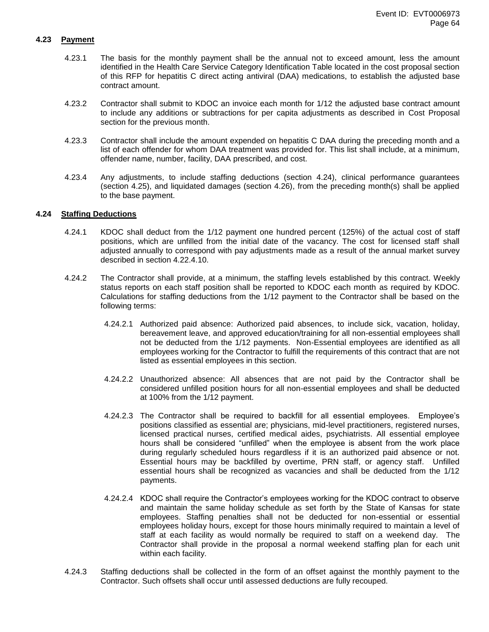#### **4.23 Payment**

- 4.23.1 The basis for the monthly payment shall be the annual not to exceed amount, less the amount identified in the Health Care Service Category Identification Table located in the cost proposal section of this RFP for hepatitis C direct acting antiviral (DAA) medications, to establish the adjusted base contract amount.
- 4.23.2 Contractor shall submit to KDOC an invoice each month for 1/12 the adjusted base contract amount to include any additions or subtractions for per capita adjustments as described in Cost Proposal section for the previous month.
- 4.23.3 Contractor shall include the amount expended on hepatitis C DAA during the preceding month and a list of each offender for whom DAA treatment was provided for. This list shall include, at a minimum, offender name, number, facility, DAA prescribed, and cost.
- 4.23.4 Any adjustments, to include staffing deductions (section 4.24), clinical performance guarantees (section 4.25), and liquidated damages (section 4.26), from the preceding month(s) shall be applied to the base payment.

#### **4.24 Staffing Deductions**

- 4.24.1 KDOC shall deduct from the 1/12 payment one hundred percent (125%) of the actual cost of staff positions, which are unfilled from the initial date of the vacancy. The cost for licensed staff shall adjusted annually to correspond with pay adjustments made as a result of the annual market survey described in section 4.22.4.10.
- 4.24.2 The Contractor shall provide, at a minimum, the staffing levels established by this contract. Weekly status reports on each staff position shall be reported to KDOC each month as required by KDOC. Calculations for staffing deductions from the 1/12 payment to the Contractor shall be based on the following terms:
	- 4.24.2.1 Authorized paid absence: Authorized paid absences, to include sick, vacation, holiday, bereavement leave, and approved education/training for all non-essential employees shall not be deducted from the 1/12 payments. Non-Essential employees are identified as all employees working for the Contractor to fulfill the requirements of this contract that are not listed as essential employees in this section.
	- 4.24.2.2 Unauthorized absence: All absences that are not paid by the Contractor shall be considered unfilled position hours for all non-essential employees and shall be deducted at 100% from the 1/12 payment.
	- 4.24.2.3 The Contractor shall be required to backfill for all essential employees. Employee's positions classified as essential are; physicians, mid-level practitioners, registered nurses, licensed practical nurses, certified medical aides, psychiatrists. All essential employee hours shall be considered "unfilled" when the employee is absent from the work place during regularly scheduled hours regardless if it is an authorized paid absence or not. Essential hours may be backfilled by overtime, PRN staff, or agency staff. Unfilled essential hours shall be recognized as vacancies and shall be deducted from the 1/12 payments.
	- 4.24.2.4 KDOC shall require the Contractor's employees working for the KDOC contract to observe and maintain the same holiday schedule as set forth by the State of Kansas for state employees. Staffing penalties shall not be deducted for non-essential or essential employees holiday hours, except for those hours minimally required to maintain a level of staff at each facility as would normally be required to staff on a weekend day. The Contractor shall provide in the proposal a normal weekend staffing plan for each unit within each facility.
- 4.24.3 Staffing deductions shall be collected in the form of an offset against the monthly payment to the Contractor. Such offsets shall occur until assessed deductions are fully recouped.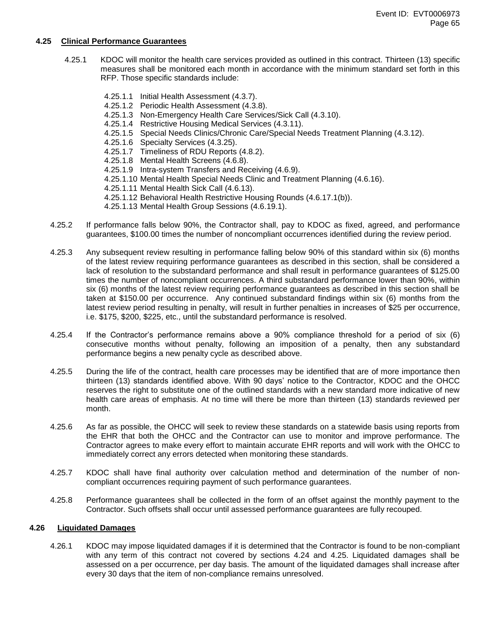#### **4.25 Clinical Performance Guarantees**

- 4.25.1 KDOC will monitor the health care services provided as outlined in this contract. Thirteen (13) specific measures shall be monitored each month in accordance with the minimum standard set forth in this RFP. Those specific standards include:
	- 4.25.1.1 Initial Health Assessment (4.3.7).
	- 4.25.1.2 Periodic Health Assessment (4.3.8).
	- 4.25.1.3 Non-Emergency Health Care Services/Sick Call (4.3.10).
	- 4.25.1.4 Restrictive Housing Medical Services (4.3.11).
	- 4.25.1.5 Special Needs Clinics/Chronic Care/Special Needs Treatment Planning (4.3.12).
	- 4.25.1.6 Specialty Services (4.3.25).
	- 4.25.1.7 Timeliness of RDU Reports (4.8.2).
	- 4.25.1.8 Mental Health Screens (4.6.8).
	- 4.25.1.9 Intra-system Transfers and Receiving (4.6.9).
	- 4.25.1.10 Mental Health Special Needs Clinic and Treatment Planning (4.6.16).
	- 4.25.1.11 Mental Health Sick Call (4.6.13).
	- 4.25.1.12 Behavioral Health Restrictive Housing Rounds (4.6.17.1(b)).
	- 4.25.1.13 Mental Health Group Sessions (4.6.19.1).
- 4.25.2 If performance falls below 90%, the Contractor shall, pay to KDOC as fixed, agreed, and performance guarantees, \$100.00 times the number of noncompliant occurrences identified during the review period.
- 4.25.3 Any subsequent review resulting in performance falling below 90% of this standard within six (6) months of the latest review requiring performance guarantees as described in this section, shall be considered a lack of resolution to the substandard performance and shall result in performance guarantees of \$125.00 times the number of noncompliant occurrences. A third substandard performance lower than 90%, within six (6) months of the latest review requiring performance guarantees as described in this section shall be taken at \$150.00 per occurrence. Any continued substandard findings within six (6) months from the latest review period resulting in penalty, will result in further penalties in increases of \$25 per occurrence, i.e. \$175, \$200, \$225, etc., until the substandard performance is resolved.
- 4.25.4 If the Contractor's performance remains above a 90% compliance threshold for a period of six (6) consecutive months without penalty, following an imposition of a penalty, then any substandard performance begins a new penalty cycle as described above.
- 4.25.5 During the life of the contract, health care processes may be identified that are of more importance then thirteen (13) standards identified above. With 90 days' notice to the Contractor, KDOC and the OHCC reserves the right to substitute one of the outlined standards with a new standard more indicative of new health care areas of emphasis. At no time will there be more than thirteen (13) standards reviewed per month.
- 4.25.6 As far as possible, the OHCC will seek to review these standards on a statewide basis using reports from the EHR that both the OHCC and the Contractor can use to monitor and improve performance. The Contractor agrees to make every effort to maintain accurate EHR reports and will work with the OHCC to immediately correct any errors detected when monitoring these standards.
- 4.25.7 KDOC shall have final authority over calculation method and determination of the number of noncompliant occurrences requiring payment of such performance guarantees.
- 4.25.8 Performance guarantees shall be collected in the form of an offset against the monthly payment to the Contractor. Such offsets shall occur until assessed performance guarantees are fully recouped.

#### **4.26 Liquidated Damages**

4.26.1 KDOC may impose liquidated damages if it is determined that the Contractor is found to be non-compliant with any term of this contract not covered by sections 4.24 and 4.25. Liquidated damages shall be assessed on a per occurrence, per day basis. The amount of the liquidated damages shall increase after every 30 days that the item of non-compliance remains unresolved.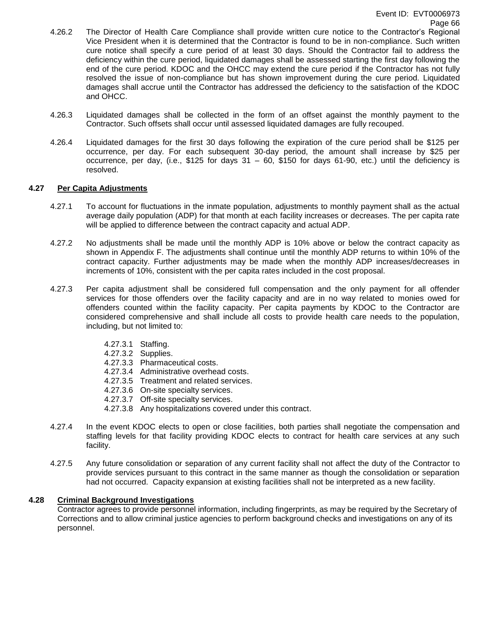- 4.26.2 The Director of Health Care Compliance shall provide written cure notice to the Contractor's Regional Vice President when it is determined that the Contractor is found to be in non-compliance. Such written cure notice shall specify a cure period of at least 30 days. Should the Contractor fail to address the deficiency within the cure period, liquidated damages shall be assessed starting the first day following the end of the cure period. KDOC and the OHCC may extend the cure period if the Contractor has not fully resolved the issue of non-compliance but has shown improvement during the cure period. Liquidated damages shall accrue until the Contractor has addressed the deficiency to the satisfaction of the KDOC and OHCC.
- 4.26.3 Liquidated damages shall be collected in the form of an offset against the monthly payment to the Contractor. Such offsets shall occur until assessed liquidated damages are fully recouped.
- 4.26.4 Liquidated damages for the first 30 days following the expiration of the cure period shall be \$125 per occurrence, per day. For each subsequent 30-day period, the amount shall increase by \$25 per occurrence, per day, (i.e., \$125 for days 31 – 60, \$150 for days 61-90, etc.) until the deficiency is resolved.

# **4.27 Per Capita Adjustments**

- 4.27.1 To account for fluctuations in the inmate population, adjustments to monthly payment shall as the actual average daily population (ADP) for that month at each facility increases or decreases. The per capita rate will be applied to difference between the contract capacity and actual ADP.
- 4.27.2 No adjustments shall be made until the monthly ADP is 10% above or below the contract capacity as shown in Appendix F. The adjustments shall continue until the monthly ADP returns to within 10% of the contract capacity. Further adjustments may be made when the monthly ADP increases/decreases in increments of 10%, consistent with the per capita rates included in the cost proposal.
- 4.27.3 Per capita adjustment shall be considered full compensation and the only payment for all offender services for those offenders over the facility capacity and are in no way related to monies owed for offenders counted within the facility capacity. Per capita payments by KDOC to the Contractor are considered comprehensive and shall include all costs to provide health care needs to the population, including, but not limited to:
	- 4.27.3.1 Staffing.
	- 4.27.3.2 Supplies.
	- 4.27.3.3 Pharmaceutical costs.
	- 4.27.3.4 Administrative overhead costs.
	- 4.27.3.5 Treatment and related services.
	- 4.27.3.6 On-site specialty services.
	- 4.27.3.7 Off-site specialty services.
	- 4.27.3.8 Any hospitalizations covered under this contract.
- 4.27.4 In the event KDOC elects to open or close facilities, both parties shall negotiate the compensation and staffing levels for that facility providing KDOC elects to contract for health care services at any such facility.
- 4.27.5 Any future consolidation or separation of any current facility shall not affect the duty of the Contractor to provide services pursuant to this contract in the same manner as though the consolidation or separation had not occurred. Capacity expansion at existing facilities shall not be interpreted as a new facility.

# **4.28 Criminal Background Investigations**

Contractor agrees to provide personnel information, including fingerprints, as may be required by the Secretary of Corrections and to allow criminal justice agencies to perform background checks and investigations on any of its personnel.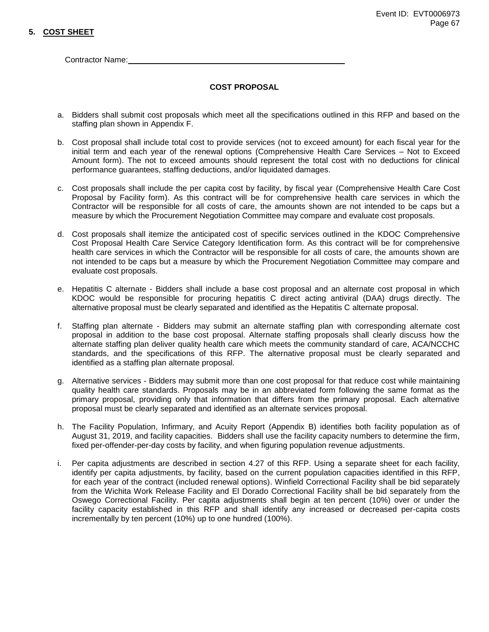# **5. COST SHEET**

Contractor Name:

# **COST PROPOSAL**

- a. Bidders shall submit cost proposals which meet all the specifications outlined in this RFP and based on the staffing plan shown in Appendix F.
- b. Cost proposal shall include total cost to provide services (not to exceed amount) for each fiscal year for the initial term and each year of the renewal options (Comprehensive Health Care Services – Not to Exceed Amount form). The not to exceed amounts should represent the total cost with no deductions for clinical performance guarantees, staffing deductions, and/or liquidated damages.
- c. Cost proposals shall include the per capita cost by facility, by fiscal year (Comprehensive Health Care Cost Proposal by Facility form). As this contract will be for comprehensive health care services in which the Contractor will be responsible for all costs of care, the amounts shown are not intended to be caps but a measure by which the Procurement Negotiation Committee may compare and evaluate cost proposals.
- d. Cost proposals shall itemize the anticipated cost of specific services outlined in the KDOC Comprehensive Cost Proposal Health Care Service Category Identification form. As this contract will be for comprehensive health care services in which the Contractor will be responsible for all costs of care, the amounts shown are not intended to be caps but a measure by which the Procurement Negotiation Committee may compare and evaluate cost proposals.
- e. Hepatitis C alternate Bidders shall include a base cost proposal and an alternate cost proposal in which KDOC would be responsible for procuring hepatitis C direct acting antiviral (DAA) drugs directly. The alternative proposal must be clearly separated and identified as the Hepatitis C alternate proposal.
- f. Staffing plan alternate Bidders may submit an alternate staffing plan with corresponding alternate cost proposal in addition to the base cost proposal. Alternate staffing proposals shall clearly discuss how the alternate staffing plan deliver quality health care which meets the community standard of care, ACA/NCCHC standards, and the specifications of this RFP. The alternative proposal must be clearly separated and identified as a staffing plan alternate proposal.
- g. Alternative services Bidders may submit more than one cost proposal for that reduce cost while maintaining quality health care standards. Proposals may be in an abbreviated form following the same format as the primary proposal, providing only that information that differs from the primary proposal. Each alternative proposal must be clearly separated and identified as an alternate services proposal.
- h. The Facility Population, Infirmary, and Acuity Report (Appendix B) identifies both facility population as of August 31, 2019, and facility capacities. Bidders shall use the facility capacity numbers to determine the firm, fixed per-offender-per-day costs by facility, and when figuring population revenue adjustments.
- i. Per capita adjustments are described in section 4.27 of this RFP. Using a separate sheet for each facility, identify per capita adjustments, by facility, based on the current population capacities identified in this RFP, for each year of the contract (included renewal options). Winfield Correctional Facility shall be bid separately from the Wichita Work Release Facility and El Dorado Correctional Facility shall be bid separately from the Oswego Correctional Facility. Per capita adjustments shall begin at ten percent (10%) over or under the facility capacity established in this RFP and shall identify any increased or decreased per-capita costs incrementally by ten percent (10%) up to one hundred (100%).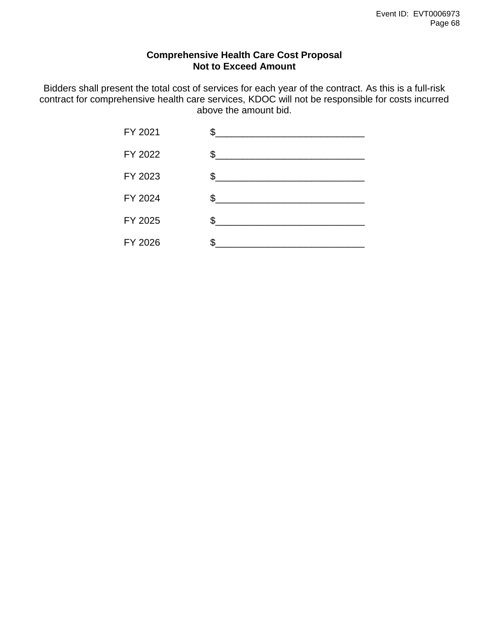# **Comprehensive Health Care Cost Proposal Not to Exceed Amount**

Bidders shall present the total cost of services for each year of the contract. As this is a full-risk contract for comprehensive health care services, KDOC will not be responsible for costs incurred above the amount bid.

| FY 2021 | \$. |
|---------|-----|
| FY 2022 | \$  |
| FY 2023 | \$. |
| FY 2024 | \$  |
| FY 2025 | \$  |
| FY 2026 |     |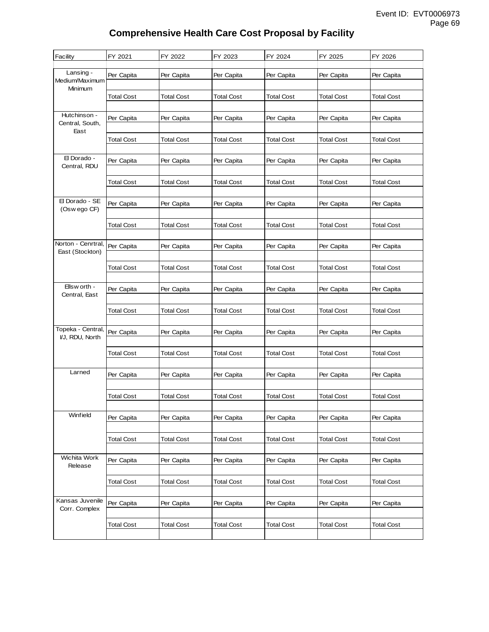# **Comprehensive Health Care Cost Proposal by Facility**

| Facility                                | FY 2021           | FY 2022           | FY 2023           | FY 2024           | FY 2025           | FY 2026           |
|-----------------------------------------|-------------------|-------------------|-------------------|-------------------|-------------------|-------------------|
| Lansing -<br>Medium/Maximum             | Per Capita        | Per Capita        | Per Capita        | Per Capita        | Per Capita        | Per Capita        |
| Minimum                                 | <b>Total Cost</b> | Total Cost        | <b>Total Cost</b> | <b>Total Cost</b> | Total Cost        | Total Cost        |
| Hutchinson -<br>Central, South,<br>East | Per Capita        | Per Capita        | Per Capita        | Per Capita        | Per Capita        | Per Capita        |
|                                         | Total Cost        | Total Cost        | Total Cost        | Total Cost        | Total Cost        | <b>Total Cost</b> |
| El Dorado -<br>Central, RDU             | Per Capita        | Per Capita        | Per Capita        | Per Capita        | Per Capita        | Per Capita        |
|                                         | <b>Total Cost</b> | <b>Total Cost</b> | <b>Total Cost</b> | <b>Total Cost</b> | <b>Total Cost</b> | <b>Total Cost</b> |
| El Dorado - SE<br>(Oswego CF)           | Per Capita        | Per Capita        | Per Capita        | Per Capita        | Per Capita        | Per Capita        |
|                                         | Total Cost        | Total Cost        | <b>Total Cost</b> | <b>Total Cost</b> | Total Cost        | Total Cost        |
| Norton - Cenrtral,<br>East (Stockton)   | Per Capita        | Per Capita        | Per Capita        | Per Capita        | Per Capita        | Per Capita        |
|                                         | <b>Total Cost</b> | Total Cost        | <b>Total Cost</b> | <b>Total Cost</b> | Total Cost        | Total Cost        |
| Ellsw orth -<br>Central, East           | Per Capita        | Per Capita        | Per Capita        | Per Capita        | Per Capita        | Per Capita        |
|                                         | Total Cost        | Total Cost        | Total Cost        | <b>Total Cost</b> | Total Cost        | Total Cost        |
| Topeka - Central,<br>VJ, RDU, North     | Per Capita        | Per Capita        | Per Capita        | Per Capita        | Per Capita        | Per Capita        |
|                                         | <b>Total Cost</b> | <b>Total Cost</b> | <b>Total Cost</b> | <b>Total Cost</b> | <b>Total Cost</b> | <b>Total Cost</b> |
| Larned                                  | Per Capita        | Per Capita        | Per Capita        | Per Capita        | Per Capita        | Per Capita        |
|                                         | <b>Total Cost</b> | <b>Total Cost</b> | Total Cost        | <b>Total Cost</b> | <b>Total Cost</b> | <b>Total Cost</b> |
| Winfield                                | Per Capita        | Per Capita        | Per Capita        | Per Capita        | Per Capita        | Per Capita        |
|                                         | <b>Total Cost</b> | <b>Total Cost</b> | <b>Total Cost</b> | <b>Total Cost</b> | <b>Total Cost</b> | <b>Total Cost</b> |
| Wichita Work<br>Release                 | Per Capita        | Per Capita        | Per Capita        | Per Capita        | Per Capita        | Per Capita        |
|                                         | <b>Total Cost</b> | <b>Total Cost</b> | <b>Total Cost</b> | <b>Total Cost</b> | <b>Total Cost</b> | <b>Total Cost</b> |
| Kansas Juvenile<br>Corr. Complex        | Per Capita        | Per Capita        | Per Capita        | Per Capita        | Per Capita        | Per Capita        |
|                                         | <b>Total Cost</b> | <b>Total Cost</b> | <b>Total Cost</b> | <b>Total Cost</b> | <b>Total Cost</b> | <b>Total Cost</b> |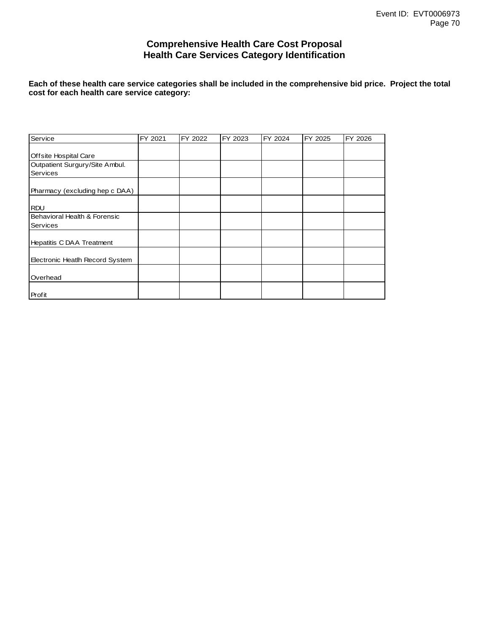# **Comprehensive Health Care Cost Proposal Health Care Services Category Identification**

**Each of these health care service categories shall be included in the comprehensive bid price. Project the total cost for each health care service category:**

| Service                         | FY 2021 | FY 2022 | FY 2023 | FY 2024 | FY 2025 | FY 2026 |
|---------------------------------|---------|---------|---------|---------|---------|---------|
|                                 |         |         |         |         |         |         |
| Offsite Hospital Care           |         |         |         |         |         |         |
| Outpatient Surgury/Site Ambul.  |         |         |         |         |         |         |
| <b>Services</b>                 |         |         |         |         |         |         |
|                                 |         |         |         |         |         |         |
| Pharmacy (excluding hep c DAA)  |         |         |         |         |         |         |
|                                 |         |         |         |         |         |         |
| <b>RDU</b>                      |         |         |         |         |         |         |
| Behavioral Health & Forensic    |         |         |         |         |         |         |
| <b>Services</b>                 |         |         |         |         |         |         |
|                                 |         |         |         |         |         |         |
| Hepatitis C DAA Treatment       |         |         |         |         |         |         |
|                                 |         |         |         |         |         |         |
| Electronic Heatlh Record System |         |         |         |         |         |         |
|                                 |         |         |         |         |         |         |
| Overhead                        |         |         |         |         |         |         |
|                                 |         |         |         |         |         |         |
| Profit                          |         |         |         |         |         |         |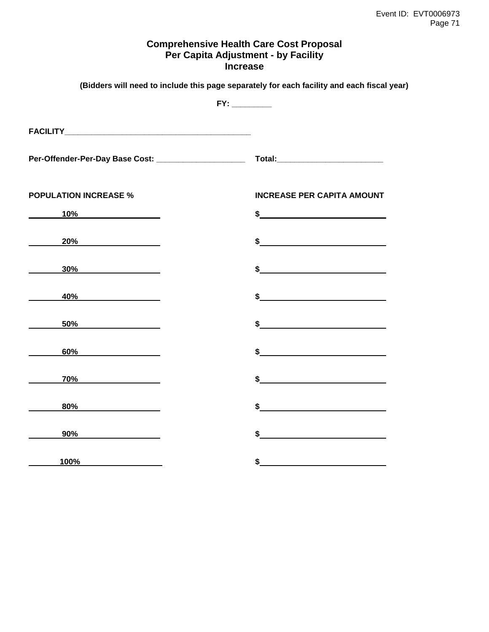# **Comprehensive Health Care Cost Proposal Per Capita Adjustment - by Facility Increase**

|                                                                                                                                                                                                                                      | (Bidders will need to include this page separately for each facility and each fiscal year)                                                                                                                                                                                                                          |
|--------------------------------------------------------------------------------------------------------------------------------------------------------------------------------------------------------------------------------------|---------------------------------------------------------------------------------------------------------------------------------------------------------------------------------------------------------------------------------------------------------------------------------------------------------------------|
|                                                                                                                                                                                                                                      | FY:                                                                                                                                                                                                                                                                                                                 |
|                                                                                                                                                                                                                                      |                                                                                                                                                                                                                                                                                                                     |
| Per-Offender-Per-Day Base Cost: ______________________                                                                                                                                                                               |                                                                                                                                                                                                                                                                                                                     |
| <b>POPULATION INCREASE %</b>                                                                                                                                                                                                         | <b>INCREASE PER CAPITA AMOUNT</b>                                                                                                                                                                                                                                                                                   |
| $10\%$                                                                                                                                                                                                                               | $\frac{1}{2}$                                                                                                                                                                                                                                                                                                       |
| $20\%$                                                                                                                                                                                                                               | $\sim$                                                                                                                                                                                                                                                                                                              |
| $30\%$                                                                                                                                                                                                                               | $\frac{1}{2}$                                                                                                                                                                                                                                                                                                       |
| <u>40% and the set of the set of the set of the set of the set of the set of the set of the set of the set of the set of the set of the set of the set of the set of the set of the set of the set of the set of the set of the </u> | $\frac{1}{2}$                                                                                                                                                                                                                                                                                                       |
| 50%                                                                                                                                                                                                                                  | $\frac{1}{2}$                                                                                                                                                                                                                                                                                                       |
| $60\%$                                                                                                                                                                                                                               | $\frac{1}{2}$                                                                                                                                                                                                                                                                                                       |
| $70\%$                                                                                                                                                                                                                               | $\sim$ $\sim$                                                                                                                                                                                                                                                                                                       |
| 80%                                                                                                                                                                                                                                  | $\frac{1}{2}$ $\frac{1}{2}$ $\frac{1}{2}$ $\frac{1}{2}$ $\frac{1}{2}$ $\frac{1}{2}$ $\frac{1}{2}$ $\frac{1}{2}$ $\frac{1}{2}$ $\frac{1}{2}$ $\frac{1}{2}$ $\frac{1}{2}$ $\frac{1}{2}$ $\frac{1}{2}$ $\frac{1}{2}$ $\frac{1}{2}$ $\frac{1}{2}$ $\frac{1}{2}$ $\frac{1}{2}$ $\frac{1}{2}$ $\frac{1}{2}$ $\frac{1}{2}$ |
| $90\%$                                                                                                                                                                                                                               | $\sim$ $\sim$                                                                                                                                                                                                                                                                                                       |
| 100%                                                                                                                                                                                                                                 | \$                                                                                                                                                                                                                                                                                                                  |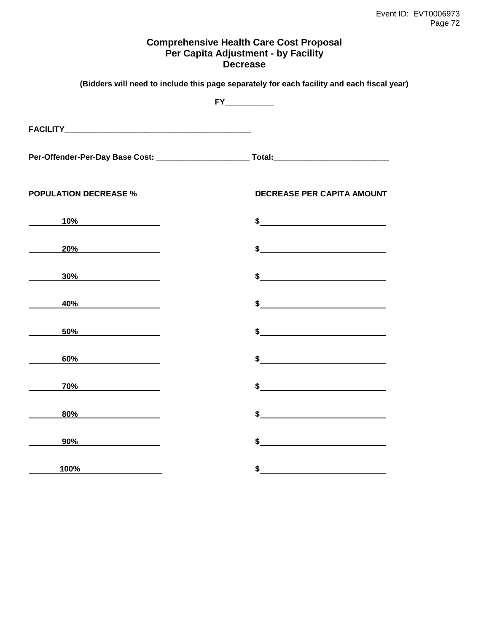# **Comprehensive Health Care Cost Proposal Per Capita Adjustment - by Facility Decrease**

|                                 | (Bidders will need to include this page separately for each facility and each fiscal year)                                                                                                                                                                                                                                                                                                                           |
|---------------------------------|----------------------------------------------------------------------------------------------------------------------------------------------------------------------------------------------------------------------------------------------------------------------------------------------------------------------------------------------------------------------------------------------------------------------|
|                                 | FY                                                                                                                                                                                                                                                                                                                                                                                                                   |
|                                 |                                                                                                                                                                                                                                                                                                                                                                                                                      |
|                                 |                                                                                                                                                                                                                                                                                                                                                                                                                      |
| <b>POPULATION DECREASE %</b>    | DECREASE PER CAPITA AMOUNT                                                                                                                                                                                                                                                                                                                                                                                           |
| $10\%$                          | $\sim$                                                                                                                                                                                                                                                                                                                                                                                                               |
| 20%                             |                                                                                                                                                                                                                                                                                                                                                                                                                      |
| $30\%$                          | $\sim$                                                                                                                                                                                                                                                                                                                                                                                                               |
| 40%                             |                                                                                                                                                                                                                                                                                                                                                                                                                      |
| $50\%$                          |                                                                                                                                                                                                                                                                                                                                                                                                                      |
| 6 <u>0%____________________</u> | $\sim$                                                                                                                                                                                                                                                                                                                                                                                                               |
| $70\%$                          | $\sim$                                                                                                                                                                                                                                                                                                                                                                                                               |
| $80\%$                          | $\frac{1}{\sqrt{1-\frac{1}{2}}\sqrt{1-\frac{1}{2}}\sqrt{1-\frac{1}{2}}\sqrt{1-\frac{1}{2}}\sqrt{1-\frac{1}{2}}\sqrt{1-\frac{1}{2}}\sqrt{1-\frac{1}{2}}\sqrt{1-\frac{1}{2}}\sqrt{1-\frac{1}{2}}\sqrt{1-\frac{1}{2}}\sqrt{1-\frac{1}{2}}\sqrt{1-\frac{1}{2}}\sqrt{1-\frac{1}{2}}\sqrt{1-\frac{1}{2}}\sqrt{1-\frac{1}{2}}\sqrt{1-\frac{1}{2}}\sqrt{1-\frac{1}{2}}\sqrt{1-\frac{1}{2}}\sqrt{1-\frac{1}{2}}\sqrt{1-\frac$ |
|                                 | $\frac{1}{2}$                                                                                                                                                                                                                                                                                                                                                                                                        |
| 100%                            | \$                                                                                                                                                                                                                                                                                                                                                                                                                   |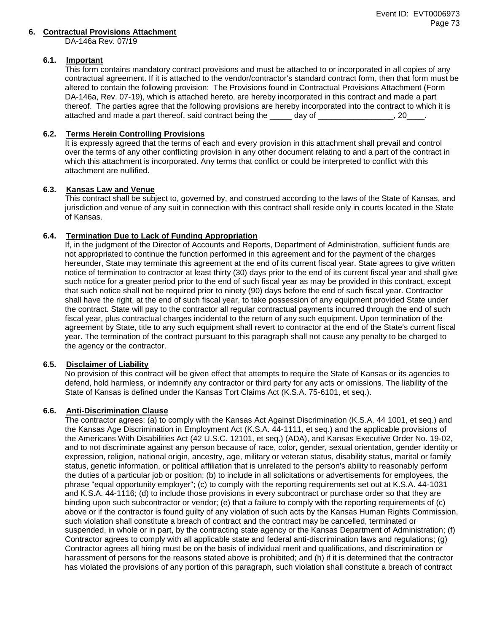#### **6. Contractual Provisions Attachment**

DA-146a Rev. 07/19

### **6.1. Important**

This form contains mandatory contract provisions and must be attached to or incorporated in all copies of any contractual agreement. If it is attached to the vendor/contractor's standard contract form, then that form must be altered to contain the following provision: The Provisions found in Contractual Provisions Attachment (Form DA-146a, Rev. 07-19), which is attached hereto, are hereby incorporated in this contract and made a part thereof. The parties agree that the following provisions are hereby incorporated into the contract to which it is attached and made a part thereof, said contract being the day of  $\qquad \qquad$ , 20

## **6.2. Terms Herein Controlling Provisions**

It is expressly agreed that the terms of each and every provision in this attachment shall prevail and control over the terms of any other conflicting provision in any other document relating to and a part of the contract in which this attachment is incorporated. Any terms that conflict or could be interpreted to conflict with this attachment are nullified.

## **6.3. Kansas Law and Venue**

This contract shall be subject to, governed by, and construed according to the laws of the State of Kansas, and jurisdiction and venue of any suit in connection with this contract shall reside only in courts located in the State of Kansas.

# **6.4. Termination Due to Lack of Funding Appropriation**

If, in the judgment of the Director of Accounts and Reports, Department of Administration, sufficient funds are not appropriated to continue the function performed in this agreement and for the payment of the charges hereunder, State may terminate this agreement at the end of its current fiscal year. State agrees to give written notice of termination to contractor at least thirty (30) days prior to the end of its current fiscal year and shall give such notice for a greater period prior to the end of such fiscal year as may be provided in this contract, except that such notice shall not be required prior to ninety (90) days before the end of such fiscal year. Contractor shall have the right, at the end of such fiscal year, to take possession of any equipment provided State under the contract. State will pay to the contractor all regular contractual payments incurred through the end of such fiscal year, plus contractual charges incidental to the return of any such equipment. Upon termination of the agreement by State, title to any such equipment shall revert to contractor at the end of the State's current fiscal year. The termination of the contract pursuant to this paragraph shall not cause any penalty to be charged to the agency or the contractor.

## **6.5. Disclaimer of Liability**

No provision of this contract will be given effect that attempts to require the State of Kansas or its agencies to defend, hold harmless, or indemnify any contractor or third party for any acts or omissions. The liability of the State of Kansas is defined under the Kansas Tort Claims Act (K.S.A. 75-6101, et seq.).

## **6.6. Anti-Discrimination Clause**

The contractor agrees: (a) to comply with the Kansas Act Against Discrimination (K.S.A. 44 1001, et seq.) and the Kansas Age Discrimination in Employment Act (K.S.A. 44-1111, et seq.) and the applicable provisions of the Americans With Disabilities Act (42 U.S.C. 12101, et seq.) (ADA), and Kansas Executive Order No. 19-02, and to not discriminate against any person because of race, color, gender, sexual orientation, gender identity or expression, religion, national origin, ancestry, age, military or veteran status, disability status, marital or family status, genetic information, or political affiliation that is unrelated to the person's ability to reasonably perform the duties of a particular job or position; (b) to include in all solicitations or advertisements for employees, the phrase "equal opportunity employer"; (c) to comply with the reporting requirements set out at K.S.A. 44-1031 and K.S.A. 44-1116; (d) to include those provisions in every subcontract or purchase order so that they are binding upon such subcontractor or vendor; (e) that a failure to comply with the reporting requirements of (c) above or if the contractor is found guilty of any violation of such acts by the Kansas Human Rights Commission, such violation shall constitute a breach of contract and the contract may be cancelled, terminated or suspended, in whole or in part, by the contracting state agency or the Kansas Department of Administration; (f) Contractor agrees to comply with all applicable state and federal anti-discrimination laws and regulations; (g) Contractor agrees all hiring must be on the basis of individual merit and qualifications, and discrimination or harassment of persons for the reasons stated above is prohibited; and (h) if it is determined that the contractor has violated the provisions of any portion of this paragraph, such violation shall constitute a breach of contract